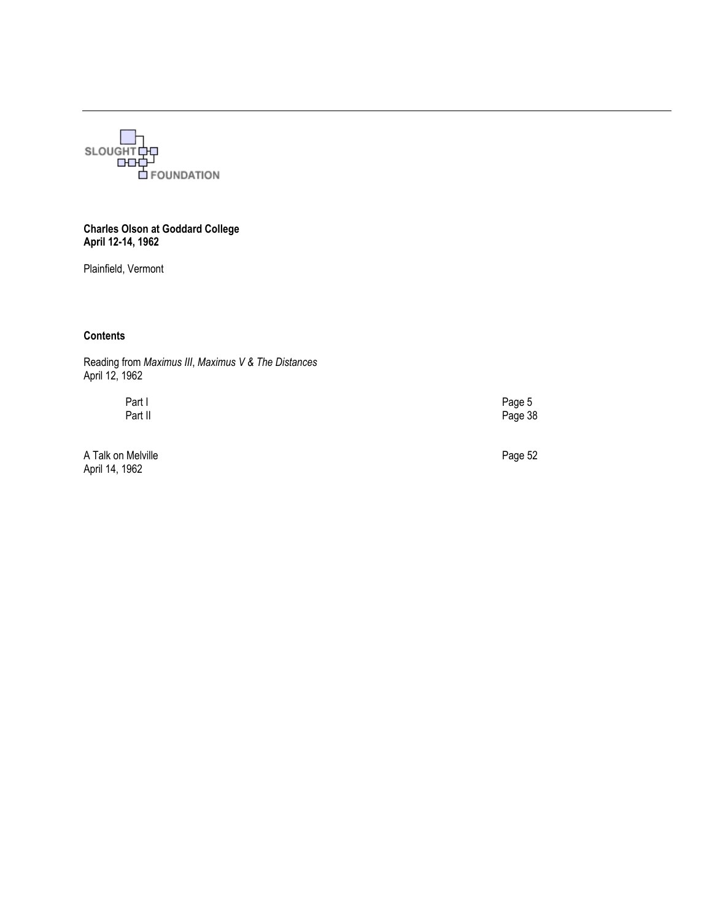

## **Charles Olson at Goddard College April 12-14, 1962**

Plainfield, Vermont

# **Contents**

Reading from *Maximus III*, *Maximus V & The Distances*  April 12, 1962

| Part I  | Page 5  |
|---------|---------|
| Part II | Page 38 |

A Talk on Melville **Page 52** April 14, 1962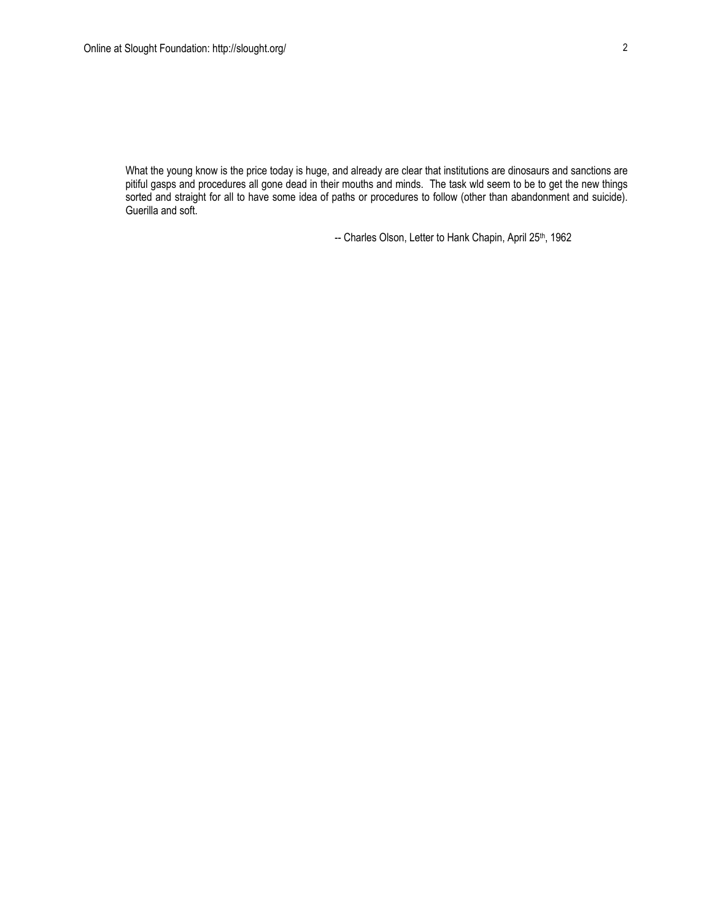What the young know is the price today is huge, and already are clear that institutions are dinosaurs and sanctions are pitiful gasps and procedures all gone dead in their mouths and minds. The task wld seem to be to get the new things sorted and straight for all to have some idea of paths or procedures to follow (other than abandonment and suicide). Guerilla and soft.

-- Charles Olson, Letter to Hank Chapin, April 25<sup>th</sup>, 1962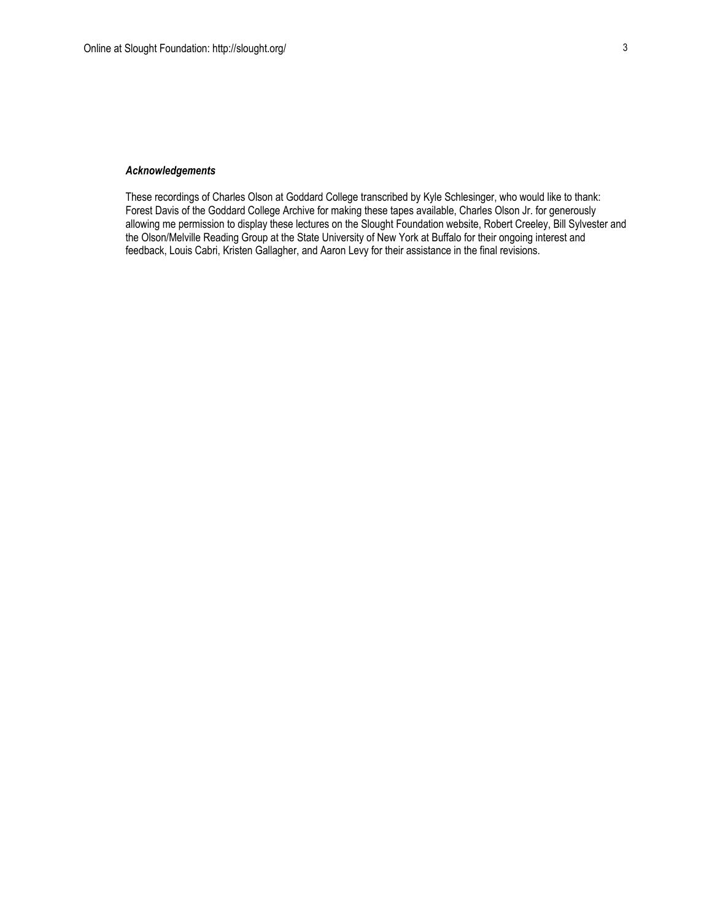These recordings of Charles Olson at Goddard College transcribed by Kyle Schlesinger, who would like to thank: Forest Davis of the Goddard College Archive for making these tapes available, Charles Olson Jr. for generously allowing me permission to display these lectures on the Slought Foundation website, Robert Creeley, Bill Sylvester and the Olson/Melville Reading Group at the State University of New York at Buffalo for their ongoing interest and feedback, Louis Cabri, Kristen Gallagher, and Aaron Levy for their assistance in the final revisions.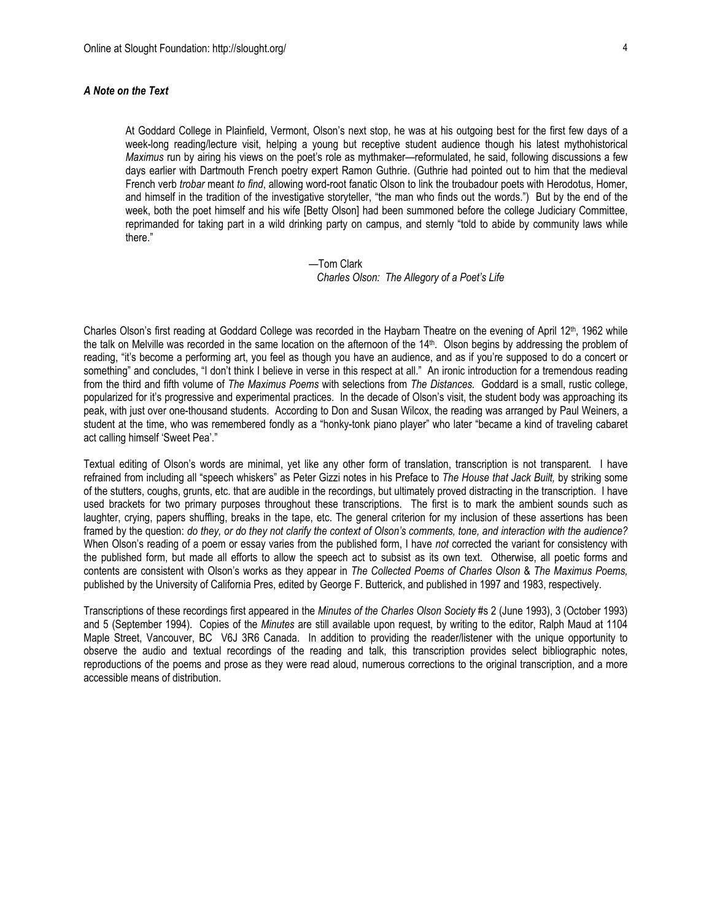# *A Note on the Text*

there."

At Goddard College in Plainfield, Vermont, Olson's next stop, he was at his outgoing best for the first few days of a week-long reading/lecture visit, helping a young but receptive student audience though his latest mythohistorical *Maximus* run by airing his views on the poet's role as mythmaker—reformulated, he said, following discussions a few days earlier with Dartmouth French poetry expert Ramon Guthrie. (Guthrie had pointed out to him that the medieval French verb *trobar* meant *to find*, allowing word-root fanatic Olson to link the troubadour poets with Herodotus, Homer, and himself in the tradition of the investigative storyteller, "the man who finds out the words.") But by the end of the week, both the poet himself and his wife [Betty Olson] had been summoned before the college Judiciary Committee, reprimanded for taking part in a wild drinking party on campus, and sternly "told to abide by community laws while

> —Tom Clark *Charles Olson: The Allegory of a Poet's Life*

Charles Olson's first reading at Goddard College was recorded in the Haybarn Theatre on the evening of April 12th, 1962 while the talk on Melville was recorded in the same location on the afternoon of the 14th. Olson begins by addressing the problem of reading, "it's become a performing art, you feel as though you have an audience, and as if you're supposed to do a concert or something" and concludes, "I don't think I believe in verse in this respect at all." An ironic introduction for a tremendous reading from the third and fifth volume of *The Maximus Poems* with selections from *The Distances.* Goddard is a small, rustic college, popularized for it's progressive and experimental practices. In the decade of Olson's visit, the student body was approaching its peak, with just over one-thousand students. According to Don and Susan Wilcox, the reading was arranged by Paul Weiners, a student at the time, who was remembered fondly as a "honky-tonk piano player" who later "became a kind of traveling cabaret act calling himself 'Sweet Pea'."

Textual editing of Olson's words are minimal, yet like any other form of translation, transcription is not transparent. I have refrained from including all "speech whiskers" as Peter Gizzi notes in his Preface to *The House that Jack Built,* by striking some of the stutters, coughs, grunts, etc. that are audible in the recordings, but ultimately proved distracting in the transcription. I have used brackets for two primary purposes throughout these transcriptions. The first is to mark the ambient sounds such as laughter, crying, papers shuffling, breaks in the tape, etc. The general criterion for my inclusion of these assertions has been framed by the question: *do they, or do they not clarify the context of Olson's comments, tone, and interaction with the audience?*  When Olson's reading of a poem or essay varies from the published form, I have *not* corrected the variant for consistency with the published form, but made all efforts to allow the speech act to subsist as its own text. Otherwise, all poetic forms and contents are consistent with Olson's works as they appear in *The Collected Poems of Charles Olson* & *The Maximus Poems,*  published by the University of California Pres, edited by George F. Butterick, and published in 1997 and 1983, respectively.

Transcriptions of these recordings first appeared in the *Minutes of the Charles Olson Society* #s 2 (June 1993), 3 (October 1993) and 5 (September 1994). Copies of the *Minutes* are still available upon request, by writing to the editor, Ralph Maud at 1104 Maple Street, Vancouver, BC V6J 3R6 Canada. In addition to providing the reader/listener with the unique opportunity to observe the audio and textual recordings of the reading and talk, this transcription provides select bibliographic notes, reproductions of the poems and prose as they were read aloud, numerous corrections to the original transcription, and a more accessible means of distribution.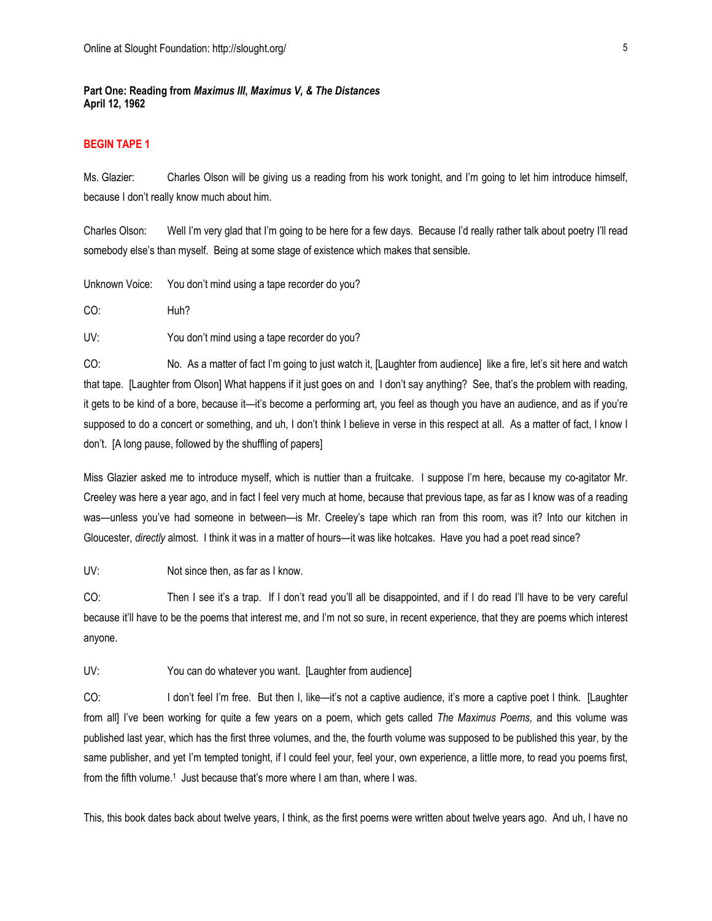# **Part One: Reading from** *Maximus III***,** *Maximus V, & The Distances* **April 12, 1962**

### **BEGIN TAPE 1**

Ms. Glazier: Charles Olson will be giving us a reading from his work tonight, and I'm going to let him introduce himself, because I don't really know much about him.

Charles Olson: Well I'm very glad that I'm going to be here for a few days. Because I'd really rather talk about poetry I'll read somebody else's than myself. Being at some stage of existence which makes that sensible.

Unknown Voice: You don't mind using a tape recorder do you?

CO: Huh?

UV: You don't mind using a tape recorder do you?

CO: No. As a matter of fact I'm going to just watch it, [Laughter from audience] like a fire, let's sit here and watch that tape. [Laughter from Olson] What happens if it just goes on and I don't say anything? See, that's the problem with reading, it gets to be kind of a bore, because it—it's become a performing art, you feel as though you have an audience, and as if you're supposed to do a concert or something, and uh, I don't think I believe in verse in this respect at all. As a matter of fact, I know I don't. [A long pause, followed by the shuffling of papers]

Miss Glazier asked me to introduce myself, which is nuttier than a fruitcake. I suppose I'm here, because my co-agitator Mr. Creeley was here a year ago, and in fact I feel very much at home, because that previous tape, as far as I know was of a reading was—unless you've had someone in between—is Mr. Creeley's tape which ran from this room, was it? Into our kitchen in Gloucester, *directly* almost. I think it was in a matter of hours—it was like hotcakes. Have you had a poet read since?

UV: Not since then, as far as I know.

CO: Then I see it's a trap. If I don't read you'll all be disappointed, and if I do read I'll have to be very careful because it'll have to be the poems that interest me, and I'm not so sure, in recent experience, that they are poems which interest anyone.

UV: You can do whatever you want. [Laughter from audience]

CO: I don't feel I'm free. But then I, like—it's not a captive audience, it's more a captive poet I think. [Laughter from all] I've been working for quite a few years on a poem, which gets called *The Maximus Poems,* and this volume was published last year, which has the first three volumes, and the, the fourth volume was supposed to be published this year, by the same publisher, and yet I'm tempted tonight, if I could feel your, feel your, own experience, a little more, to read you poems first, from the fifth volume.<sup>1</sup> Just because that's more where I am than, where I was.

This, this book dates back about twelve years, I think, as the first poems were written about twelve years ago. And uh, I have no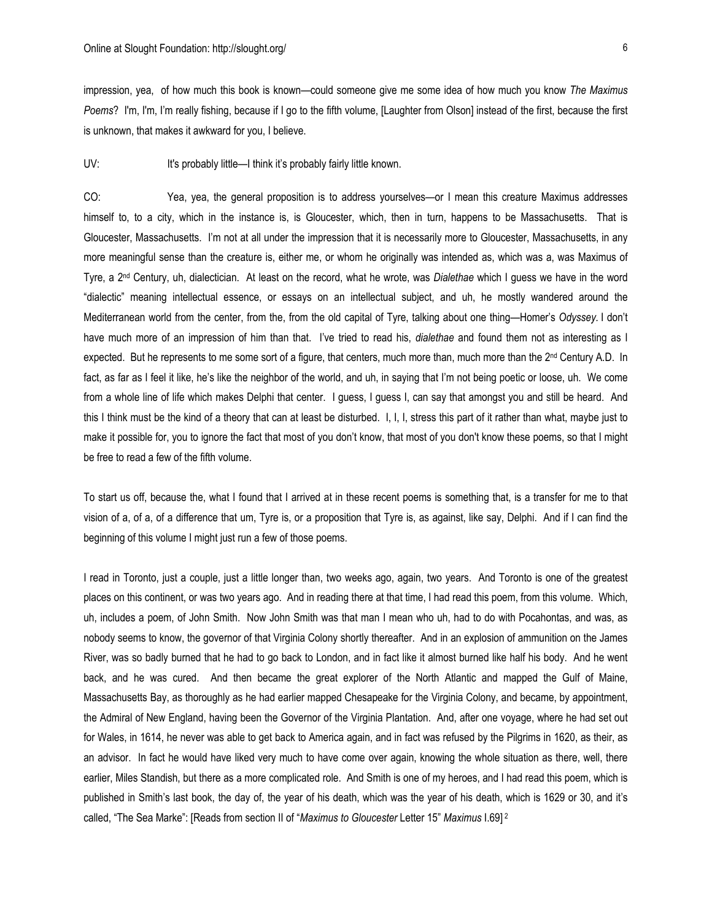impression, yea, of how much this book is known—could someone give me some idea of how much you know *The Maximus Poems*? I'm, I'm, I'm really fishing, because if I go to the fifth volume, [Laughter from Olson] instead of the first, because the first is unknown, that makes it awkward for you, I believe.

### UV: It's probably little—I think it's probably fairly little known.

CO: Yea, yea, the general proposition is to address yourselves—or I mean this creature Maximus addresses himself to, to a city, which in the instance is, is Gloucester, which, then in turn, happens to be Massachusetts. That is Gloucester, Massachusetts. I'm not at all under the impression that it is necessarily more to Gloucester, Massachusetts, in any more meaningful sense than the creature is, either me, or whom he originally was intended as, which was a, was Maximus of Tyre, a 2nd Century, uh, dialectician. At least on the record, what he wrote, was *Dialethae* which I guess we have in the word "dialectic" meaning intellectual essence, or essays on an intellectual subject, and uh, he mostly wandered around the Mediterranean world from the center, from the, from the old capital of Tyre, talking about one thing—Homer's *Odyssey.* I don't have much more of an impression of him than that. I've tried to read his, *dialethae* and found them not as interesting as I expected. But he represents to me some sort of a figure, that centers, much more than, much more than the 2<sup>nd</sup> Century A.D. In fact, as far as I feel it like, he's like the neighbor of the world, and uh, in saying that I'm not being poetic or loose, uh. We come from a whole line of life which makes Delphi that center. I guess, I guess I, can say that amongst you and still be heard. And this I think must be the kind of a theory that can at least be disturbed. I, I, I, stress this part of it rather than what, maybe just to make it possible for, you to ignore the fact that most of you don't know, that most of you don't know these poems, so that I might be free to read a few of the fifth volume.

To start us off, because the, what I found that I arrived at in these recent poems is something that, is a transfer for me to that vision of a, of a, of a difference that um, Tyre is, or a proposition that Tyre is, as against, like say, Delphi. And if I can find the beginning of this volume I might just run a few of those poems.

I read in Toronto, just a couple, just a little longer than, two weeks ago, again, two years. And Toronto is one of the greatest places on this continent, or was two years ago. And in reading there at that time, I had read this poem, from this volume. Which, uh, includes a poem, of John Smith. Now John Smith was that man I mean who uh, had to do with Pocahontas, and was, as nobody seems to know, the governor of that Virginia Colony shortly thereafter. And in an explosion of ammunition on the James River, was so badly burned that he had to go back to London, and in fact like it almost burned like half his body. And he went back, and he was cured. And then became the great explorer of the North Atlantic and mapped the Gulf of Maine, Massachusetts Bay, as thoroughly as he had earlier mapped Chesapeake for the Virginia Colony, and became, by appointment, the Admiral of New England, having been the Governor of the Virginia Plantation. And, after one voyage, where he had set out for Wales, in 1614, he never was able to get back to America again, and in fact was refused by the Pilgrims in 1620, as their, as an advisor. In fact he would have liked very much to have come over again, knowing the whole situation as there, well, there earlier, Miles Standish, but there as a more complicated role. And Smith is one of my heroes, and I had read this poem, which is published in Smith's last book, the day of, the year of his death, which was the year of his death, which is 1629 or 30, and it's called, "The Sea Marke": [Reads from section II of "*Maximus to Gloucester* Letter 15" *Maximus* I.69] 2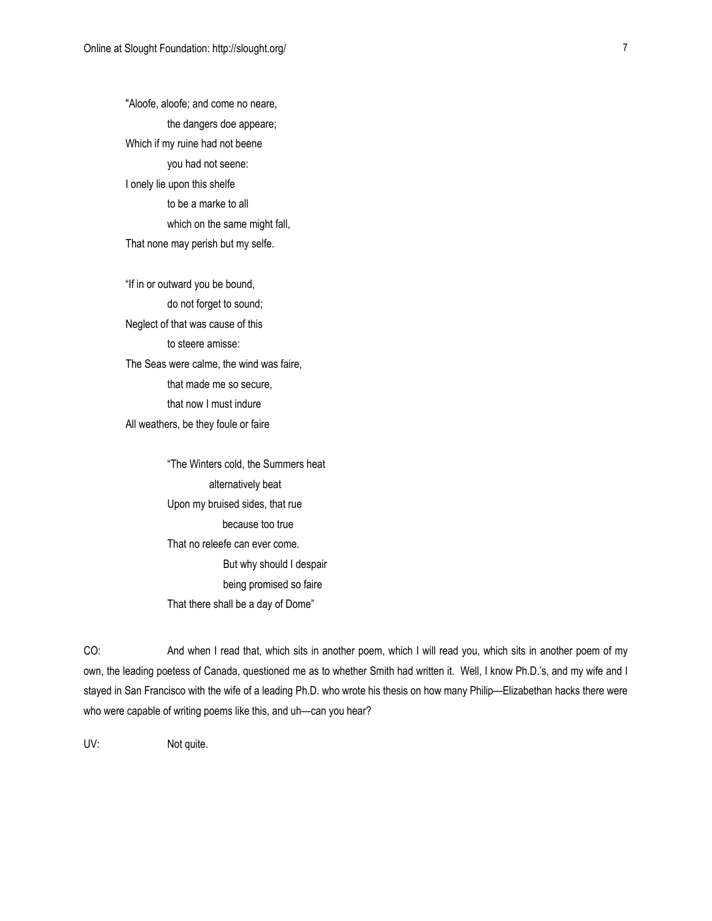"Aloofe, aloofe; and come no neare, the dangers doe appeare; Which if my ruine had not beene you had not seene: I onely lie upon this shelfe to be a marke to all which on the same might fall, That none may perish but my selfe.

"If in or outward you be bound, do not forget to sound; Neglect of that was cause of this to steere amisse: The Seas were calme, the wind was faire, that made me so secure, that now I must indure All weathers, be they foule or faire

> "The Winters cold, the Summers heat alternatively beat Upon my bruised sides, that rue because too true That no releefe can ever come. But why should I despair being promised so faire That there shall be a day of Dome"

CO: And when I read that, which sits in another poem, which I will read you, which sits in another poem of my own, the leading poetess of Canada, questioned me as to whether Smith had written it. Well, I know Ph.D.'s, and my wife and I stayed in San Francisco with the wife of a leading Ph.D. who wrote his thesis on how many Philip—Elizabethan hacks there were who were capable of writing poems like this, and uh—can you hear?

UV: Not quite.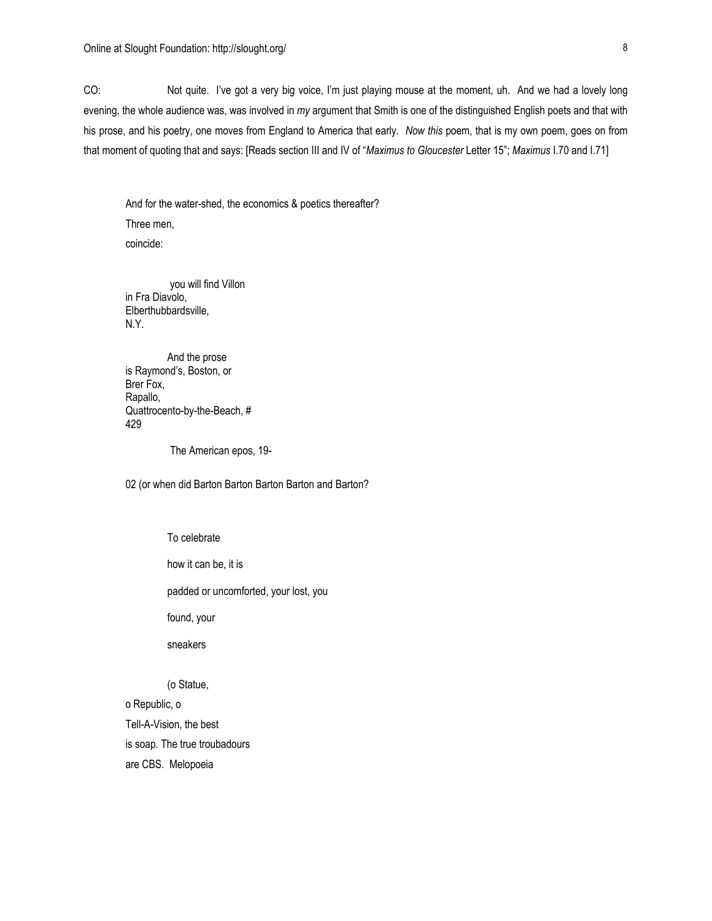CO: Not quite. I've got a very big voice, I'm just playing mouse at the moment, uh. And we had a lovely long evening, the whole audience was, was involved in *my* argument that Smith is one of the distinguished English poets and that with his prose, and his poetry, one moves from England to America that early. *Now this* poem, that is my own poem, goes on from that moment of quoting that and says: [Reads section III and IV of "*Maximus to Gloucester* Letter 15"; *Maximus* I.70 and I.71]

And for the water-shed, the economics & poetics thereafter? Three men, coincide:

 you will find Villon in Fra Diavolo, Elberthubbardsville, N.Y.

And the prose is Raymond's, Boston, or Brer Fox, Rapallo, Quattrocento-by-the-Beach, *#* 429

The American epos, 19-

02 (or when did Barton Barton Barton Barton and Barton?

To celebrate

how it can be, it is

padded or uncomforted, your lost, you

found, your

sneakers

(o Statue,

o Republic, o

Tell-A-Vision, the best

is soap. The true troubadours

are CBS. Melopoeia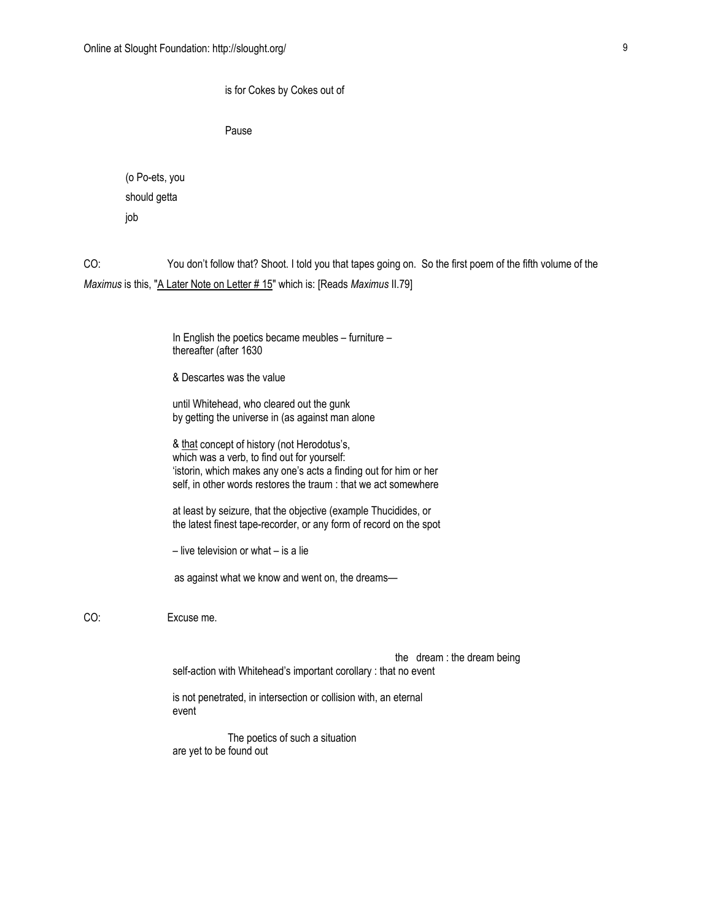is for Cokes by Cokes out of

Pause

(o Po-ets, you should getta job

CO: You don't follow that? Shoot. I told you that tapes going on. So the first poem of the fifth volume of the *Maximus* is this, "A Later Note on Letter # 15" which is: [Reads *Maximus* II.79]

> In English the poetics became meubles – furniture – thereafter (after 1630

& Descartes was the value

 until Whitehead, who cleared out the gunk by getting the universe in (as against man alone

& that concept of history (not Herodotus's, which was a verb, to find out for yourself: 'istorin, which makes any one's acts a finding out for him or her self, in other words restores the traum : that we act somewhere

 at least by seizure, that the objective (example Thucidides, or the latest finest tape-recorder, or any form of record on the spot

– live television or what – is a lie

as against what we know and went on, the dreams—

CO: Excuse me.

 the dream : the dream being self-action with Whitehead's important corollary : that no event

 is not penetrated, in intersection or collision with, an eternal event

 The poetics of such a situation are yet to be found out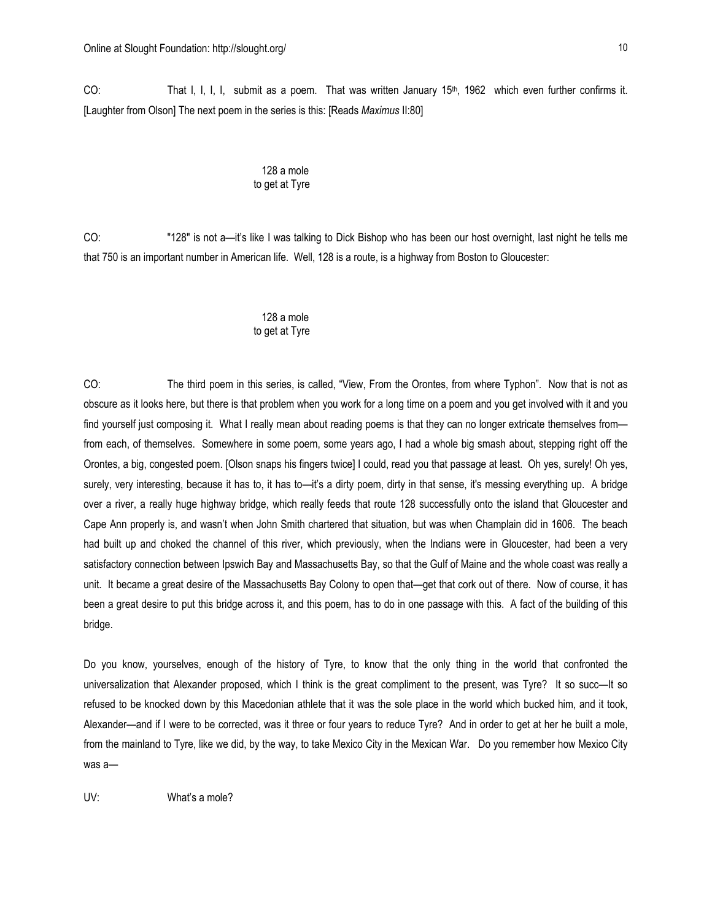CO: That I, I, I, I, submit as a poem. That was written January 15<sup>th</sup>, 1962 which even further confirms it. [Laughter from Olson] The next poem in the series is this: [Reads *Maximus* II:80]

# 128 a mole to get at Tyre

CO: "128" is not a—it's like I was talking to Dick Bishop who has been our host overnight, last night he tells me that 750 is an important number in American life. Well, 128 is a route, is a highway from Boston to Gloucester:

# 128 a mole to get at Tyre

CO: The third poem in this series, is called, "View, From the Orontes, from where Typhon". Now that is not as obscure as it looks here, but there is that problem when you work for a long time on a poem and you get involved with it and you find yourself just composing it. What I really mean about reading poems is that they can no longer extricate themselves from from each, of themselves. Somewhere in some poem, some years ago, I had a whole big smash about, stepping right off the Orontes, a big, congested poem. [Olson snaps his fingers twice] I could, read you that passage at least. Oh yes, surely! Oh yes, surely, very interesting, because it has to, it has to—it's a dirty poem, dirty in that sense, it's messing everything up. A bridge over a river, a really huge highway bridge, which really feeds that route 128 successfully onto the island that Gloucester and Cape Ann properly is, and wasn't when John Smith chartered that situation, but was when Champlain did in 1606. The beach had built up and choked the channel of this river, which previously, when the Indians were in Gloucester, had been a very satisfactory connection between Ipswich Bay and Massachusetts Bay, so that the Gulf of Maine and the whole coast was really a unit. It became a great desire of the Massachusetts Bay Colony to open that—get that cork out of there. Now of course, it has been a great desire to put this bridge across it, and this poem, has to do in one passage with this. A fact of the building of this bridge.

Do you know, yourselves, enough of the history of Tyre, to know that the only thing in the world that confronted the universalization that Alexander proposed, which I think is the great compliment to the present, was Tyre? It so succ—It so refused to be knocked down by this Macedonian athlete that it was the sole place in the world which bucked him, and it took, Alexander—and if I were to be corrected, was it three or four years to reduce Tyre? And in order to get at her he built a mole, from the mainland to Tyre, like we did, by the way, to take Mexico City in the Mexican War. Do you remember how Mexico City was a—

UV: What's a mole?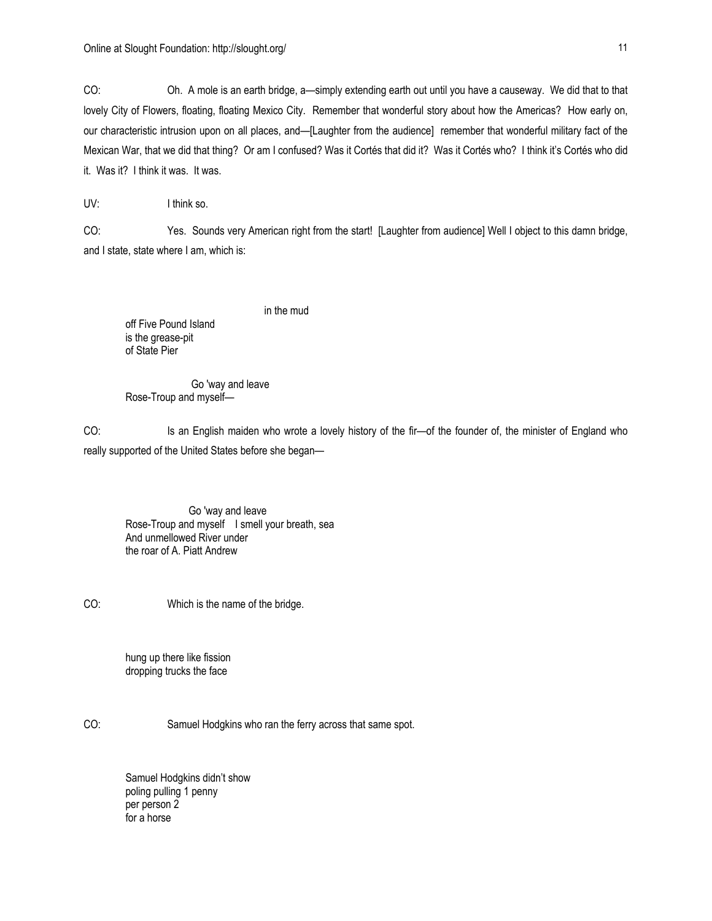CO: Oh. A mole is an earth bridge, a—simply extending earth out until you have a causeway. We did that to that lovely City of Flowers, floating, floating Mexico City. Remember that wonderful story about how the Americas? How early on, our characteristic intrusion upon on all places, and—[Laughter from the audience] remember that wonderful military fact of the Mexican War, that we did that thing? Or am I confused? Was it Cortés that did it? Was it Cortés who? I think it's Cortés who did it. Was it? I think it was. It was.

UV: I think so.

CO: Yes. Sounds very American right from the start! [Laughter from audience] Well I object to this damn bridge, and I state, state where I am, which is:

in the mud

off Five Pound Island is the grease-pit of State Pier

 Go 'way and leave Rose-Troup and myself—

CO: Is an English maiden who wrote a lovely history of the fir-of the founder of, the minister of England who really supported of the United States before she began—

 Go 'way and leave Rose-Troup and myself I smell your breath, sea And unmellowed River under the roar of A. Piatt Andrew

CO: Which is the name of the bridge.

hung up there like fission dropping trucks the face

CO: Samuel Hodgkins who ran the ferry across that same spot.

Samuel Hodgkins didn't show poling pulling 1 penny per person 2 for a horse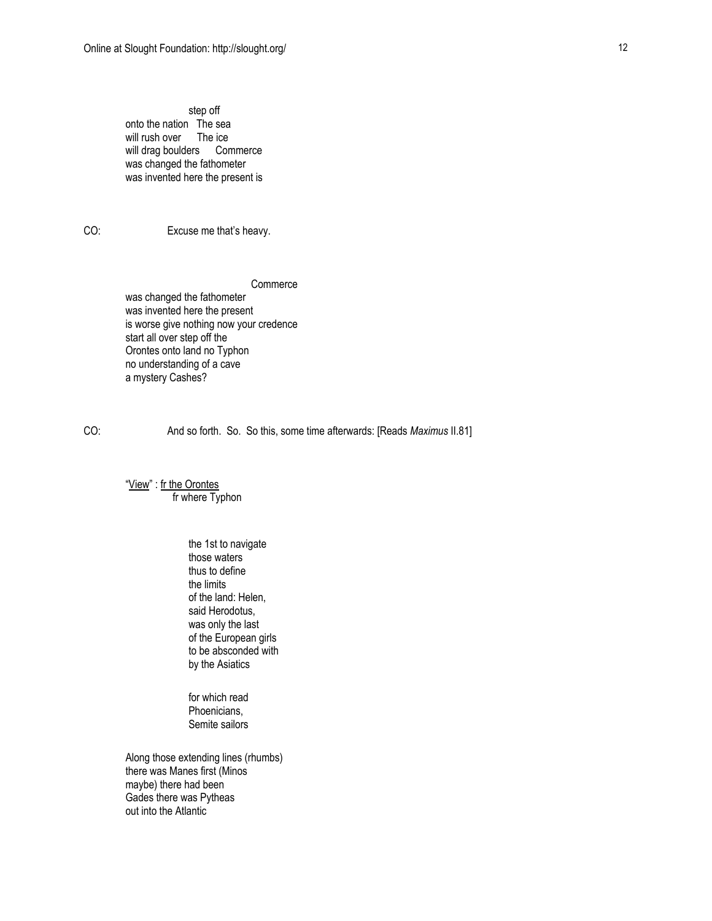step off onto the nation The sea will rush over The ice will drag boulders Commerce was changed the fathometer was invented here the present is

CO: Excuse me that's heavy.

#### **Commerce**

was changed the fathometer was invented here the present is worse give nothing now your credence start all over step off the Orontes onto land no Typhon no understanding of a cave a mystery Cashes?

CO: And so forth. So. So this, some time afterwards: [Reads *Maximus* II.81]

"View" : fr the Orontes fr where Typhon

> the 1st to navigate those waters thus to define the limits of the land: Helen, said Herodotus, was only the last of the European girls to be absconded with by the Asiatics

 for which read Phoenicians, Semite sailors

Along those extending lines (rhumbs) there was Manes first (Minos maybe) there had been Gades there was Pytheas out into the Atlantic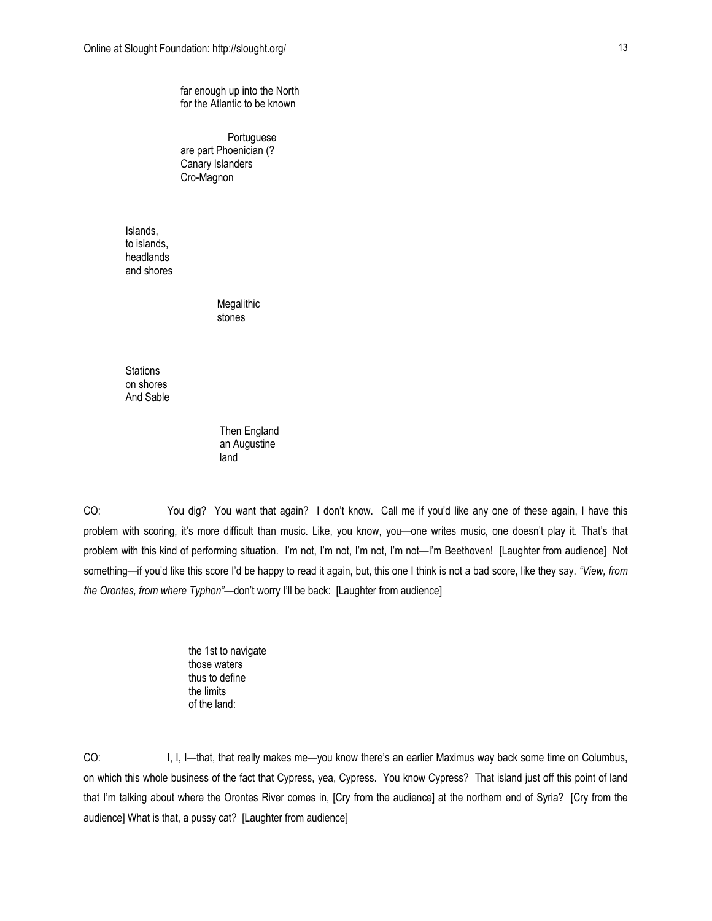far enough up into the North for the Atlantic to be known

 Portuguese are part Phoenician (? Canary Islanders Cro-Magnon

Islands, to islands, headlands and shores

> **Megalithic** stones

**Stations** on shores And Sable

> Then England an Augustine land

CO: You dig? You want that again? I don't know. Call me if you'd like any one of these again, I have this problem with scoring, it's more difficult than music. Like, you know, you—one writes music, one doesn't play it. That's that problem with this kind of performing situation. I'm not, I'm not, I'm not, I'm not—I'm Beethoven! [Laughter from audience] Not something—if you'd like this score I'd be happy to read it again, but, this one I think is not a bad score, like they say. *"View, from the Orontes, from where Typhon"*—don't worry I'll be back: [Laughter from audience]

> the 1st to navigate those waters thus to define the limits of the land:

CO: I, I, I—that, that really makes me—you know there's an earlier Maximus way back some time on Columbus, on which this whole business of the fact that Cypress, yea, Cypress. You know Cypress? That island just off this point of land that I'm talking about where the Orontes River comes in, [Cry from the audience] at the northern end of Syria? [Cry from the audience] What is that, a pussy cat? [Laughter from audience]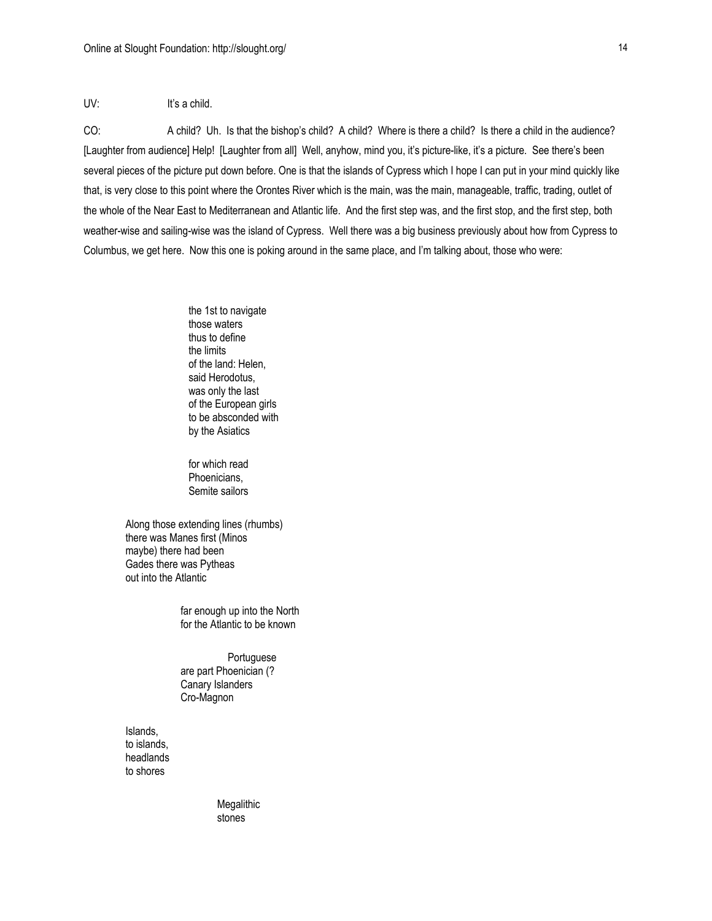# UV: It's a child.

CO: A child? Uh. Is that the bishop's child? A child? Where is there a child? Is there a child in the audience? [Laughter from audience] Help! [Laughter from all] Well, anyhow, mind you, it's picture-like, it's a picture. See there's been several pieces of the picture put down before. One is that the islands of Cypress which I hope I can put in your mind quickly like that, is very close to this point where the Orontes River which is the main, was the main, manageable, traffic, trading, outlet of the whole of the Near East to Mediterranean and Atlantic life. And the first step was, and the first stop, and the first step, both weather-wise and sailing-wise was the island of Cypress. Well there was a big business previously about how from Cypress to Columbus, we get here. Now this one is poking around in the same place, and I'm talking about, those who were:

> the 1st to navigate those waters thus to define the limits of the land: Helen, said Herodotus, was only the last of the European girls to be absconded with by the Asiatics

 for which read Phoenicians, Semite sailors

Along those extending lines (rhumbs) there was Manes first (Minos maybe) there had been Gades there was Pytheas out into the Atlantic

> far enough up into the North for the Atlantic to be known

 Portuguese are part Phoenician (? Canary Islanders Cro-Magnon

Islands, to islands, headlands to shores

> Megalithic stones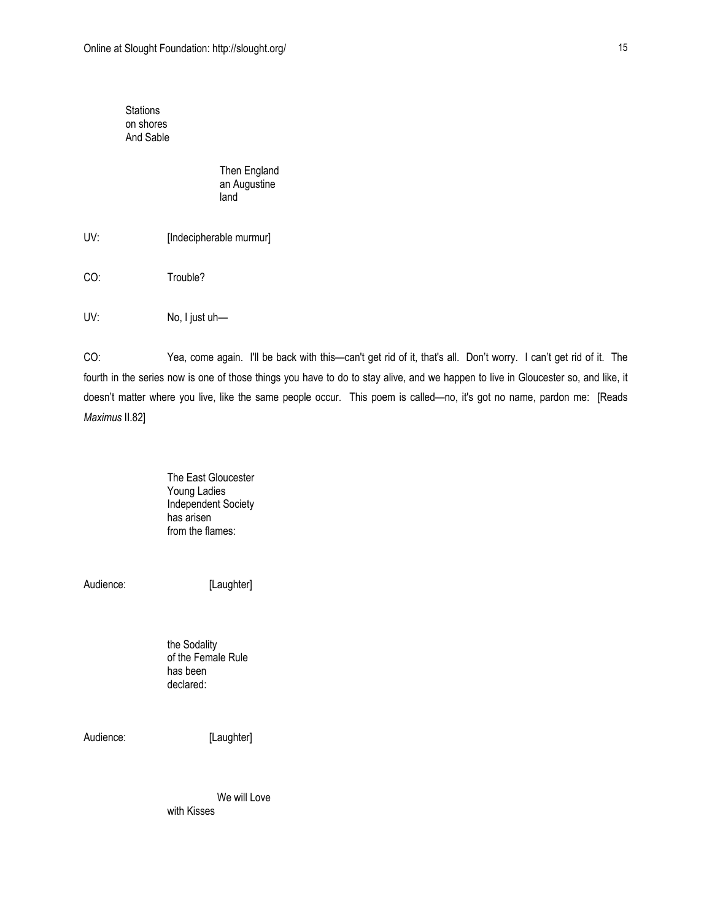## **Stations** on shores And Sable

### Then England an Augustine land

- UV: [Indecipherable murmur]
- CO: Trouble?
- UV: No, I just uh—

CO: Yea, come again. I'll be back with this—can't get rid of it, that's all. Don't worry. I can't get rid of it. The fourth in the series now is one of those things you have to do to stay alive, and we happen to live in Gloucester so, and like, it doesn't matter where you live, like the same people occur. This poem is called—no, it's got no name, pardon me: [Reads *Maximus* II.82]

> The East Gloucester Young Ladies Independent Society has arisen from the flames:

Audience: [Laughter]

 the Sodality of the Female Rule has been declared:

Audience: [Laughter]

 We will Love with Kisses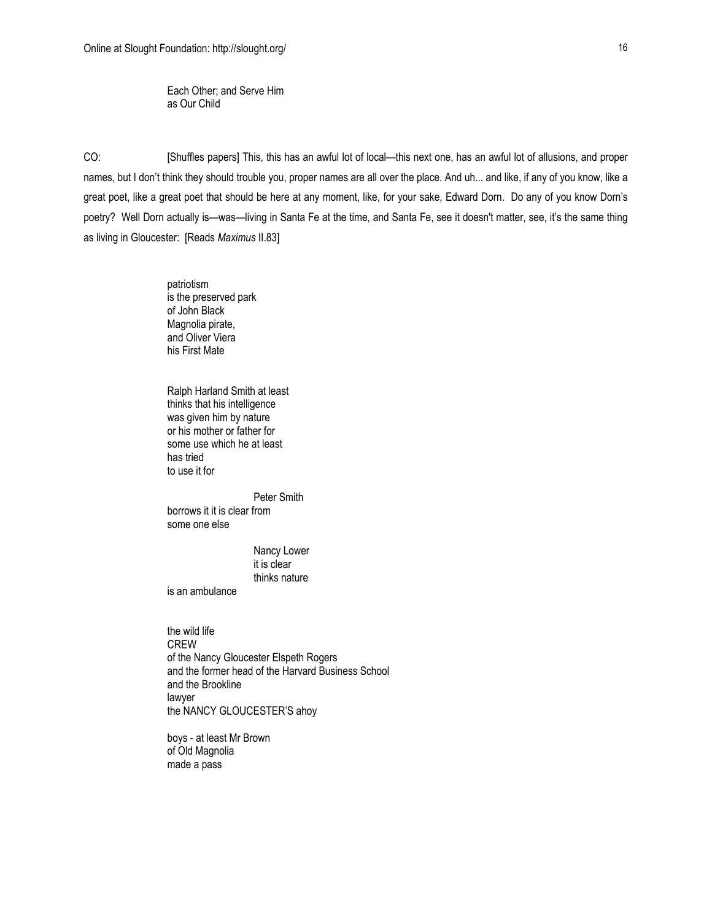Each Other; and Serve Him as Our Child

CO: [Shuffles papers] This, this has an awful lot of local—this next one, has an awful lot of allusions, and proper names, but I don't think they should trouble you, proper names are all over the place. And uh... and like, if any of you know, like a great poet, like a great poet that should be here at any moment, like, for your sake, Edward Dorn. Do any of you know Dorn's poetry? Well Dorn actually is—was—living in Santa Fe at the time, and Santa Fe, see it doesn't matter, see, it's the same thing as living in Gloucester: [Reads *Maximus* II.83]

> patriotism is the preserved park of John Black Magnolia pirate, and Oliver Viera his First Mate Ralph Harland Smith at least thinks that his intelligence was given him by nature or his mother or father for some use which he at least has tried to use it for Peter Smith borrows it it is clear from some one else Nancy Lower it is clear thinks nature is an ambulance

the wild life CREW of the Nancy Gloucester Elspeth Rogers and the former head of the Harvard Business School and the Brookline lawyer the NANCY GLOUCESTER'S ahoy

boys - at least Mr Brown of Old Magnolia made a pass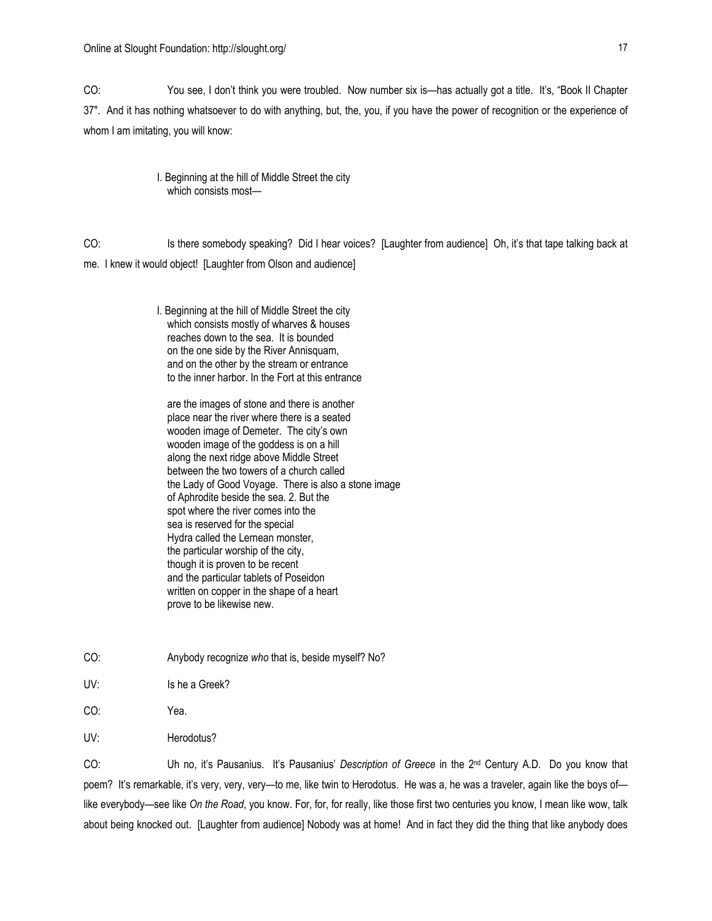CO: You see, I don't think you were troubled. Now number six is—has actually got a title. It's, "Book II Chapter 37". And it has nothing whatsoever to do with anything, but, the, you, if you have the power of recognition or the experience of whom I am imitating, you will know:

## I. Beginning at the hill of Middle Street the city which consists most—

CO: Is there somebody speaking? Did I hear voices? [Laughter from audience] Oh, it's that tape talking back at me. I knew it would object! [Laughter from Olson and audience]

> I. Beginning at the hill of Middle Street the city which consists mostly of wharves & houses reaches down to the sea. It is bounded on the one side by the River Annisquam, and on the other by the stream or entrance to the inner harbor. In the Fort at this entrance

are the images of stone and there is another place near the river where there is a seated wooden image of Demeter. The city's own wooden image of the goddess is on a hill along the next ridge above Middle Street between the two towers of a church called the Lady of Good Voyage. There is also a stone image of Aphrodite beside the sea. 2. But the spot where the river comes into the sea is reserved for the special Hydra called the Lernean monster, the particular worship of the city, though it is proven to be recent and the particular tablets of Poseidon written on copper in the shape of a heart prove to be likewise new.

- CO: Anybody recognize *who* that is, beside myself? No?
- UV: Is he a Greek?
- CO: Yea.
- UV: Herodotus?

CO: Uh no, it's Pausanius. It's Pausanius' *Description of Greece* in the 2nd Century A.D. Do you know that poem? It's remarkable, it's very, very, very—to me, like twin to Herodotus. He was a, he was a traveler, again like the boys of like everybody—see like *On the Road*, you know. For, for, for really, like those first two centuries you know, I mean like wow, talk about being knocked out. [Laughter from audience] Nobody was at home! And in fact they did the thing that like anybody does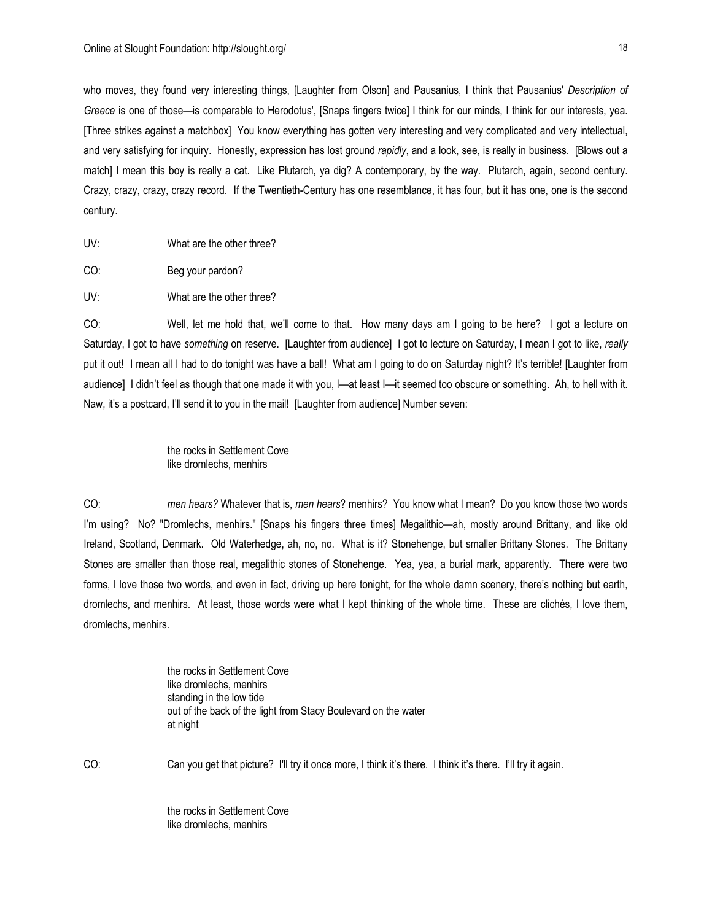who moves, they found very interesting things, [Laughter from Olson] and Pausanius, I think that Pausanius' *Description of Greece* is one of those—is comparable to Herodotus', [Snaps fingers twice] I think for our minds, I think for our interests, yea. [Three strikes against a matchbox] You know everything has gotten very interesting and very complicated and very intellectual, and very satisfying for inquiry. Honestly, expression has lost ground *rapidly*, and a look, see, is really in business. [Blows out a match] I mean this boy is really a cat. Like Plutarch, ya dig? A contemporary, by the way. Plutarch, again, second century. Crazy, crazy, crazy, crazy record. If the Twentieth-Century has one resemblance, it has four, but it has one, one is the second century.

UV: What are the other three?

CO: Beg your pardon?

UV: What are the other three?

CO: Well, let me hold that, we'll come to that. How many days am I going to be here? I got a lecture on Saturday, I got to have *something* on reserve. [Laughter from audience] I got to lecture on Saturday, I mean I got to like, *really* put it out! I mean all I had to do tonight was have a ball! What am I going to do on Saturday night? It's terrible! [Laughter from audience] I didn't feel as though that one made it with you, I—at least I—it seemed too obscure or something. Ah, to hell with it. Naw, it's a postcard, I'll send it to you in the mail! [Laughter from audience] Number seven:

### the rocks in Settlement Cove like dromlechs, menhirs

CO: *men hears?* Whatever that is, *men hears*? menhirs? You know what I mean? Do you know those two words I'm using? No? "Dromlechs, menhirs." [Snaps his fingers three times] Megalithic—ah, mostly around Brittany, and like old Ireland, Scotland, Denmark. Old Waterhedge, ah, no, no. What is it? Stonehenge, but smaller Brittany Stones. The Brittany Stones are smaller than those real, megalithic stones of Stonehenge. Yea, yea, a burial mark, apparently. There were two forms, I love those two words, and even in fact, driving up here tonight, for the whole damn scenery, there's nothing but earth, dromlechs, and menhirs. At least, those words were what I kept thinking of the whole time. These are clichés, I love them, dromlechs, menhirs.

> the rocks in Settlement Cove like dromlechs, menhirs standing in the low tide out of the back of the light from Stacy Boulevard on the water at night

CO: Can you get that picture? I'll try it once more, I think it's there. I think it's there. I'll try it again.

the rocks in Settlement Cove like dromlechs, menhirs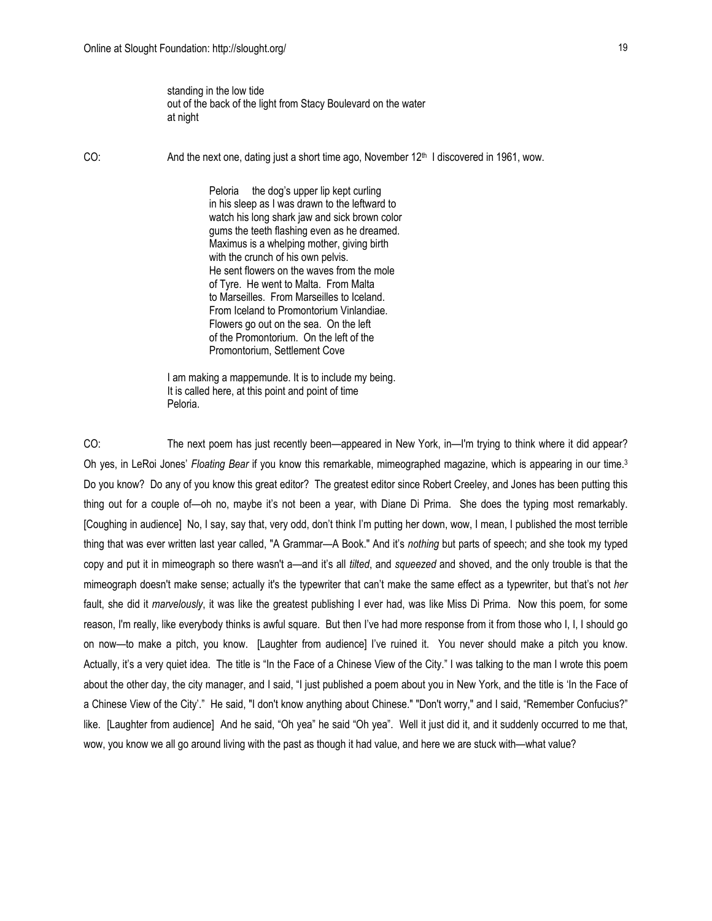standing in the low tide out of the back of the light from Stacy Boulevard on the water at night

CO: And the next one, dating just a short time ago, November  $12<sup>th</sup>$  I discovered in 1961, wow.

Peloria the dog's upper lip kept curling in his sleep as I was drawn to the leftward to watch his long shark jaw and sick brown color gums the teeth flashing even as he dreamed. Maximus is a whelping mother, giving birth with the crunch of his own pelvis. He sent flowers on the waves from the mole of Tyre. He went to Malta. From Malta to Marseilles. From Marseilles to Iceland. From Iceland to Promontorium Vinlandiae. Flowers go out on the sea. On the left of the Promontorium. On the left of the Promontorium, Settlement Cove

I am making a mappemunde. It is to include my being. It is called here, at this point and point of time Peloria.

CO: The next poem has just recently been—appeared in New York, in—I'm trying to think where it did appear? Oh yes, in LeRoi Jones' *Floating Bear* if you know this remarkable, mimeographed magazine, which is appearing in our time.3 Do you know? Do any of you know this great editor? The greatest editor since Robert Creeley, and Jones has been putting this thing out for a couple of—oh no, maybe it's not been a year, with Diane Di Prima. She does the typing most remarkably. [Coughing in audience] No, I say, say that, very odd, don't think I'm putting her down, wow, I mean, I published the most terrible thing that was ever written last year called, "A Grammar—A Book." And it's *nothing* but parts of speech; and she took my typed copy and put it in mimeograph so there wasn't a—and it's all *tilted*, and *squeezed* and shoved, and the only trouble is that the mimeograph doesn't make sense; actually it's the typewriter that can't make the same effect as a typewriter, but that's not *her* fault, she did it *marvelously*, it was like the greatest publishing I ever had, was like Miss Di Prima. Now this poem, for some reason, I'm really, like everybody thinks is awful square. But then I've had more response from it from those who I, I, I should go on now—to make a pitch, you know. [Laughter from audience] I've ruined it. You never should make a pitch you know. Actually, it's a very quiet idea. The title is "In the Face of a Chinese View of the City." I was talking to the man I wrote this poem about the other day, the city manager, and I said, "I just published a poem about you in New York, and the title is 'In the Face of a Chinese View of the City'." He said, "I don't know anything about Chinese." "Don't worry," and I said, "Remember Confucius?" like. [Laughter from audience] And he said, "Oh yea" he said "Oh yea". Well it just did it, and it suddenly occurred to me that, wow, you know we all go around living with the past as though it had value, and here we are stuck with—what value?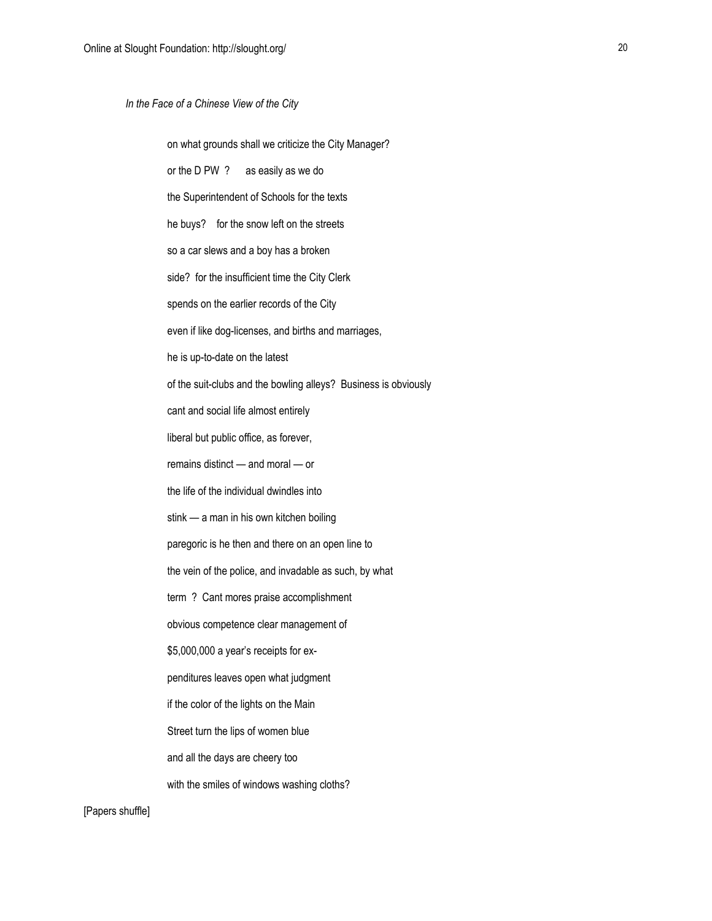### *In the Face of a Chinese View of the City*

on what grounds shall we criticize the City Manager? or the D PW ? as easily as we do the Superintendent of Schools for the texts he buys? for the snow left on the streets so a car slews and a boy has a broken side? for the insufficient time the City Clerk spends on the earlier records of the City even if like dog-licenses, and births and marriages, he is up-to-date on the latest of the suit-clubs and the bowling alleys? Business is obviously cant and social life almost entirely liberal but public office, as forever, remains distinct — and moral — or the life of the individual dwindles into stink — a man in his own kitchen boiling paregoric is he then and there on an open line to the vein of the police, and invadable as such, by what term ? Cant mores praise accomplishment obvious competence clear management of \$5,000,000 a year's receipts for expenditures leaves open what judgment if the color of the lights on the Main Street turn the lips of women blue and all the days are cheery too with the smiles of windows washing cloths?

[Papers shuffle]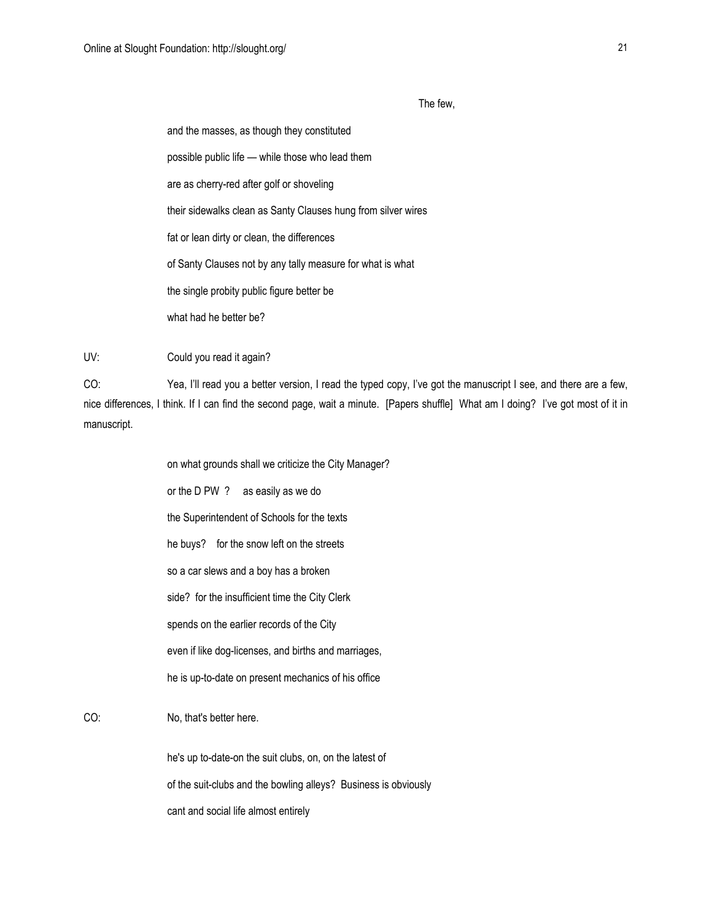and the masses, as though they constituted possible public life — while those who lead them are as cherry-red after golf or shoveling their sidewalks clean as Santy Clauses hung from silver wires fat or lean dirty or clean, the differences of Santy Clauses not by any tally measure for what is what the single probity public figure better be what had he better be?

UV: Could you read it again?

CO: Yea, I'll read you a better version, I read the typed copy, I've got the manuscript I see, and there are a few, nice differences, I think. If I can find the second page, wait a minute. [Papers shuffle] What am I doing? I've got most of it in manuscript.

on what grounds shall we criticize the City Manager? or the D PW ? as easily as we do the Superintendent of Schools for the texts he buys? for the snow left on the streets so a car slews and a boy has a broken side? for the insufficient time the City Clerk spends on the earlier records of the City even if like dog-licenses, and births and marriages, he is up-to-date on present mechanics of his office CO: No, that's better here. he's up to-date-on the suit clubs, on, on the latest of

of the suit-clubs and the bowling alleys? Business is obviously

cant and social life almost entirely

The few,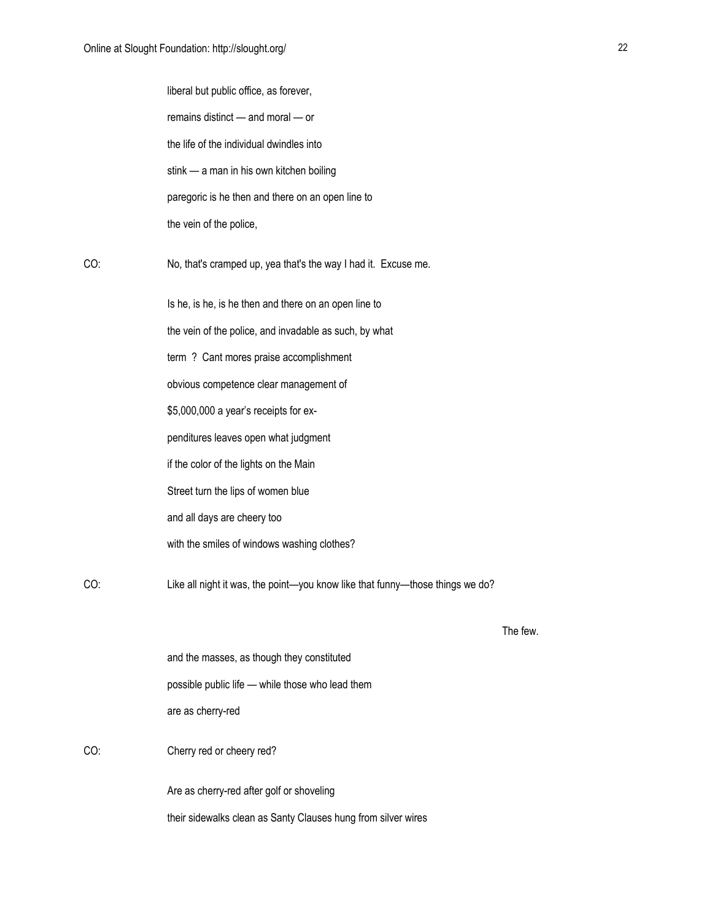liberal but public office, as forever, remains distinct — and moral — or the life of the individual dwindles into stink — a man in his own kitchen boiling paregoric is he then and there on an open line to the vein of the police, CO: No, that's cramped up, yea that's the way I had it. Excuse me. Is he, is he, is he then and there on an open line to the vein of the police, and invadable as such, by what term ? Cant mores praise accomplishment obvious competence clear management of \$5,000,000 a year's receipts for expenditures leaves open what judgment if the color of the lights on the Main Street turn the lips of women blue and all days are cheery too with the smiles of windows washing clothes? CO: Like all night it was, the point—you know like that funny—those things we do? and the masses, as though they constituted

possible public life — while those who lead them

are as cherry-red

CO: Cherry red or cheery red?

Are as cherry-red after golf or shoveling their sidewalks clean as Santy Clauses hung from silver wires The few.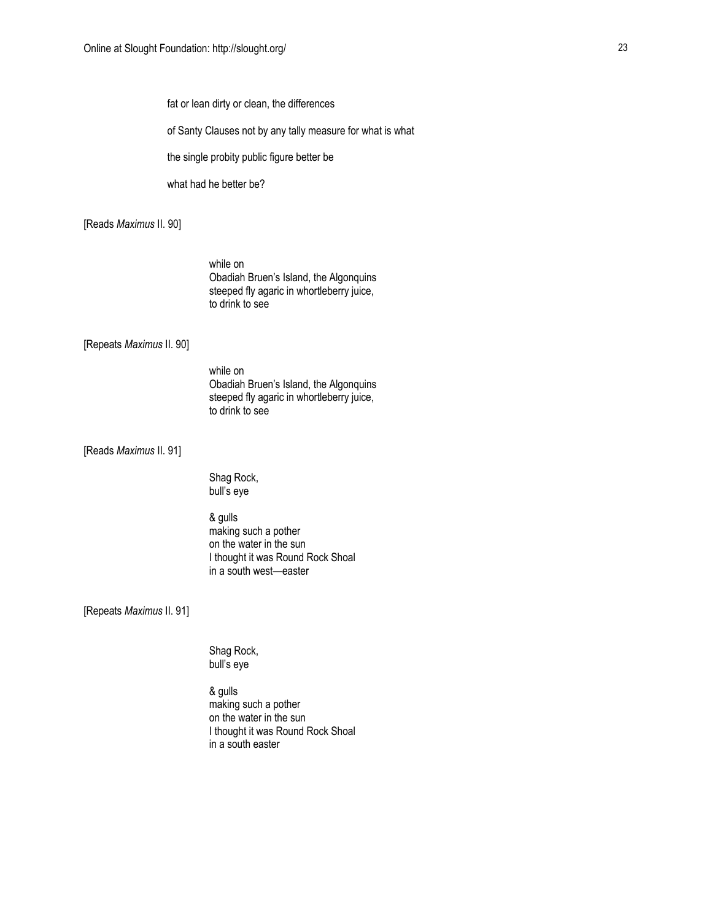fat or lean dirty or clean, the differences

of Santy Clauses not by any tally measure for what is what

the single probity public figure better be

what had he better be?

[Reads *Maximus* II. 90]

 while on Obadiah Bruen's Island, the Algonquins steeped fly agaric in whortleberry juice, to drink to see

## [Repeats *Maximus* II. 90]

while on Obadiah Bruen's Island, the Algonquins steeped fly agaric in whortleberry juice, to drink to see

[Reads *Maximus* II. 91]

Shag Rock, bull's eye

& gulls making such a pother on the water in the sun I thought it was Round Rock Shoal in a south west—easter

[Repeats *Maximus* II. 91]

Shag Rock, bull's eye

& gulls making such a pother on the water in the sun I thought it was Round Rock Shoal in a south easter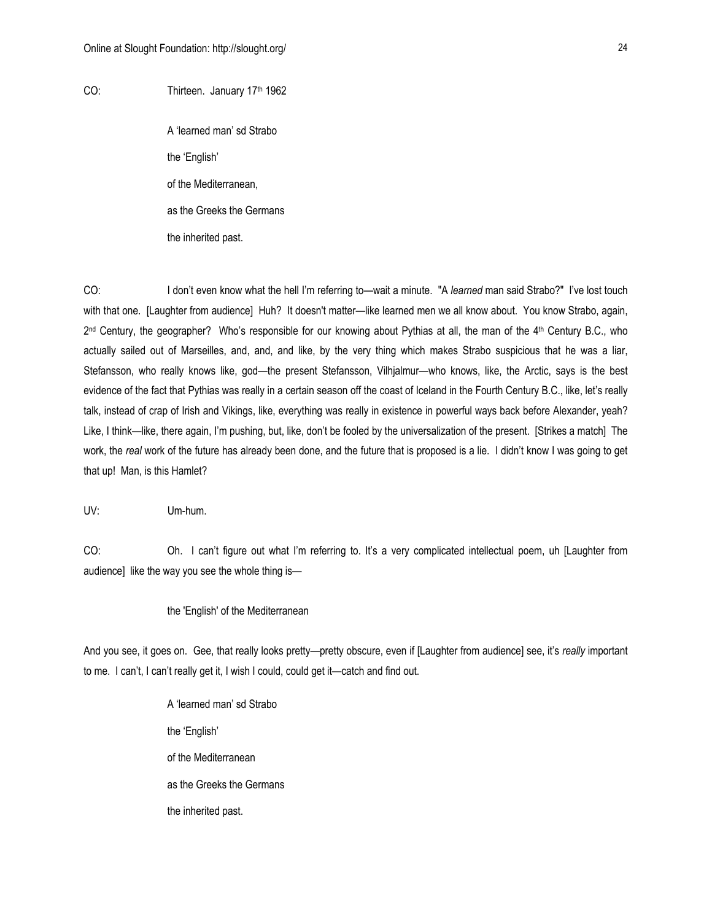CO: Thirteen. January 17<sup>th</sup> 1962

A 'learned man' sd Strabo the 'English' of the Mediterranean, as the Greeks the Germans the inherited past.

CO: I don't even know what the hell I'm referring to—wait a minute. "A *learned* man said Strabo?" I've lost touch with that one. [Laughter from audience] Huh? It doesn't matter—like learned men we all know about. You know Strabo, again,  $2<sup>nd</sup>$  Century, the geographer? Who's responsible for our knowing about Pythias at all, the man of the  $4<sup>th</sup>$  Century B.C., who actually sailed out of Marseilles, and, and, and like, by the very thing which makes Strabo suspicious that he was a liar, Stefansson, who really knows like, god—the present Stefansson, Vilhjalmur—who knows, like, the Arctic, says is the best evidence of the fact that Pythias was really in a certain season off the coast of Iceland in the Fourth Century B.C., like, let's really talk, instead of crap of Irish and Vikings, like, everything was really in existence in powerful ways back before Alexander, yeah? Like, I think—like, there again, I'm pushing, but, like, don't be fooled by the universalization of the present. [Strikes a match] The work, the *real* work of the future has already been done, and the future that is proposed is a lie. I didn't know I was going to get that up! Man, is this Hamlet?

UV: Um-hum.

CO: Oh. I can't figure out what I'm referring to. It's a very complicated intellectual poem, uh [Laughter from audience] like the way you see the whole thing is—

#### the 'English' of the Mediterranean

And you see, it goes on. Gee, that really looks pretty—pretty obscure, even if [Laughter from audience] see, it's *really* important to me. I can't, I can't really get it, I wish I could, could get it—catch and find out.

> A 'learned man' sd Strabo the 'English' of the Mediterranean as the Greeks the Germans the inherited past.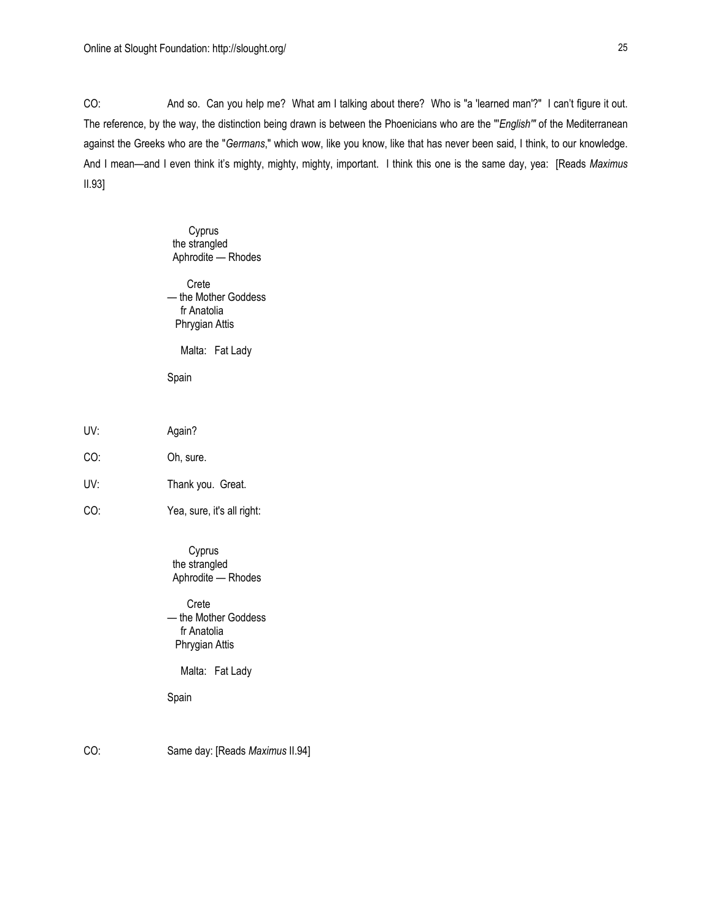CO: And so. Can you help me? What am I talking about there? Who is "a 'learned man'?" I can't figure it out. The reference, by the way, the distinction being drawn is between the Phoenicians who are the "'*English'"* of the Mediterranean against the Greeks who are the "*Germans*," which wow, like you know, like that has never been said, I think, to our knowledge. And I mean—and I even think it's mighty, mighty, mighty, important. I think this one is the same day, yea: [Reads *Maximus* II.93]

## Cyprus the strangled Aphrodite — Rhodes

 Crete — the Mother Goddess fr Anatolia Phrygian Attis

Malta: Fat Lady

Spain

- UV: Again?
- CO: Oh, sure.
- UV: Thank you. Great.
- CO: Yea, sure, it's all right:

 Cyprus the strangled Aphrodite — Rhodes

 Crete — the Mother Goddess fr Anatolia Phrygian Attis

Malta: Fat Lady

Spain

CO: Same day: [Reads *Maximus* II.94]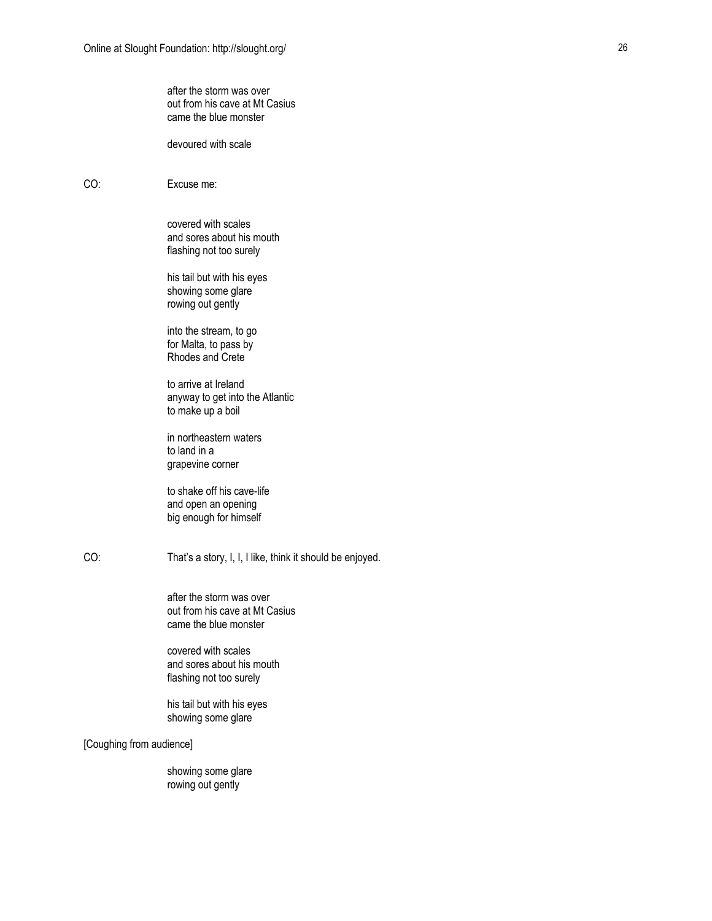after the storm was over out from his cave at Mt Casius came the blue monster devoured with scale CO: Excuse me: covered with scales and sores about his mouth flashing not too surely his tail but with his eyes showing some glare rowing out gently into the stream, to go for Malta, to pass by Rhodes and Crete to arrive at Ireland anyway to get into the Atlantic to make up a boil in northeastern waters to land in a grapevine corner to shake off his cave-life and open an opening big enough for himself CO: That's a story, I, I, I like, think it should be enjoyed. after the storm was over out from his cave at Mt Casius came the blue monster covered with scales and sores about his mouth flashing not too surely his tail but with his eyes showing some glare

[Coughing from audience]

 showing some glare rowing out gently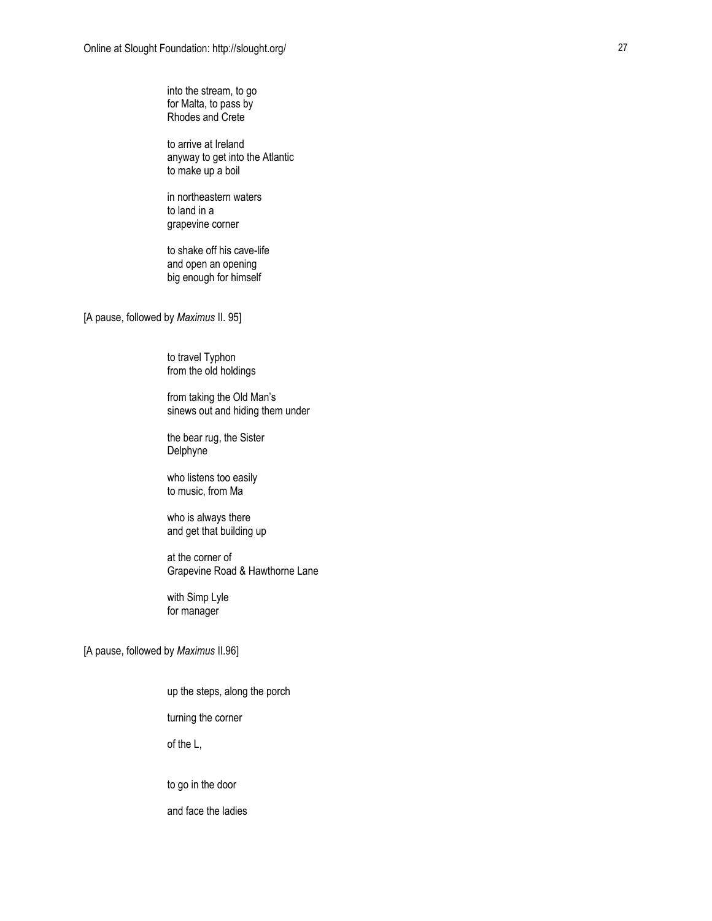into the stream, to go for Malta, to pass by Rhodes and Crete

to arrive at Ireland anyway to get into the Atlantic to make up a boil

in northeastern waters to land in a grapevine corner

to shake off his cave-life and open an opening big enough for himself

[A pause, followed by *Maximus* II. 95]

to travel Typhon from the old holdings

from taking the Old Man's sinews out and hiding them under

the bear rug, the Sister Delphyne

who listens too easily to music, from Ma

who is always there and get that building up

at the corner of Grapevine Road & Hawthorne Lane

with Simp Lyle for manager

[A pause, followed by *Maximus* II.96]

up the steps, along the porch

turning the corner

of the L,

to go in the door

and face the ladies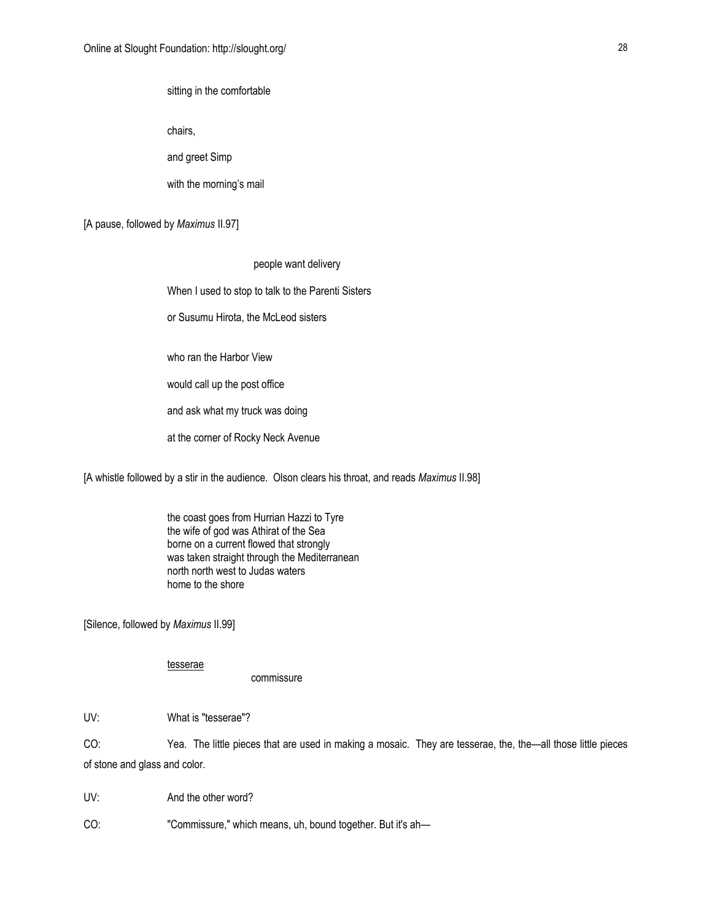sitting in the comfortable

chairs,

and greet Simp

with the morning's mail

[A pause, followed by *Maximus* II.97]

people want delivery

When I used to stop to talk to the Parenti Sisters

or Susumu Hirota, the McLeod sisters

who ran the Harbor View

would call up the post office

and ask what my truck was doing

at the corner of Rocky Neck Avenue

[A whistle followed by a stir in the audience. Olson clears his throat, and reads *Maximus* II.98]

the coast goes from Hurrian Hazzi to Tyre the wife of god was Athirat of the Sea borne on a current flowed that strongly was taken straight through the Mediterranean north north west to Judas waters home to the shore

[Silence, followed by *Maximus* II.99]

#### tesserae

commissure

UV: What is "tesserae"?

CO: Yea. The little pieces that are used in making a mosaic. They are tesserae, the, the—all those little pieces of stone and glass and color.

UV: And the other word?

CO: "Commissure," which means, uh, bound together. But it's ah—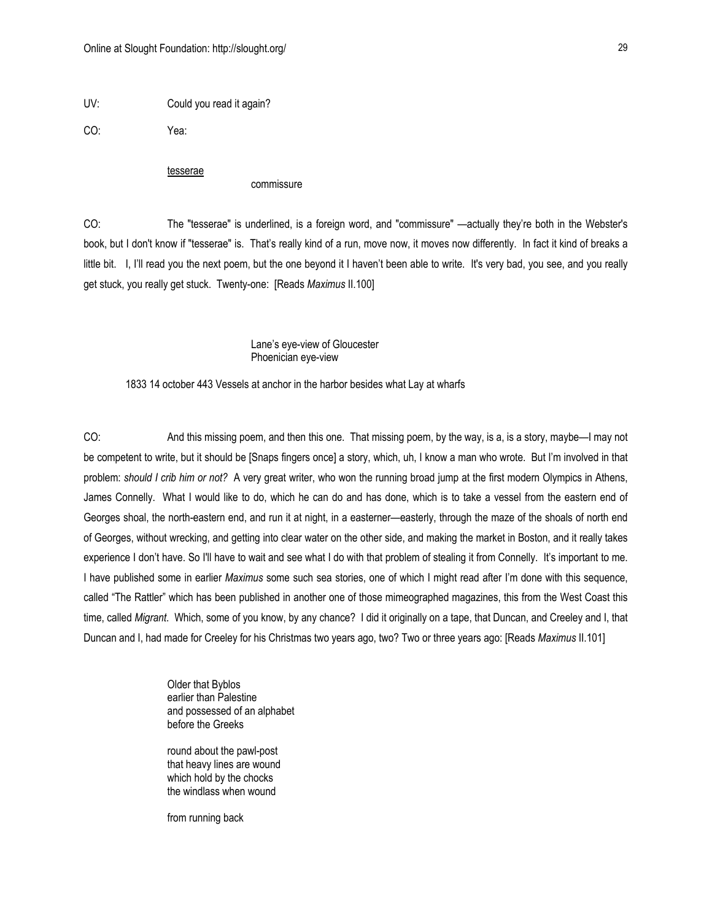# UV: Could you read it again?

CO: Yea:

#### tesserae

commissure

CO: The "tesserae" is underlined, is a foreign word, and "commissure" —actually they're both in the Webster's book, but I don't know if "tesserae" is. That's really kind of a run, move now, it moves now differently. In fact it kind of breaks a little bit. I, I'll read you the next poem, but the one beyond it I haven't been able to write. It's very bad, you see, and you really get stuck, you really get stuck. Twenty-one: [Reads *Maximus* II.100]

### Lane's eye-view of Gloucester Phoenician eye-view

1833 14 october 443 Vessels at anchor in the harbor besides what Lay at wharfs

CO: And this missing poem, and then this one. That missing poem, by the way, is a, is a story, maybe—I may not be competent to write, but it should be [Snaps fingers once] a story, which, uh, I know a man who wrote. But I'm involved in that problem: *should I crib him or not?* A very great writer, who won the running broad jump at the first modern Olympics in Athens, James Connelly. What I would like to do, which he can do and has done, which is to take a vessel from the eastern end of Georges shoal, the north-eastern end, and run it at night, in a easterner—easterly, through the maze of the shoals of north end of Georges, without wrecking, and getting into clear water on the other side, and making the market in Boston, and it really takes experience I don't have. So I'll have to wait and see what I do with that problem of stealing it from Connelly. It's important to me. I have published some in earlier *Maximus* some such sea stories, one of which I might read after I'm done with this sequence, called "The Rattler" which has been published in another one of those mimeographed magazines, this from the West Coast this time, called *Migrant*. Which, some of you know, by any chance? I did it originally on a tape, that Duncan, and Creeley and I, that Duncan and I, had made for Creeley for his Christmas two years ago, two? Two or three years ago: [Reads *Maximus* II.101]

> Older that Byblos earlier than Palestine and possessed of an alphabet before the Greeks

round about the pawl-post that heavy lines are wound which hold by the chocks the windlass when wound

from running back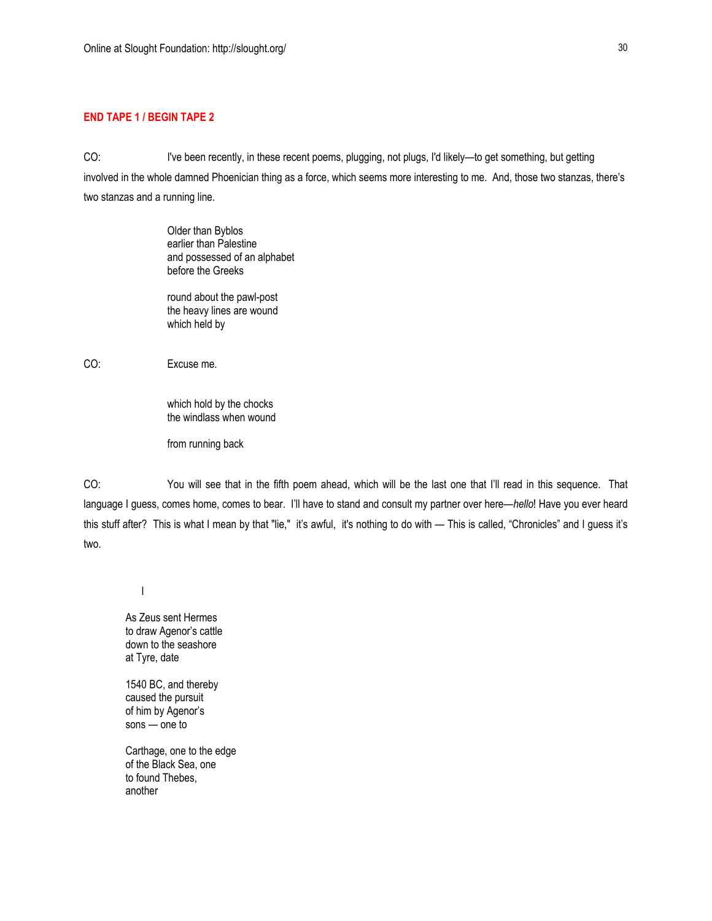# **END TAPE 1 / BEGIN TAPE 2**

CO: I've been recently, in these recent poems, plugging, not plugs, I'd likely—to get something, but getting involved in the whole damned Phoenician thing as a force, which seems more interesting to me. And, those two stanzas, there's two stanzas and a running line.

> Older than Byblos earlier than Palestine and possessed of an alphabet before the Greeks

round about the pawl-post the heavy lines are wound which held by

CO: Excuse me.

which hold by the chocks the windlass when wound

from running back

CO: You will see that in the fifth poem ahead, which will be the last one that I'll read in this sequence. That language I guess, comes home, comes to bear. I'll have to stand and consult my partner over here—*hello*! Have you ever heard this stuff after? This is what I mean by that "lie," it's awful, it's nothing to do with — This is called, "Chronicles" and I guess it's two.

# I

As Zeus sent Hermes to draw Agenor's cattle down to the seashore at Tyre, date

1540 BC, and thereby caused the pursuit of him by Agenor's sons — one to

Carthage, one to the edge of the Black Sea, one to found Thebes, another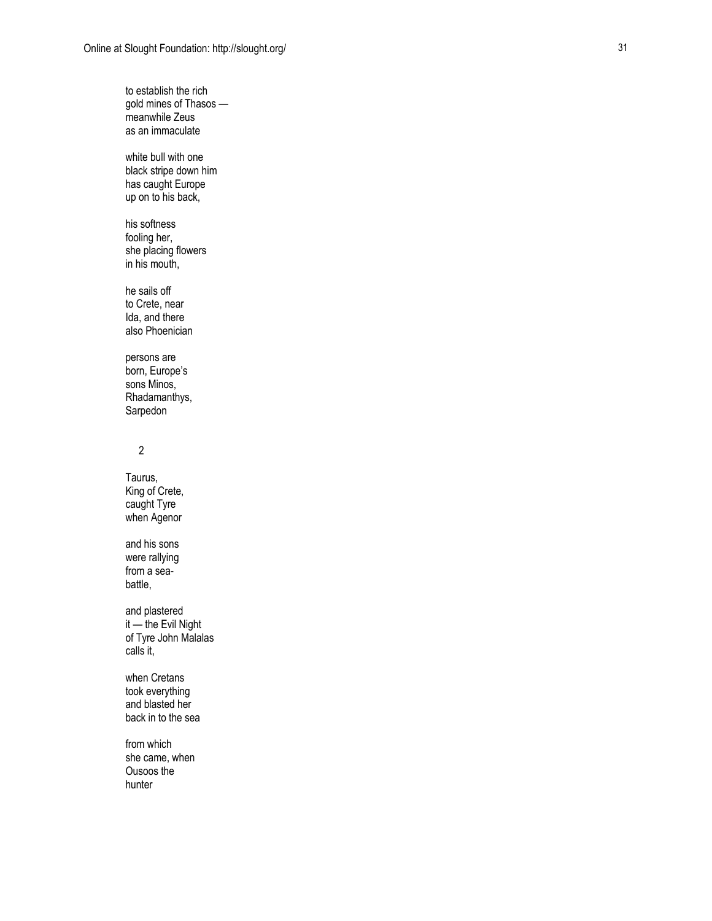to establish the rich gold mines of Thasos meanwhile Zeus as an immaculate

white bull with one black stripe down him has caught Europe up on to his back,

his softness fooling her, she placing flowers in his mouth,

he sails off to Crete, near Ida, and there also Phoenician

persons are born, Europe's sons Minos, Rhadamanthys, Sarpedon

# 2

Taurus, King of Crete, caught Tyre when Agenor

and his sons were rallying from a seabattle,

and plastered it — the Evil Night of Tyre John Malalas calls it,

when Cretans took everything and blasted her back in to the sea

from which she came, when Ousoos the hunter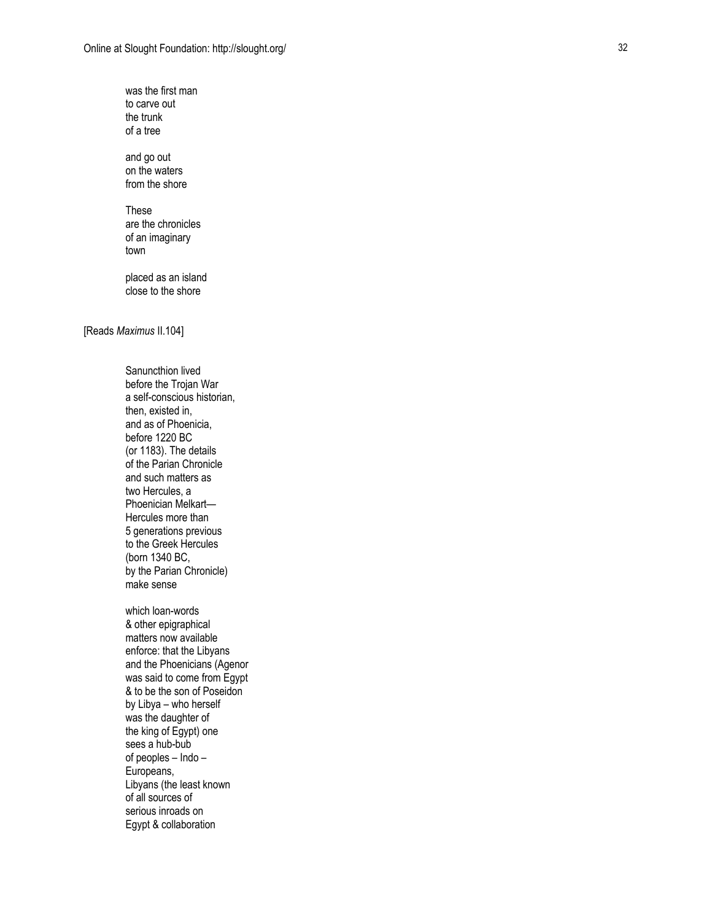was the first man to carve out the trunk of a tree

and go out on the waters from the shore

These are the chronicles of an imaginary town

placed as an island close to the shore

[Reads *Maximus* II.104]

Sanuncthion lived before the Trojan War a self-conscious historian, then, existed in, and as of Phoenicia, before 1220 BC (or 1183). The details of the Parian Chronicle and such matters as two Hercules, a Phoenician Melkart— Hercules more than 5 generations previous to the Greek Hercules (born 1340 BC, by the Parian Chronicle) make sense

which loan-words & other epigraphical matters now available enforce: that the Libyans and the Phoenicians (Agenor was said to come from Egypt & to be the son of Poseidon by Libya – who herself was the daughter of the king of Egypt) one sees a hub-bub of peoples – Indo – Europeans, Libyans (the least known of all sources of serious inroads on Egypt & collaboration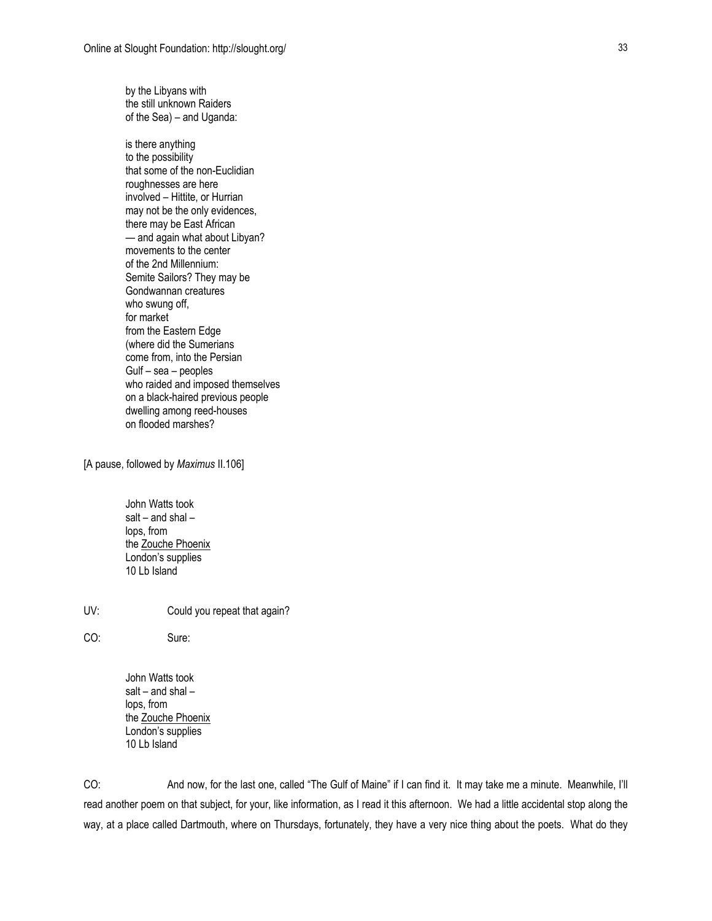by the Libyans with the still unknown Raiders of the Sea) – and Uganda:

is there anything to the possibility that some of the non-Euclidian roughnesses are here involved – Hittite, or Hurrian may not be the only evidences, there may be East African — and again what about Libyan? movements to the center of the 2nd Millennium: Semite Sailors? They may be Gondwannan creatures who swung off, for market from the Eastern Edge (where did the Sumerians come from, into the Persian Gulf – sea – peoples who raided and imposed themselves on a black-haired previous people dwelling among reed-houses on flooded marshes?

[A pause, followed by *Maximus* II.106]

John Watts took salt – and shal – lops, from the Zouche Phoenix London's supplies 10 Lb Island

UV: Could you repeat that again?

CO: Sure:

John Watts took salt – and shal – lops, from the Zouche Phoenix London's supplies 10 Lb Island

CO: And now, for the last one, called "The Gulf of Maine" if I can find it. It may take me a minute. Meanwhile, I'll read another poem on that subject, for your, like information, as I read it this afternoon. We had a little accidental stop along the way, at a place called Dartmouth, where on Thursdays, fortunately, they have a very nice thing about the poets. What do they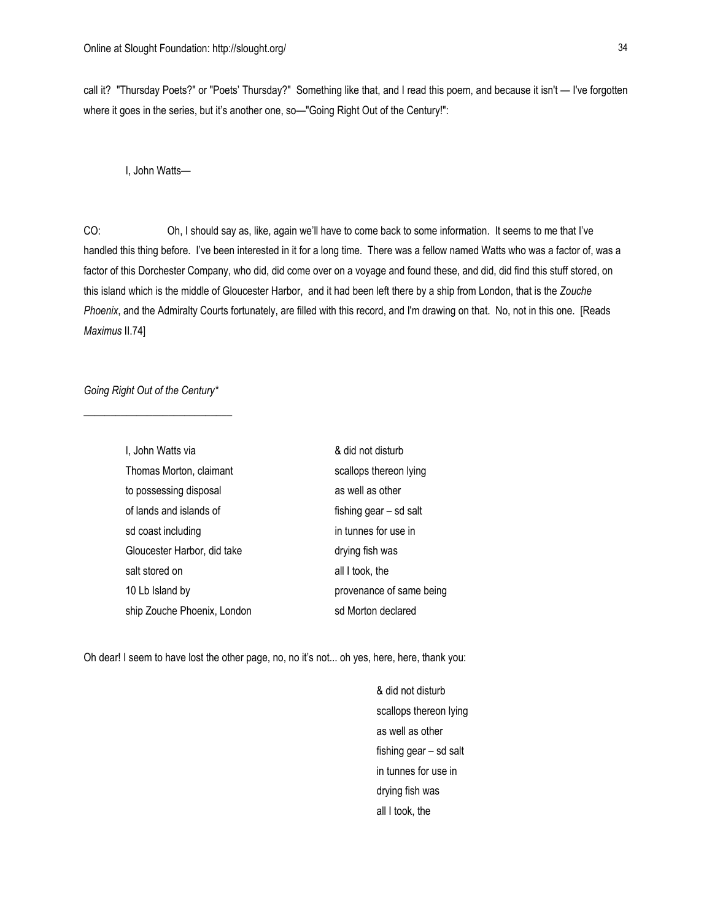call it? "Thursday Poets?" or "Poets' Thursday?" Something like that, and I read this poem, and because it isn't — I've forgotten where it goes in the series, but it's another one, so—"Going Right Out of the Century!":

I, John Watts—

CO: Oh, I should say as, like, again we'll have to come back to some information. It seems to me that I've handled this thing before. I've been interested in it for a long time. There was a fellow named Watts who was a factor of, was a factor of this Dorchester Company, who did, did come over on a voyage and found these, and did, did find this stuff stored, on this island which is the middle of Gloucester Harbor, and it had been left there by a ship from London, that is the *Zouche Phoenix*, and the Admiralty Courts fortunately, are filled with this record, and I'm drawing on that. No, not in this one. [Reads *Maximus* II.74]

*Going Right Out of the Century\**

 $\overline{\phantom{a}}$  , where  $\overline{\phantom{a}}$  , where  $\overline{\phantom{a}}$  ,  $\overline{\phantom{a}}$  ,  $\overline{\phantom{a}}$  ,  $\overline{\phantom{a}}$  ,  $\overline{\phantom{a}}$  ,  $\overline{\phantom{a}}$  ,  $\overline{\phantom{a}}$  ,  $\overline{\phantom{a}}$  ,  $\overline{\phantom{a}}$  ,  $\overline{\phantom{a}}$  ,  $\overline{\phantom{a}}$  ,  $\overline{\phantom{a}}$  ,  $\overline{\phantom{a}}$  ,

| I, John Watts via           | & did not disturb        |
|-----------------------------|--------------------------|
| Thomas Morton, claimant     | scallops thereon lying   |
| to possessing disposal      | as well as other         |
| of lands and islands of     | fishing gear – sd salt   |
| sd coast including          | in tunnes for use in     |
| Gloucester Harbor, did take | drying fish was          |
| salt stored on              | all I took, the          |
| 10 Lb Island by             | provenance of same being |
| ship Zouche Phoenix, London | sd Morton declared       |

Oh dear! I seem to have lost the other page, no, no it's not... oh yes, here, here, thank you:

& did not disturb scallops thereon lying as well as other fishing gear – sd salt in tunnes for use in drying fish was all I took, the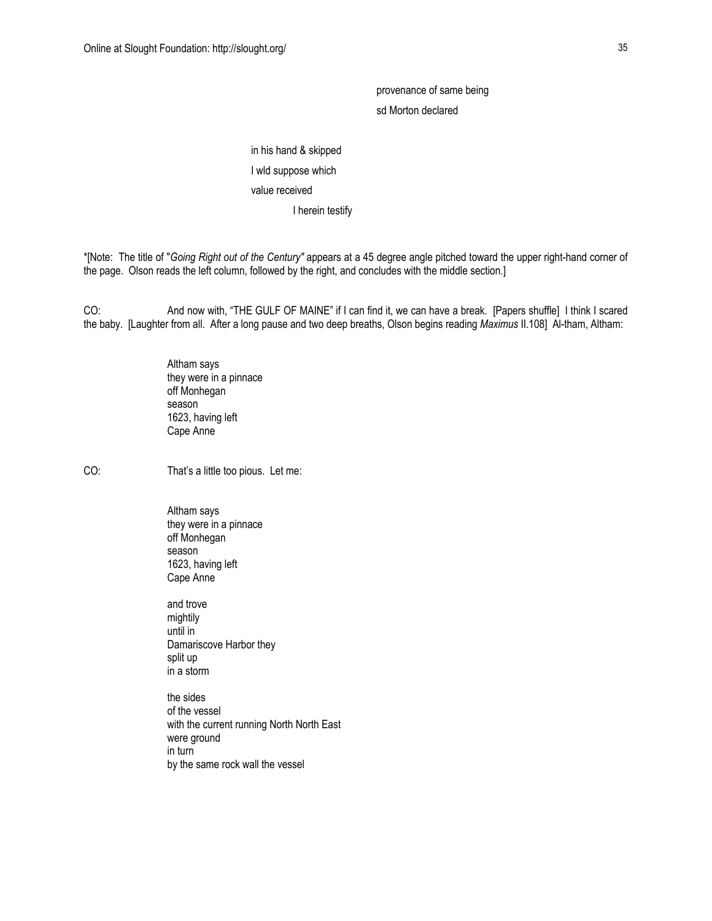provenance of same being sd Morton declared

in his hand & skipped I wld suppose which value received I herein testify

\*[Note: The title of "*Going Right out of the Century"* appears at a 45 degree angle pitched toward the upper right-hand corner of the page. Olson reads the left column, followed by the right, and concludes with the middle section.]

CO: And now with, "THE GULF OF MAINE" if I can find it, we can have a break. [Papers shuffle] I think I scared the baby. [Laughter from all. After a long pause and two deep breaths, Olson begins reading *Maximus* II.108] Al-tham, Altham:

> Altham says they were in a pinnace off Monhegan season 1623, having left Cape Anne

CO: That's a little too pious. Let me:

Altham says they were in a pinnace off Monhegan season 1623, having left Cape Anne

and trove mightily until in Damariscove Harbor they split up in a storm

the sides of the vessel with the current running North North East were ground in turn by the same rock wall the vessel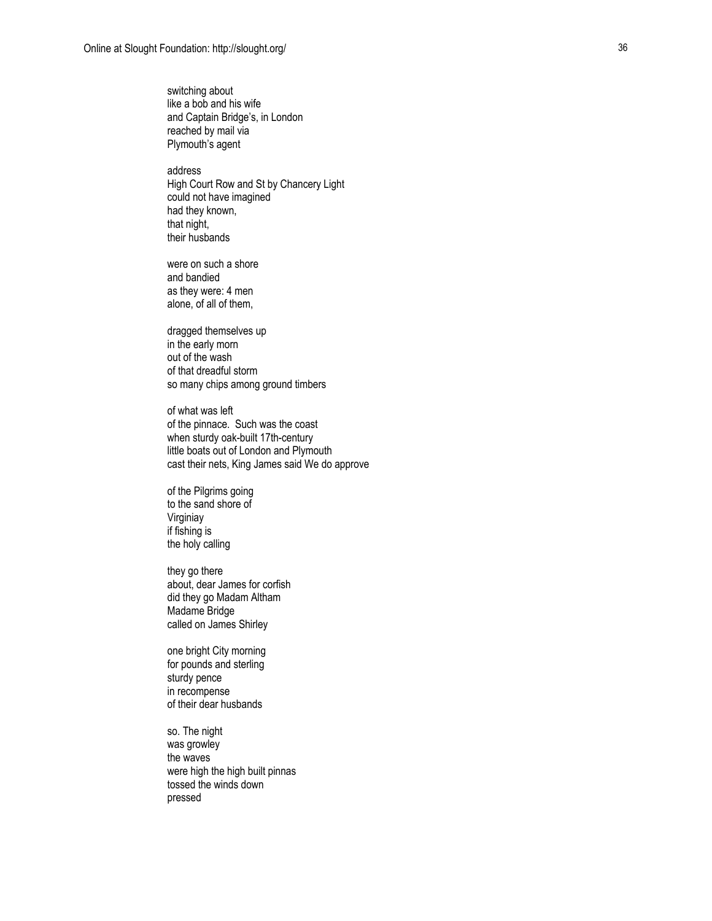switching about like a bob and his wife and Captain Bridge's, in London reached by mail via Plymouth's agent

address High Court Row and St by Chancery Light could not have imagined

 had they known, that night, their husbands

were on such a shore and bandied as they were: 4 men alone, of all of them,

dragged themselves up in the early morn out of the wash of that dreadful storm so many chips among ground timbers

of what was left of the pinnace. Such was the coast when sturdy oak-built 17th-century little boats out of London and Plymouth cast their nets, King James said We do approve

of the Pilgrims going to the sand shore of Virginiay if fishing is the holy calling

they go there about, dear James for corfish did they go Madam Altham Madame Bridge called on James Shirley

one bright City morning for pounds and sterling sturdy pence in recompense of their dear husbands

so. The night was growley the waves were high the high built pinnas tossed the winds down pressed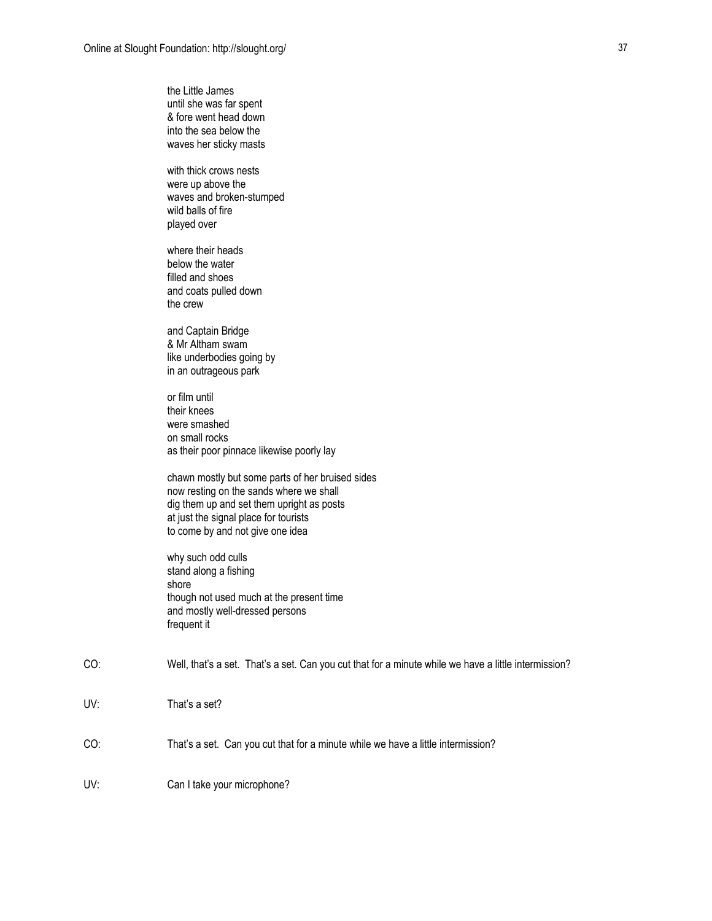the Little James until she was far spent & fore went head down into the sea below the waves her sticky masts with thick crows nests were up above the waves and broken-stumped wild balls of fire played over where their heads below the water filled and shoes and coats pulled down the crew and Captain Bridge & Mr Altham swam like underbodies going by in an outrageous park or film until their knees were smashed on small rocks as their poor pinnace likewise poorly lay chawn mostly but some parts of her bruised sides now resting on the sands where we shall dig them up and set them upright as posts at just the signal place for tourists to come by and not give one idea why such odd culls stand along a fishing shore though not used much at the present time and mostly well-dressed persons frequent it CO: Well, that's a set. That's a set. Can you cut that for a minute while we have a little intermission? UV: That's a set? CO: That's a set. Can you cut that for a minute while we have a little intermission? UV: Can I take your microphone?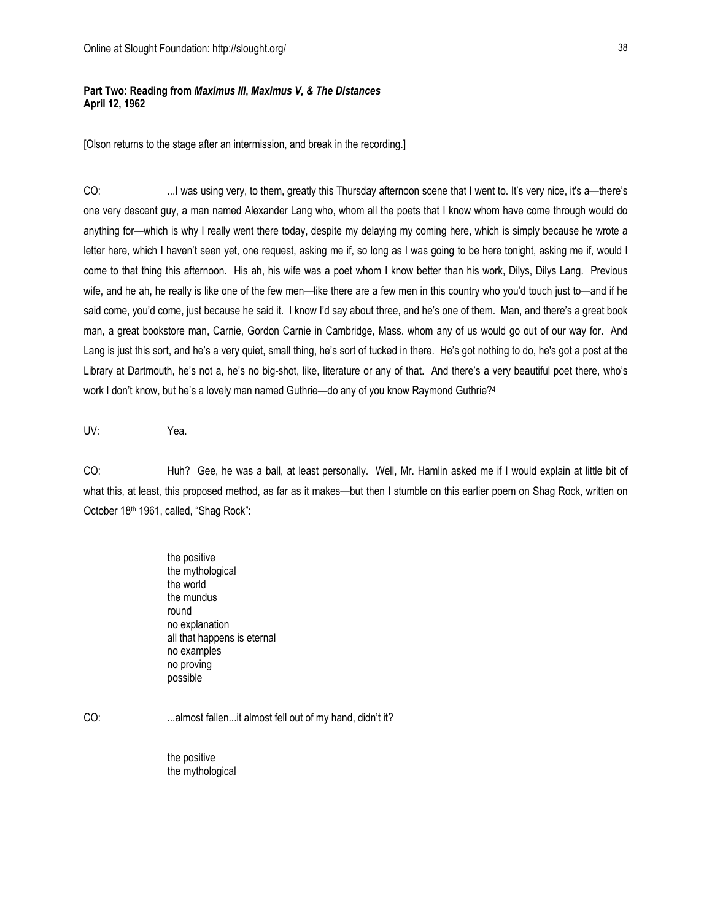# **Part Two: Reading from** *Maximus III***,** *Maximus V, & The Distances* **April 12, 1962**

[Olson returns to the stage after an intermission, and break in the recording.]

CO: ...I was using very, to them, greatly this Thursday afternoon scene that I went to. It's very nice, it's a—there's one very descent guy, a man named Alexander Lang who, whom all the poets that I know whom have come through would do anything for—which is why I really went there today, despite my delaying my coming here, which is simply because he wrote a letter here, which I haven't seen yet, one request, asking me if, so long as I was going to be here tonight, asking me if, would I come to that thing this afternoon. His ah, his wife was a poet whom I know better than his work, Dilys, Dilys Lang. Previous wife, and he ah, he really is like one of the few men—like there are a few men in this country who you'd touch just to—and if he said come, you'd come, just because he said it. I know I'd say about three, and he's one of them. Man, and there's a great book man, a great bookstore man, Carnie, Gordon Carnie in Cambridge, Mass. whom any of us would go out of our way for. And Lang is just this sort, and he's a very quiet, small thing, he's sort of tucked in there. He's got nothing to do, he's got a post at the Library at Dartmouth, he's not a, he's no big-shot, like, literature or any of that. And there's a very beautiful poet there, who's work I don't know, but he's a lovely man named Guthrie—do any of you know Raymond Guthrie?<sup>4</sup>

UV: Yea.

CO: Huh? Gee, he was a ball, at least personally. Well, Mr. Hamlin asked me if I would explain at little bit of what this, at least, this proposed method, as far as it makes—but then I stumble on this earlier poem on Shag Rock, written on October 18th 1961, called, "Shag Rock":

> the positive the mythological the world the mundus round no explanation all that happens is eternal no examples no proving possible

CO: ....almost fallen...it almost fell out of my hand, didn't it?

the positive the mythological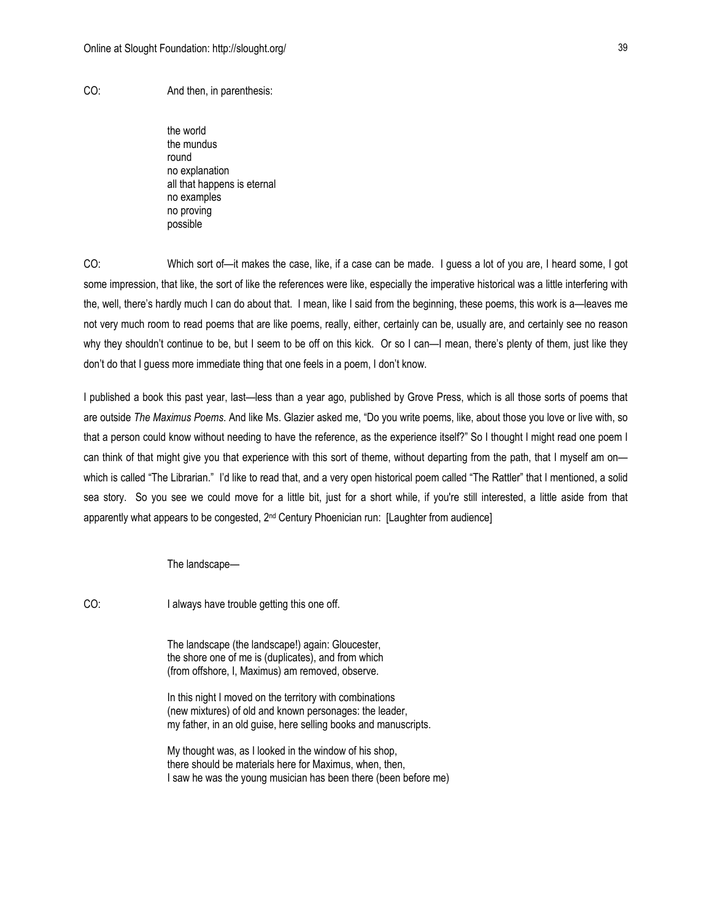CO: And then, in parenthesis:

the world the mundus round no explanation all that happens is eternal no examples no proving possible

CO: Which sort of—it makes the case, like, if a case can be made. I guess a lot of you are, I heard some, I got some impression, that like, the sort of like the references were like, especially the imperative historical was a little interfering with the, well, there's hardly much I can do about that. I mean, like I said from the beginning, these poems, this work is a—leaves me not very much room to read poems that are like poems, really, either, certainly can be, usually are, and certainly see no reason why they shouldn't continue to be, but I seem to be off on this kick. Or so I can—I mean, there's plenty of them, just like they don't do that I guess more immediate thing that one feels in a poem, I don't know.

I published a book this past year, last—less than a year ago, published by Grove Press, which is all those sorts of poems that are outside *The Maximus Poems*. And like Ms. Glazier asked me, "Do you write poems, like, about those you love or live with, so that a person could know without needing to have the reference, as the experience itself?" So I thought I might read one poem I can think of that might give you that experience with this sort of theme, without departing from the path, that I myself am on which is called "The Librarian." I'd like to read that, and a very open historical poem called "The Rattler" that I mentioned, a solid sea story. So you see we could move for a little bit, just for a short while, if you're still interested, a little aside from that apparently what appears to be congested, 2<sup>nd</sup> Century Phoenician run: [Laughter from audience]

The landscape—

CO: I always have trouble getting this one off.

The landscape (the landscape!) again: Gloucester, the shore one of me is (duplicates), and from which (from offshore, I, Maximus) am removed, observe.

In this night I moved on the territory with combinations (new mixtures) of old and known personages: the leader, my father, in an old guise, here selling books and manuscripts.

My thought was, as I looked in the window of his shop, there should be materials here for Maximus, when, then, I saw he was the young musician has been there (been before me)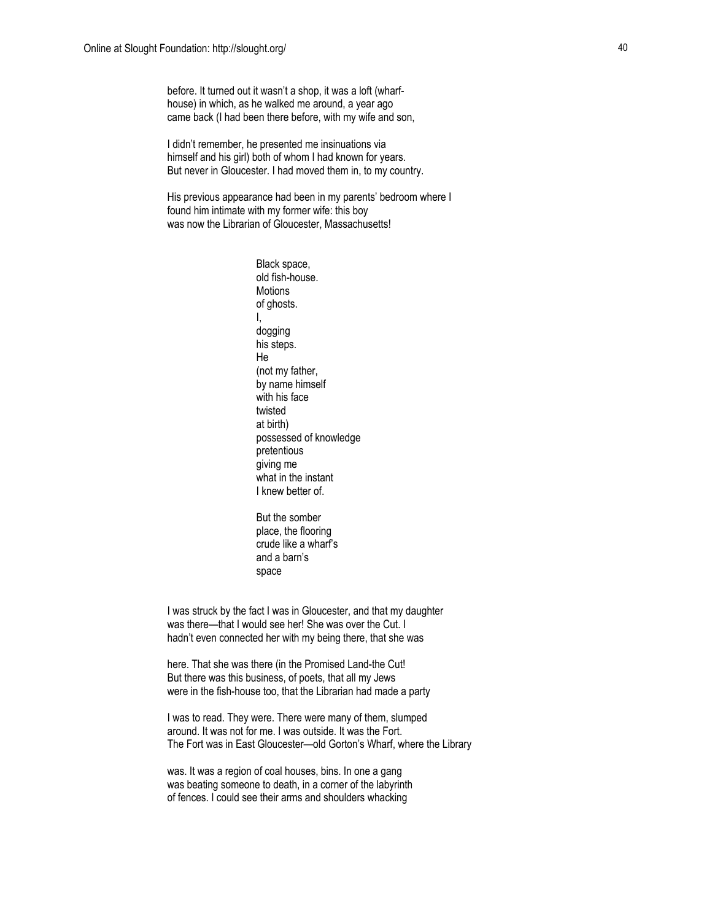before. It turned out it wasn't a shop, it was a loft (wharfhouse) in which, as he walked me around, a year ago came back (I had been there before, with my wife and son,

I didn't remember, he presented me insinuations via himself and his girl) both of whom I had known for years. But never in Gloucester. I had moved them in, to my country.

His previous appearance had been in my parents' bedroom where I found him intimate with my former wife: this boy was now the Librarian of Gloucester, Massachusetts!

> Black space, old fish-house. **Motions**  of ghosts. I, dogging his steps. He (not my father, by name himself with his face twisted at birth) possessed of knowledge pretentious giving me what in the instant I knew better of.

 But the somber place, the flooring crude like a wharf's and a barn's space

I was struck by the fact I was in Gloucester, and that my daughter was there—that I would see her! She was over the Cut. I hadn't even connected her with my being there, that she was

here. That she was there (in the Promised Land-the Cut! But there was this business, of poets, that all my Jews were in the fish-house too, that the Librarian had made a party

I was to read. They were. There were many of them, slumped around. It was not for me. I was outside. It was the Fort. The Fort was in East Gloucester—old Gorton's Wharf, where the Library

was. It was a region of coal houses, bins. In one a gang was beating someone to death, in a corner of the labyrinth of fences. I could see their arms and shoulders whacking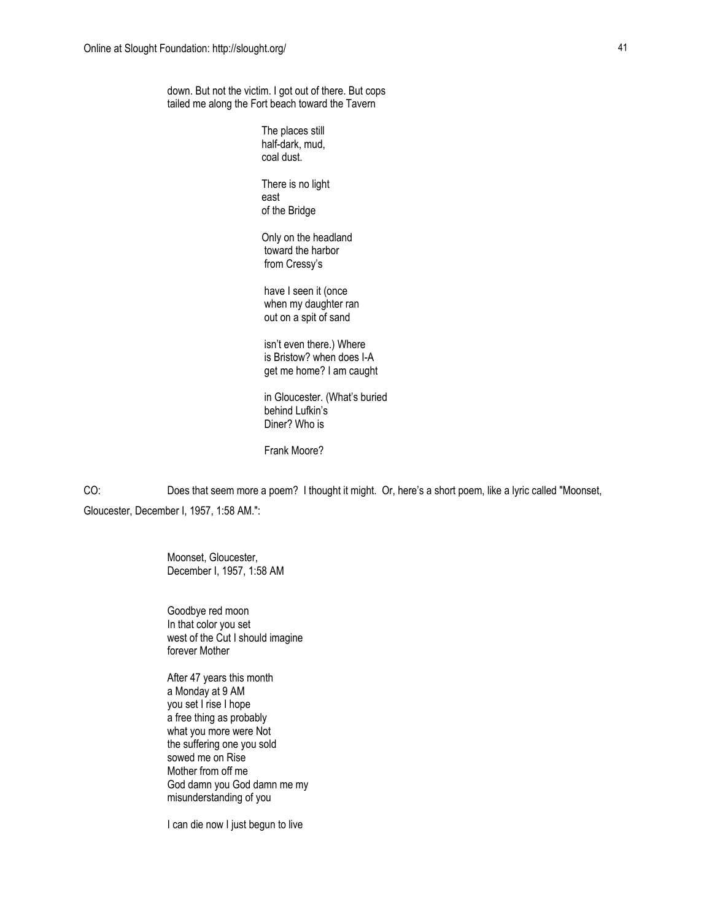down. But not the victim. I got out of there. But cops tailed me along the Fort beach toward the Tavern

> The places still half-dark, mud, coal dust.

 There is no light east of the Bridge

 Only on the headland toward the harbor from Cressy's

 have I seen it (once when my daughter ran out on a spit of sand

 isn't even there.) Where is Bristow? when does I-A get me home? I am caught

 in Gloucester. (What's buried behind Lufkin's Diner? Who is

Frank Moore?

CO: Does that seem more a poem? I thought it might. Or, here's a short poem, like a lyric called "Moonset, Gloucester, December I, 1957, 1:58 AM.":

> Moonset, Gloucester, December I, 1957, 1:58 AM

Goodbye red moon In that color you set west of the Cut I should imagine forever Mother

After 47 years this month a Monday at 9 AM you set I rise I hope a free thing as probably what you more were Not the suffering one you sold sowed me on Rise Mother from off me God damn you God damn me my misunderstanding of you

I can die now I just begun to live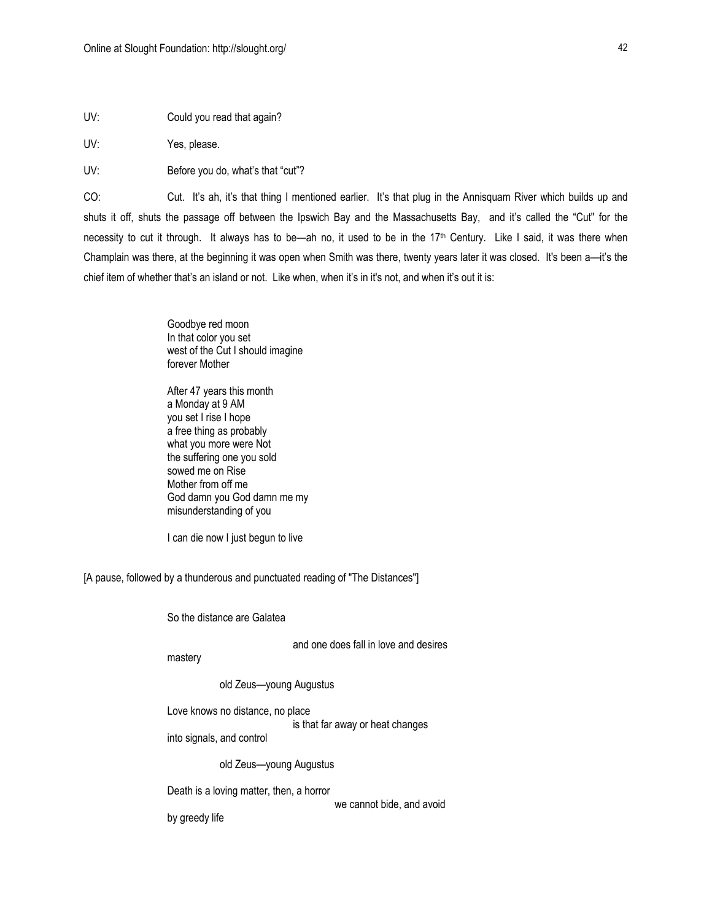UV: Could you read that again?

UV: Yes, please.

UV: Before you do, what's that "cut"?

CO: CO: Cut. It's ah, it's that thing I mentioned earlier. It's that plug in the Annisquam River which builds up and shuts it off, shuts the passage off between the Ipswich Bay and the Massachusetts Bay, and it's called the "Cut" for the necessity to cut it through. It always has to be—ah no, it used to be in the 17<sup>th</sup> Century. Like I said, it was there when Champlain was there, at the beginning it was open when Smith was there, twenty years later it was closed. It's been a—it's the chief item of whether that's an island or not. Like when, when it's in it's not, and when it's out it is:

> Goodbye red moon In that color you set west of the Cut I should imagine forever Mother

After 47 years this month a Monday at 9 AM you set I rise I hope a free thing as probably what you more were Not the suffering one you sold sowed me on Rise Mother from off me God damn you God damn me my misunderstanding of you

I can die now I just begun to live

[A pause, followed by a thunderous and punctuated reading of "The Distances"]

So the distance are Galatea

and one does fall in love and desires

mastery

old Zeus—young Augustus

Love knows no distance, no place

is that far away or heat changes into signals, and control

old Zeus—young Augustus

Death is a loving matter, then, a horror

we cannot bide, and avoid

by greedy life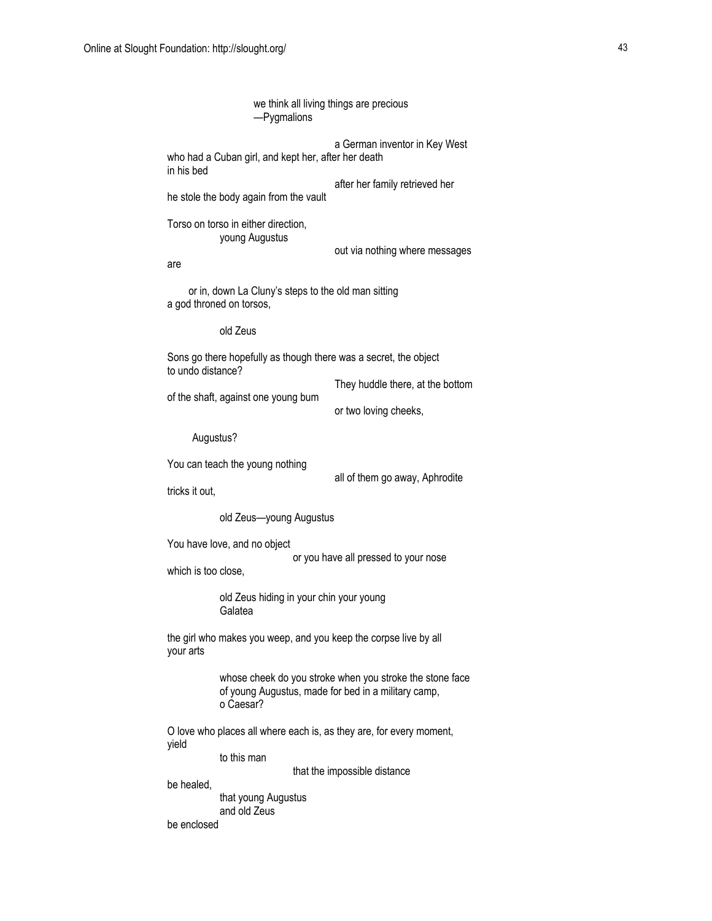we think all living things are precious —Pygmalions

a German inventor in Key West who had a Cuban girl, and kept her, after her death in his bed

after her family retrieved her

he stole the body again from the vault

Torso on torso in either direction, young Augustus

out via nothing where messages

#### are

 or in, down La Cluny's steps to the old man sitting a god throned on torsos,

### old Zeus

Sons go there hopefully as though there was a secret, the object to undo distance?

They huddle there, at the bottom of the shaft, against one young bum

or two loving cheeks,

Augustus?

You can teach the young nothing

all of them go away, Aphrodite

tricks it out,

old Zeus—young Augustus

You have love, and no object

or you have all pressed to your nose

which is too close.

 old Zeus hiding in your chin your young Galatea

the girl who makes you weep, and you keep the corpse live by all your arts

> whose cheek do you stroke when you stroke the stone face of young Augustus, made for bed in a military camp, o Caesar?

O love who places all where each is, as they are, for every moment, yield

to this man

that the impossible distance

be healed,

that young Augustus

 and old Zeus be enclosed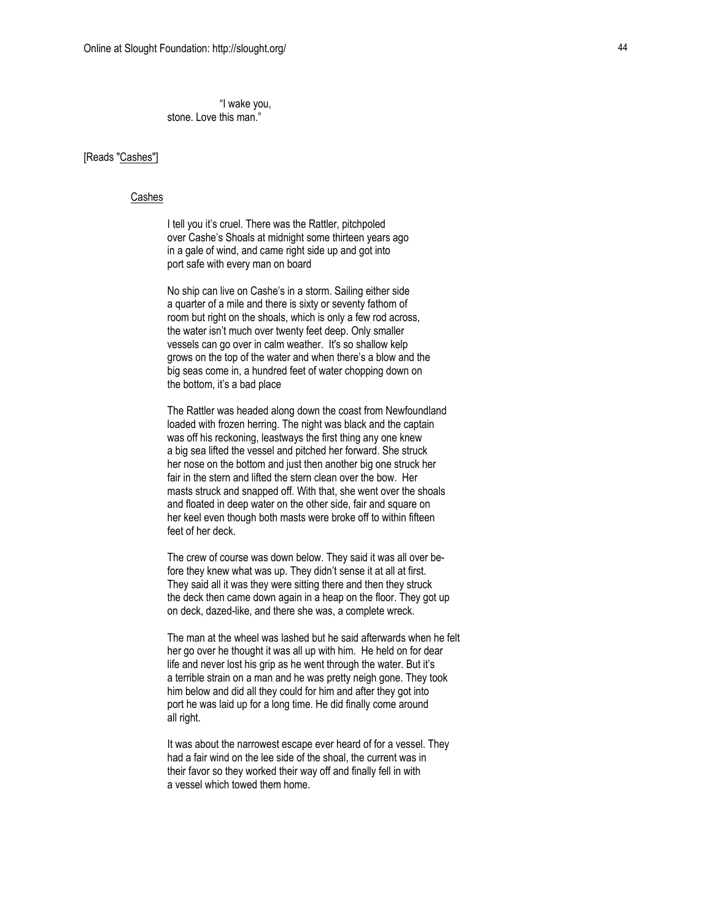"I wake you, stone. Love this man."

#### [Reads "Cashes"]

## Cashes

I tell you it's cruel. There was the Rattler, pitchpoled over Cashe's Shoals at midnight some thirteen years ago in a gale of wind, and came right side up and got into port safe with every man on board

No ship can live on Cashe's in a storm. Sailing either side a quarter of a mile and there is sixty or seventy fathom of room but right on the shoals, which is only a few rod across, the water isn't much over twenty feet deep. Only smaller vessels can go over in calm weather. It's so shallow kelp grows on the top of the water and when there's a blow and the big seas come in, a hundred feet of water chopping down on the bottom, it's a bad place

The Rattler was headed along down the coast from Newfoundland loaded with frozen herring. The night was black and the captain was off his reckoning, leastways the first thing any one knew a big sea lifted the vessel and pitched her forward. She struck her nose on the bottom and just then another big one struck her fair in the stern and lifted the stern clean over the bow. Her masts struck and snapped off. With that, she went over the shoals and floated in deep water on the other side, fair and square on her keel even though both masts were broke off to within fifteen feet of her deck.

The crew of course was down below. They said it was all over before they knew what was up. They didn't sense it at all at first. They said all it was they were sitting there and then they struck the deck then came down again in a heap on the floor. They got up on deck, dazed-like, and there she was, a complete wreck.

The man at the wheel was lashed but he said afterwards when he felt her go over he thought it was all up with him. He held on for dear life and never lost his grip as he went through the water. But it's a terrible strain on a man and he was pretty neigh gone. They took him below and did all they could for him and after they got into port he was laid up for a long time. He did finally come around all right.

It was about the narrowest escape ever heard of for a vessel. They had a fair wind on the lee side of the shoal, the current was in their favor so they worked their way off and finally fell in with a vessel which towed them home.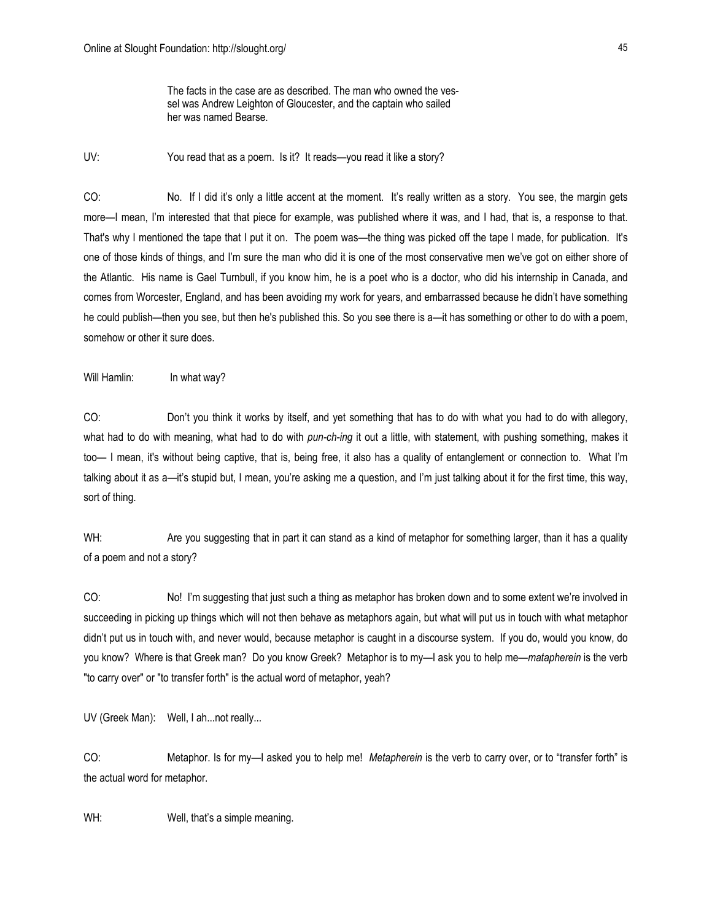The facts in the case are as described. The man who owned the vessel was Andrew Leighton of Gloucester, and the captain who sailed her was named Bearse.

UV: You read that as a poem. Is it? It reads—you read it like a story?

CO: No. If I did it's only a little accent at the moment. It's really written as a story. You see, the margin gets more—I mean, I'm interested that that piece for example, was published where it was, and I had, that is, a response to that. That's why I mentioned the tape that I put it on. The poem was—the thing was picked off the tape I made, for publication. It's one of those kinds of things, and I'm sure the man who did it is one of the most conservative men we've got on either shore of the Atlantic. His name is Gael Turnbull, if you know him, he is a poet who is a doctor, who did his internship in Canada, and comes from Worcester, England, and has been avoiding my work for years, and embarrassed because he didn't have something he could publish—then you see, but then he's published this. So you see there is a—it has something or other to do with a poem, somehow or other it sure does.

Will Hamlin: In what way?

CO: Don't you think it works by itself, and yet something that has to do with what you had to do with allegory, what had to do with meaning, what had to do with *pun-ch-ing* it out a little, with statement, with pushing something, makes it too— I mean, it's without being captive, that is, being free, it also has a quality of entanglement or connection to. What I'm talking about it as a—it's stupid but, I mean, you're asking me a question, and I'm just talking about it for the first time, this way, sort of thing.

WH: Are you suggesting that in part it can stand as a kind of metaphor for something larger, than it has a quality of a poem and not a story?

CO: No! I'm suggesting that just such a thing as metaphor has broken down and to some extent we're involved in succeeding in picking up things which will not then behave as metaphors again, but what will put us in touch with what metaphor didn't put us in touch with, and never would, because metaphor is caught in a discourse system. If you do, would you know, do you know? Where is that Greek man? Do you know Greek? Metaphor is to my—I ask you to help me—*matapherein* is the verb "to carry over" or "to transfer forth" is the actual word of metaphor, yeah?

UV (Greek Man): Well, I ah...not really...

CO: Metaphor. Is for my—I asked you to help me! *Metapherein* is the verb to carry over, or to "transfer forth" is the actual word for metaphor.

WH: Well, that's a simple meaning.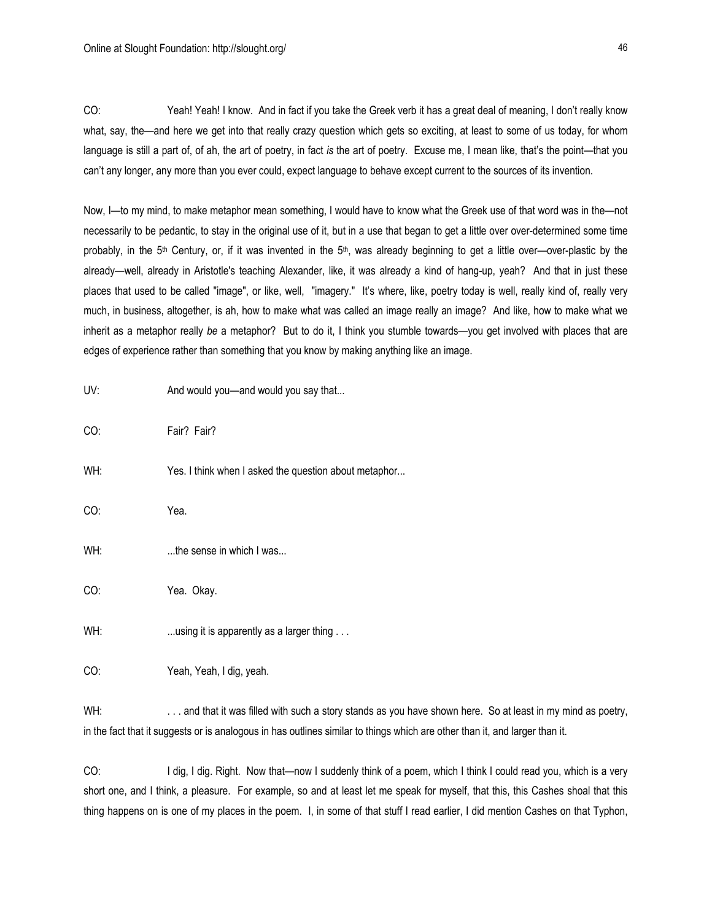CO: Yeah! Yeah! I know. And in fact if you take the Greek verb it has a great deal of meaning, I don't really know what, say, the—and here we get into that really crazy question which gets so exciting, at least to some of us today, for whom language is still a part of, of ah, the art of poetry, in fact *is* the art of poetry. Excuse me, I mean like, that's the point—that you can't any longer, any more than you ever could, expect language to behave except current to the sources of its invention.

Now, I—to my mind, to make metaphor mean something, I would have to know what the Greek use of that word was in the—not necessarily to be pedantic, to stay in the original use of it, but in a use that began to get a little over over-determined some time probably, in the 5<sup>th</sup> Century, or, if it was invented in the 5<sup>th</sup>, was already beginning to get a little over—over-plastic by the already—well, already in Aristotle's teaching Alexander, like, it was already a kind of hang-up, yeah? And that in just these places that used to be called "image", or like, well, "imagery." It's where, like, poetry today is well, really kind of, really very much, in business, altogether, is ah, how to make what was called an image really an image? And like, how to make what we inherit as a metaphor really *be* a metaphor? But to do it, I think you stumble towards—you get involved with places that are edges of experience rather than something that you know by making anything like an image.

| UV: | And would you-and would you say that                                                                                                                                                                                                     |
|-----|------------------------------------------------------------------------------------------------------------------------------------------------------------------------------------------------------------------------------------------|
| CO: | Fair? Fair?                                                                                                                                                                                                                              |
| WH: | Yes. I think when I asked the question about metaphor                                                                                                                                                                                    |
| CO: | Yea.                                                                                                                                                                                                                                     |
| WH: | the sense in which I was                                                                                                                                                                                                                 |
| CO: | Yea. Okay.                                                                                                                                                                                                                               |
| WH: | using it is apparently as a larger thing                                                                                                                                                                                                 |
| CO: | Yeah, Yeah, I dig, yeah.                                                                                                                                                                                                                 |
| WH: | and that it was filled with such a story stands as you have shown here. So at least in my mind as poetry,<br>in the fact that it suggests or is analogous in has outlines similar to things which are other than it, and larger than it. |

CO: I dig, I dig. Right. Now that—now I suddenly think of a poem, which I think I could read you, which is a very short one, and I think, a pleasure. For example, so and at least let me speak for myself, that this, this Cashes shoal that this thing happens on is one of my places in the poem. I, in some of that stuff I read earlier, I did mention Cashes on that Typhon,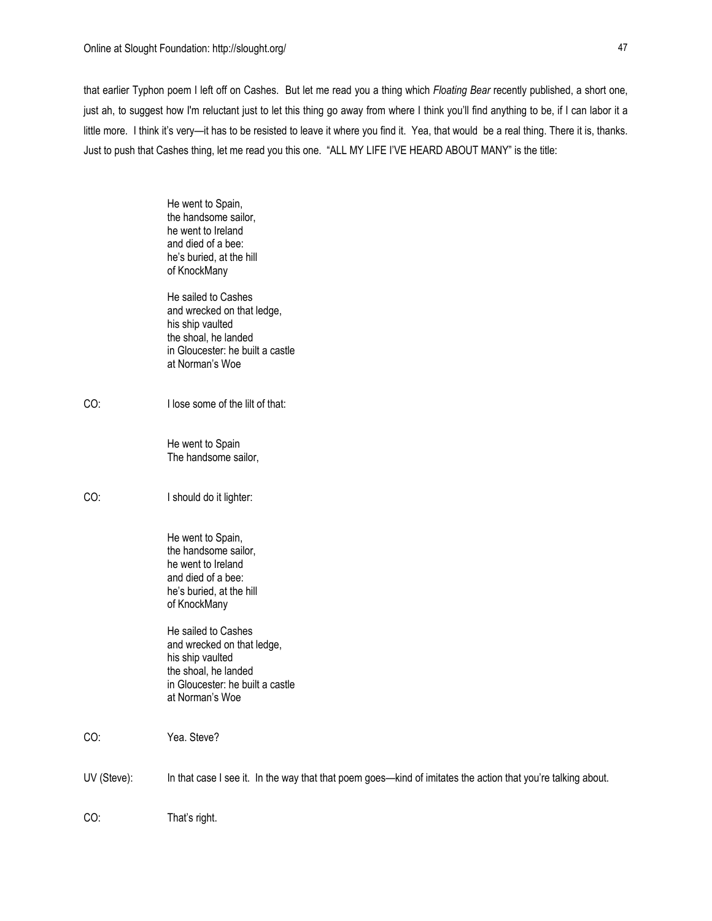that earlier Typhon poem I left off on Cashes. But let me read you a thing which *Floating Bear* recently published, a short one, just ah, to suggest how I'm reluctant just to let this thing go away from where I think you'll find anything to be, if I can labor it a little more. I think it's very—it has to be resisted to leave it where you find it. Yea, that would be a real thing. There it is, thanks. Just to push that Cashes thing, let me read you this one. "ALL MY LIFE I'VE HEARD ABOUT MANY" is the title:

He went to Spain, the handsome sailor, he went to Ireland and died of a bee: he's buried, at the hill of KnockMany He sailed to Cashes and wrecked on that ledge, his ship vaulted the shoal, he landed in Gloucester: he built a castle at Norman's Woe CO: I lose some of the lilt of that: He went to Spain The handsome sailor, CO: I should do it lighter: He went to Spain, the handsome sailor, he went to Ireland and died of a bee: he's buried, at the hill of KnockMany He sailed to Cashes and wrecked on that ledge, his ship vaulted the shoal, he landed in Gloucester: he built a castle at Norman's Woe CO: Yea. Steve? UV (Steve): In that case I see it. In the way that that poem goes—kind of imitates the action that you're talking about. CO: That's right.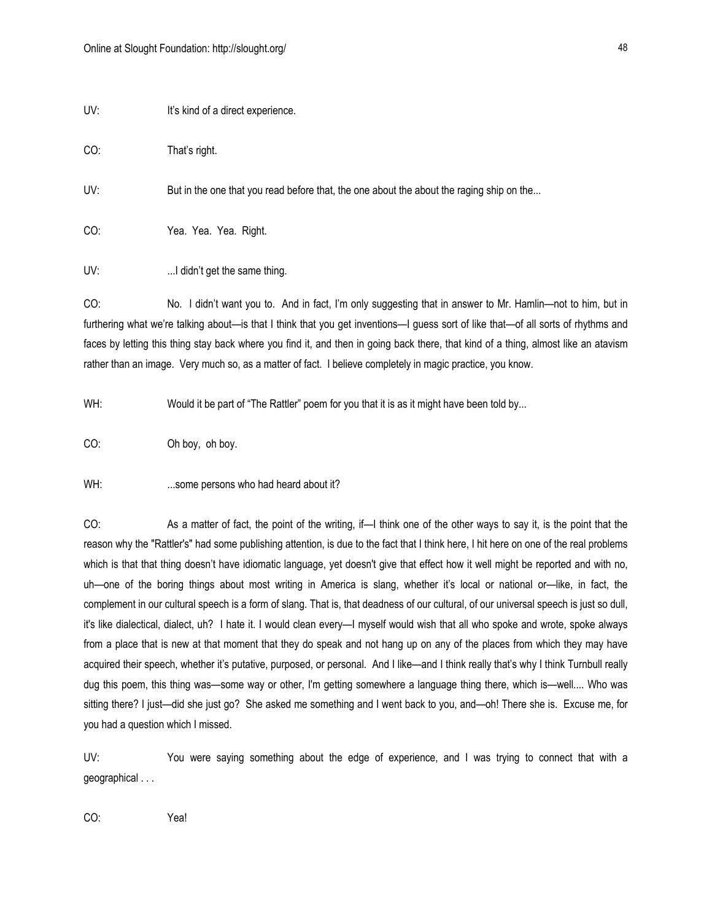UV: It's kind of a direct experience.

CO: That's right.

UV: But in the one that you read before that, the one about the about the raging ship on the...

CO: Yea. Yea. Yea. Right.

UV: ...I didn't get the same thing.

CO: No. I didn't want you to. And in fact, I'm only suggesting that in answer to Mr. Hamlin—not to him, but in furthering what we're talking about—is that I think that you get inventions—I guess sort of like that—of all sorts of rhythms and faces by letting this thing stay back where you find it, and then in going back there, that kind of a thing, almost like an atavism rather than an image. Very much so, as a matter of fact. I believe completely in magic practice, you know.

WH: Would it be part of "The Rattler" poem for you that it is as it might have been told by...

CO: Oh boy, oh boy.

WH: ...some persons who had heard about it?

CO: As a matter of fact, the point of the writing, if—I think one of the other ways to say it, is the point that the reason why the "Rattler's" had some publishing attention, is due to the fact that I think here, I hit here on one of the real problems which is that that thing doesn't have idiomatic language, yet doesn't give that effect how it well might be reported and with no, uh—one of the boring things about most writing in America is slang, whether it's local or national or—like, in fact, the complement in our cultural speech is a form of slang. That is, that deadness of our cultural, of our universal speech is just so dull, it's like dialectical, dialect, uh? I hate it. I would clean every—I myself would wish that all who spoke and wrote, spoke always from a place that is new at that moment that they do speak and not hang up on any of the places from which they may have acquired their speech, whether it's putative, purposed, or personal. And I like—and I think really that's why I think Turnbull really dug this poem, this thing was—some way or other, I'm getting somewhere a language thing there, which is—well.... Who was sitting there? I just—did she just go? She asked me something and I went back to you, and—oh! There she is. Excuse me, for you had a question which I missed.

UV: You were saying something about the edge of experience, and I was trying to connect that with a geographical . . .

CO: Yea!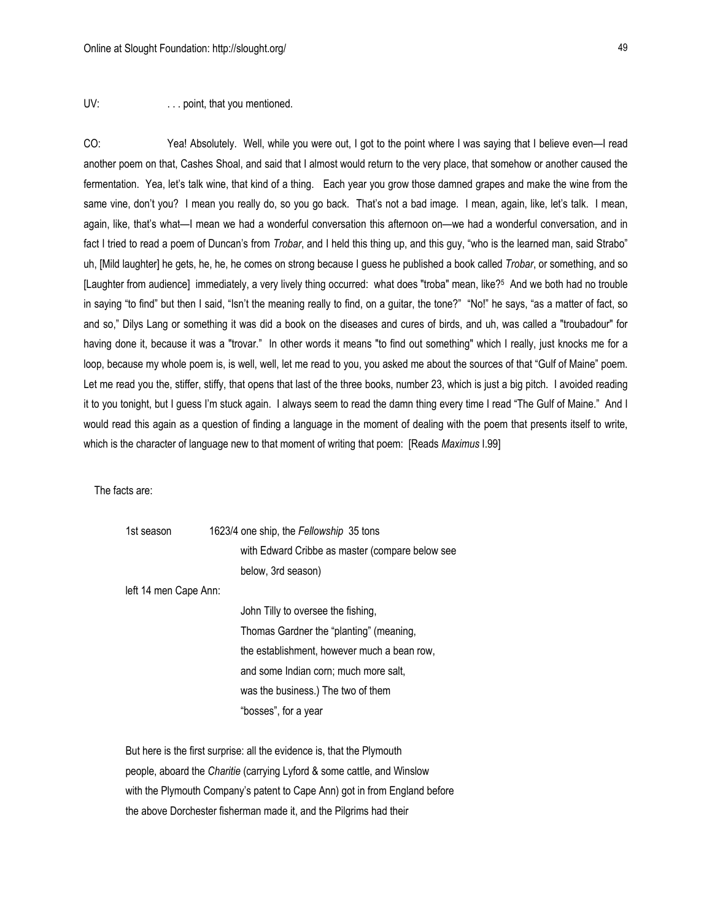UV: ..., point, that you mentioned.

CO: Yea! Absolutely. Well, while you were out, I got to the point where I was saying that I believe even—I read another poem on that, Cashes Shoal, and said that I almost would return to the very place, that somehow or another caused the fermentation. Yea, let's talk wine, that kind of a thing. Each year you grow those damned grapes and make the wine from the same vine, don't you? I mean you really do, so you go back. That's not a bad image. I mean, again, like, let's talk. I mean, again, like, that's what—I mean we had a wonderful conversation this afternoon on—we had a wonderful conversation, and in fact I tried to read a poem of Duncan's from *Trobar*, and I held this thing up, and this guy, "who is the learned man, said Strabo" uh, [Mild laughter] he gets, he, he, he comes on strong because I guess he published a book called *Trobar*, or something, and so [Laughter from audience] immediately, a very lively thing occurred: what does "troba" mean, like?5 And we both had no trouble in saying "to find" but then I said, "Isn't the meaning really to find, on a guitar, the tone?" "No!" he says, "as a matter of fact, so and so," Dilys Lang or something it was did a book on the diseases and cures of birds, and uh, was called a "troubadour" for having done it, because it was a "trovar." In other words it means "to find out something" which I really, just knocks me for a loop, because my whole poem is, is well, well, let me read to you, you asked me about the sources of that "Gulf of Maine" poem. Let me read you the, stiffer, stiffy, that opens that last of the three books, number 23, which is just a big pitch. I avoided reading it to you tonight, but I guess I'm stuck again. I always seem to read the damn thing every time I read "The Gulf of Maine." And I would read this again as a question of finding a language in the moment of dealing with the poem that presents itself to write, which is the character of language new to that moment of writing that poem: [Reads *Maximus* I.99]

The facts are:

1st season 1623/4 one ship, the *Fellowship* 35 tons with Edward Cribbe as master (compare below see below, 3rd season)

left 14 men Cape Ann:

John Tilly to oversee the fishing, Thomas Gardner the "planting" (meaning, the establishment, however much a bean row, and some Indian corn; much more salt, was the business.) The two of them "bosses", for a year

But here is the first surprise: all the evidence is, that the Plymouth people, aboard the *Charitie* (carrying Lyford & some cattle, and Winslow with the Plymouth Company's patent to Cape Ann) got in from England before the above Dorchester fisherman made it, and the Pilgrims had their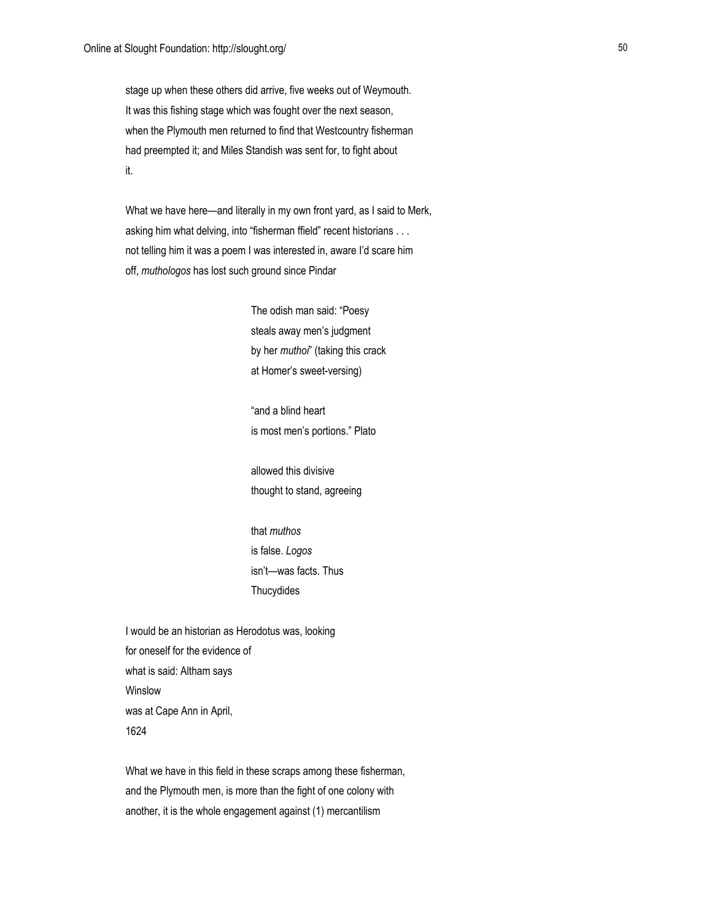stage up when these others did arrive, five weeks out of Weymouth. It was this fishing stage which was fought over the next season, when the Plymouth men returned to find that Westcountry fisherman had preempted it; and Miles Standish was sent for, to fight about it.

What we have here—and literally in my own front yard, as I said to Merk, asking him what delving, into "fisherman ffield" recent historians . . . not telling him it was a poem I was interested in, aware I'd scare him off, *muthologos* has lost such ground since Pindar

> The odish man said: "Poesy steals away men's judgment by her *muthoi*" (taking this crack at Homer's sweet-versing)

"and a blind heart is most men's portions." Plato

allowed this divisive thought to stand, agreeing

that *muthos* is false. *Logos*  isn't—was facts. Thus **Thucydides** 

I would be an historian as Herodotus was, looking for oneself for the evidence of what is said: Altham says **Winslow** was at Cape Ann in April, 1624

What we have in this field in these scraps among these fisherman, and the Plymouth men, is more than the fight of one colony with another, it is the whole engagement against (1) mercantilism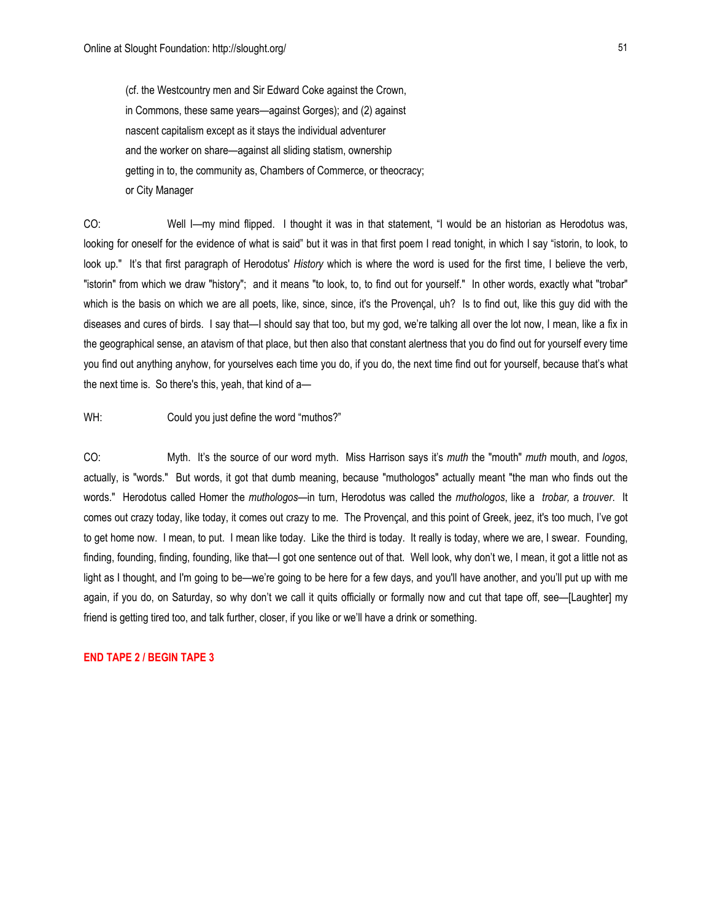(cf. the Westcountry men and Sir Edward Coke against the Crown, in Commons, these same years—against Gorges); and (2) against nascent capitalism except as it stays the individual adventurer and the worker on share—against all sliding statism, ownership getting in to, the community as, Chambers of Commerce, or theocracy; or City Manager

CO: Well I—my mind flipped. I thought it was in that statement, "I would be an historian as Herodotus was, looking for oneself for the evidence of what is said" but it was in that first poem I read tonight, in which I say "istorin, to look, to look up." It's that first paragraph of Herodotus' *History* which is where the word is used for the first time, I believe the verb, "istorin" from which we draw "history"; and it means "to look, to, to find out for yourself." In other words, exactly what "trobar" which is the basis on which we are all poets, like, since, since, it's the Provençal, uh? Is to find out, like this guy did with the diseases and cures of birds. I say that—I should say that too, but my god, we're talking all over the lot now, I mean, like a fix in the geographical sense, an atavism of that place, but then also that constant alertness that you do find out for yourself every time you find out anything anyhow, for yourselves each time you do, if you do, the next time find out for yourself, because that's what the next time is. So there's this, yeah, that kind of a—

WH: Could you just define the word "muthos?"

CO: Myth. It's the source of our word myth. Miss Harrison says it's *muth* the "mouth" *muth* mouth, and *logos*, actually, is "words." But words, it got that dumb meaning, because "muthologos" actually meant "the man who finds out the words." Herodotus called Homer the *muthologos—*in turn, Herodotus was called the *muthologos*, like a *trobar,* a *trouver*. It comes out crazy today, like today, it comes out crazy to me. The Provençal, and this point of Greek, jeez, it's too much, I've got to get home now. I mean, to put. I mean like today. Like the third is today. It really is today, where we are, I swear. Founding, finding, founding, finding, founding, like that—I got one sentence out of that. Well look, why don't we, I mean, it got a little not as light as I thought, and I'm going to be—we're going to be here for a few days, and you'll have another, and you'll put up with me again, if you do, on Saturday, so why don't we call it quits officially or formally now and cut that tape off, see—[Laughter] my friend is getting tired too, and talk further, closer, if you like or we'll have a drink or something.

### **END TAPE 2 / BEGIN TAPE 3**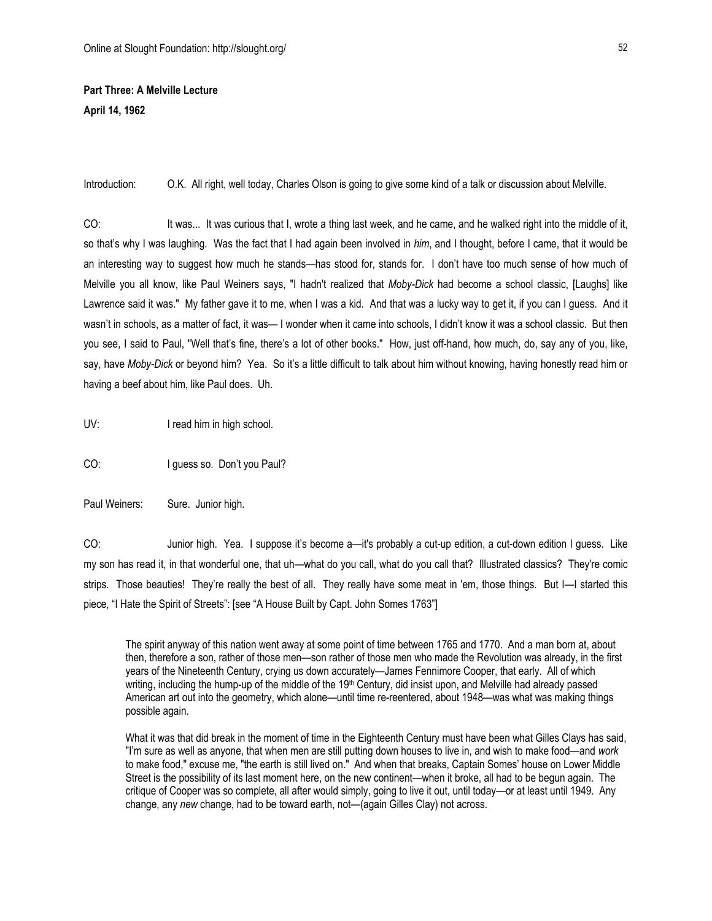Introduction: O.K. All right, well today, Charles Olson is going to give some kind of a talk or discussion about Melville.

CO: It was... It was curious that I, wrote a thing last week, and he came, and he walked right into the middle of it, so that's why I was laughing. Was the fact that I had again been involved in *him*, and I thought, before I came, that it would be an interesting way to suggest how much he stands—has stood for, stands for. I don't have too much sense of how much of Melville you all know, like Paul Weiners says, "I hadn't realized that *Moby-Dick* had become a school classic, [Laughs] like Lawrence said it was." My father gave it to me, when I was a kid. And that was a lucky way to get it, if you can I guess. And it wasn't in schools, as a matter of fact, it was— I wonder when it came into schools, I didn't know it was a school classic. But then you see, I said to Paul, "Well that's fine, there's a lot of other books." How, just off-hand, how much, do, say any of you, like, say, have *Moby-Dick* or beyond him? Yea. So it's a little difficult to talk about him without knowing, having honestly read him or having a beef about him, like Paul does. Uh.

UV: I read him in high school.

CO: I guess so. Don't you Paul?

Paul Weiners: Sure. Junior high.

CO: Junior high. Yea. I suppose it's become a—it's probably a cut-up edition, a cut-down edition I guess. Like my son has read it, in that wonderful one, that uh—what do you call, what do you call that? Illustrated classics? They're comic strips. Those beauties! They're really the best of all. They really have some meat in 'em, those things. But I-I started this piece, "I Hate the Spirit of Streets": [see "A House Built by Capt. John Somes 1763"]

The spirit anyway of this nation went away at some point of time between 1765 and 1770. And a man born at, about then, therefore a son, rather of those men—son rather of those men who made the Revolution was already, in the first years of the Nineteenth Century, crying us down accurately—James Fennimore Cooper, that early. All of which writing, including the hump-up of the middle of the 19<sup>th</sup> Century, did insist upon, and Melville had already passed American art out into the geometry, which alone—until time re-reentered, about 1948—was what was making things possible again.

What it was that did break in the moment of time in the Eighteenth Century must have been what Gilles Clays has said, "I'm sure as well as anyone, that when men are still putting down houses to live in, and wish to make food—and *work* to make food," excuse me, "the earth is still lived on." And when that breaks, Captain Somes' house on Lower Middle Street is the possibility of its last moment here, on the new continent—when it broke, all had to be begun again. The critique of Cooper was so complete, all after would simply, going to live it out, until today—or at least until 1949. Any change, any *new* change, had to be toward earth, not—(again Gilles Clay) not across.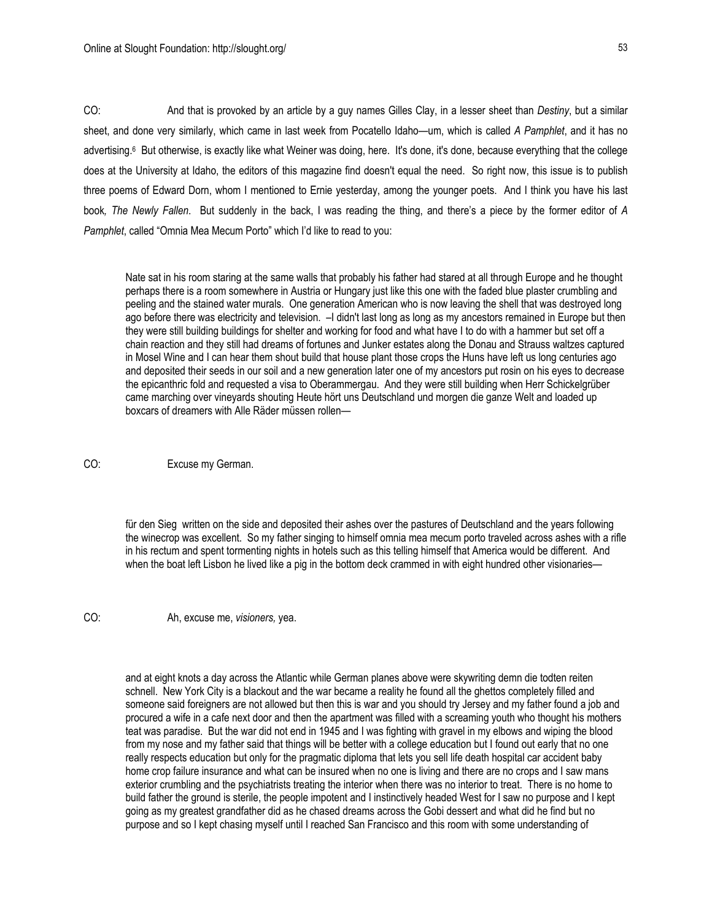CO: And that is provoked by an article by a guy names Gilles Clay, in a lesser sheet than *Destiny*, but a similar sheet, and done very similarly, which came in last week from Pocatello Idaho—um, which is called *A Pamphlet*, and it has no advertising.<sup>6</sup> But otherwise, is exactly like what Weiner was doing, here. It's done, it's done, because everything that the college does at the University at Idaho, the editors of this magazine find doesn't equal the need. So right now, this issue is to publish three poems of Edward Dorn, whom I mentioned to Ernie yesterday, among the younger poets. And I think you have his last book*, The Newly Fallen*. But suddenly in the back, I was reading the thing, and there's a piece by the former editor of *A Pamphlet*, called "Omnia Mea Mecum Porto" which I'd like to read to you:

Nate sat in his room staring at the same walls that probably his father had stared at all through Europe and he thought perhaps there is a room somewhere in Austria or Hungary just like this one with the faded blue plaster crumbling and peeling and the stained water murals. One generation American who is now leaving the shell that was destroyed long ago before there was electricity and television.  $-1$  didn't last long as long as my ancestors remained in Europe but then they were still building buildings for shelter and working for food and what have I to do with a hammer but set off a chain reaction and they still had dreams of fortunes and Junker estates along the Donau and Strauss waltzes captured in Mosel Wine and I can hear them shout build that house plant those crops the Huns have left us long centuries ago and deposited their seeds in our soil and a new generation later one of my ancestors put rosin on his eyes to decrease the epicanthric fold and requested a visa to Oberammergau. And they were still building when Herr Schickelgrüber came marching over vineyards shouting Heute hört uns Deutschland und morgen die ganze Welt and loaded up boxcars of dreamers with Alle Räder müssen rollen—

CO: Excuse my German.

für den Sieg written on the side and deposited their ashes over the pastures of Deutschland and the years following the winecrop was excellent. So my father singing to himself omnia mea mecum porto traveled across ashes with a rifle in his rectum and spent tormenting nights in hotels such as this telling himself that America would be different. And when the boat left Lisbon he lived like a pig in the bottom deck crammed in with eight hundred other visionaries—

CO: Ah, excuse me, *visioners,* yea.

and at eight knots a day across the Atlantic while German planes above were skywriting demn die todten reiten schnell. New York City is a blackout and the war became a reality he found all the ghettos completely filled and someone said foreigners are not allowed but then this is war and you should try Jersey and my father found a job and procured a wife in a cafe next door and then the apartment was filled with a screaming youth who thought his mothers teat was paradise. But the war did not end in 1945 and I was fighting with gravel in my elbows and wiping the blood from my nose and my father said that things will be better with a college education but I found out early that no one really respects education but only for the pragmatic diploma that lets you sell life death hospital car accident baby home crop failure insurance and what can be insured when no one is living and there are no crops and I saw mans exterior crumbling and the psychiatrists treating the interior when there was no interior to treat. There is no home to build father the ground is sterile, the people impotent and I instinctively headed West for I saw no purpose and I kept going as my greatest grandfather did as he chased dreams across the Gobi dessert and what did he find but no purpose and so I kept chasing myself until I reached San Francisco and this room with some understanding of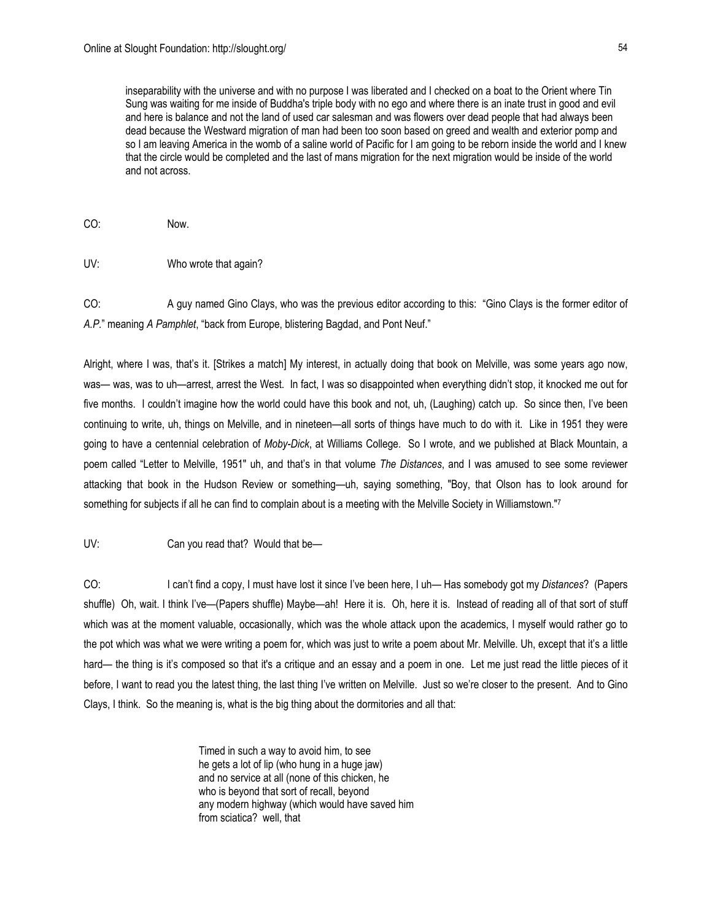inseparability with the universe and with no purpose I was liberated and I checked on a boat to the Orient where Tin Sung was waiting for me inside of Buddha's triple body with no ego and where there is an inate trust in good and evil and here is balance and not the land of used car salesman and was flowers over dead people that had always been dead because the Westward migration of man had been too soon based on greed and wealth and exterior pomp and so I am leaving America in the womb of a saline world of Pacific for I am going to be reborn inside the world and I knew that the circle would be completed and the last of mans migration for the next migration would be inside of the world and not across.

CO: Now.

UV: Who wrote that again?

CO: A guy named Gino Clays, who was the previous editor according to this: "Gino Clays is the former editor of *A.P.*" meaning *A Pamphlet*, "back from Europe, blistering Bagdad, and Pont Neuf."

Alright, where I was, that's it. [Strikes a match] My interest, in actually doing that book on Melville, was some years ago now, was— was, was to uh—arrest, arrest the West. In fact, I was so disappointed when everything didn't stop, it knocked me out for five months. I couldn't imagine how the world could have this book and not, uh, (Laughing) catch up. So since then, I've been continuing to write, uh, things on Melville, and in nineteen—all sorts of things have much to do with it. Like in 1951 they were going to have a centennial celebration of *Moby-Dick*, at Williams College. So I wrote, and we published at Black Mountain, a poem called "Letter to Melville, 1951" uh, and that's in that volume *The Distances*, and I was amused to see some reviewer attacking that book in the Hudson Review or something—uh, saying something, "Boy, that Olson has to look around for something for subjects if all he can find to complain about is a meeting with the Melville Society in Williamstown."7

UV: Can you read that? Would that be—

CO: I can't find a copy, I must have lost it since I've been here, I uh— Has somebody got my *Distances*? (Papers shuffle) Oh, wait. I think I've—(Papers shuffle) Maybe—ah! Here it is. Oh, here it is. Instead of reading all of that sort of stuff which was at the moment valuable, occasionally, which was the whole attack upon the academics, I myself would rather go to the pot which was what we were writing a poem for, which was just to write a poem about Mr. Melville. Uh, except that it's a little hard— the thing is it's composed so that it's a critique and an essay and a poem in one. Let me just read the little pieces of it before, I want to read you the latest thing, the last thing I've written on Melville. Just so we're closer to the present. And to Gino Clays, I think. So the meaning is, what is the big thing about the dormitories and all that:

> Timed in such a way to avoid him, to see he gets a lot of lip (who hung in a huge jaw) and no service at all (none of this chicken, he who is beyond that sort of recall, beyond any modern highway (which would have saved him from sciatica? well, that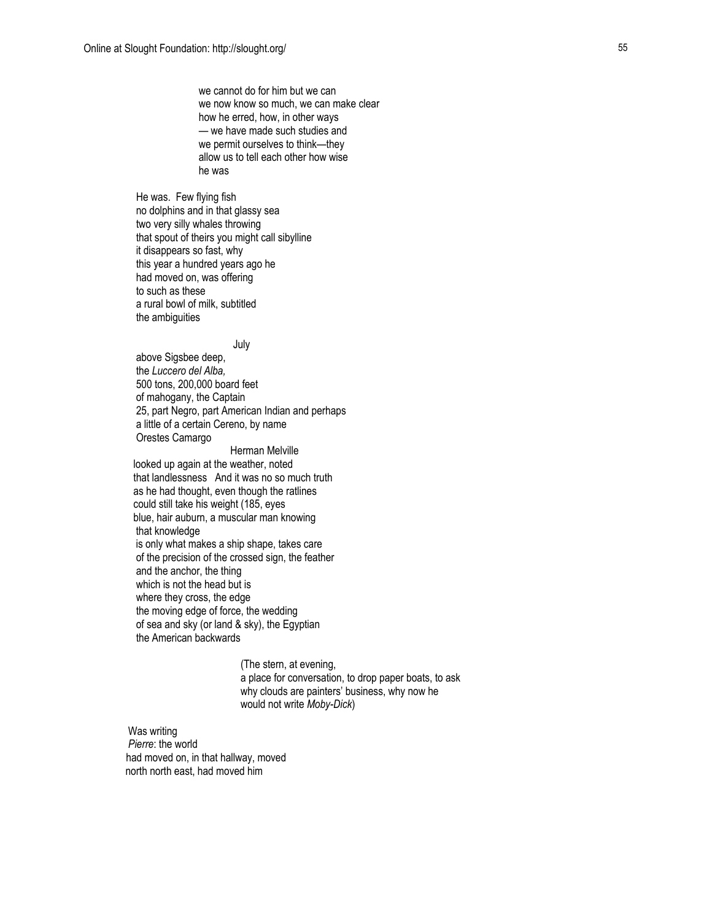we cannot do for him but we can we now know so much, we can make clear how he erred, how, in other ways — we have made such studies and we permit ourselves to think—they allow us to tell each other how wise he was

 He was. Few flying fish no dolphins and in that glassy sea two very silly whales throwing that spout of theirs you might call sibylline it disappears so fast, why this year a hundred years ago he had moved on, was offering to such as these a rural bowl of milk, subtitled the ambiguities

July

 above Sigsbee deep, the *Luccero del Alba,* 500 tons, 200,000 board feet of mahogany, the Captain 25, part Negro, part American Indian and perhaps a little of a certain Cereno, by name Orestes Camargo

 Herman Melville looked up again at the weather, noted that landlessness And it was no so much truth as he had thought, even though the ratlines could still take his weight (185, eyes blue, hair auburn, a muscular man knowing that knowledge is only what makes a ship shape, takes care of the precision of the crossed sign, the feather and the anchor, the thing which is not the head but is where they cross, the edge the moving edge of force, the wedding of sea and sky (or land & sky), the Egyptian the American backwards

> (The stern, at evening, a place for conversation, to drop paper boats, to ask why clouds are painters' business, why now he would not write *Moby-Dick*)

 Was writing *Pierre*: the world had moved on, in that hallway, moved north north east, had moved him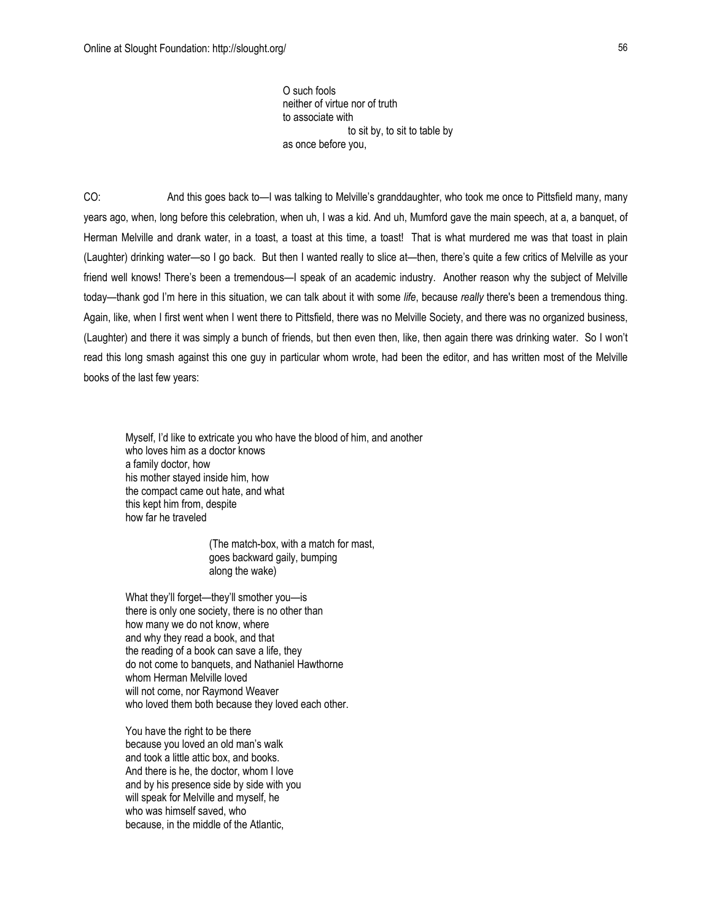O such fools neither of virtue nor of truth to associate with to sit by, to sit to table by as once before you,

CO: And this goes back to—I was talking to Melville's granddaughter, who took me once to Pittsfield many, many years ago, when, long before this celebration, when uh, I was a kid. And uh, Mumford gave the main speech, at a, a banquet, of Herman Melville and drank water, in a toast, a toast at this time, a toast! That is what murdered me was that toast in plain (Laughter) drinking water—so I go back. But then I wanted really to slice at—then, there's quite a few critics of Melville as your friend well knows! There's been a tremendous—I speak of an academic industry. Another reason why the subject of Melville today—thank god I'm here in this situation, we can talk about it with some *life*, because *really* there's been a tremendous thing. Again, like, when I first went when I went there to Pittsfield, there was no Melville Society, and there was no organized business, (Laughter) and there it was simply a bunch of friends, but then even then, like, then again there was drinking water. So I won't read this long smash against this one guy in particular whom wrote, had been the editor, and has written most of the Melville books of the last few years:

Myself, I'd like to extricate you who have the blood of him, and another who loves him as a doctor knows a family doctor, how his mother stayed inside him, how the compact came out hate, and what this kept him from, despite how far he traveled

> (The match-box, with a match for mast, goes backward gaily, bumping along the wake)

 What they'll forget—they'll smother you—is there is only one society, there is no other than how many we do not know, where and why they read a book, and that the reading of a book can save a life, they do not come to banquets, and Nathaniel Hawthorne whom Herman Melville loved will not come, nor Raymond Weaver who loved them both because they loved each other.

 You have the right to be there because you loved an old man's walk and took a little attic box, and books. And there is he, the doctor, whom I love and by his presence side by side with you will speak for Melville and myself, he who was himself saved, who because, in the middle of the Atlantic,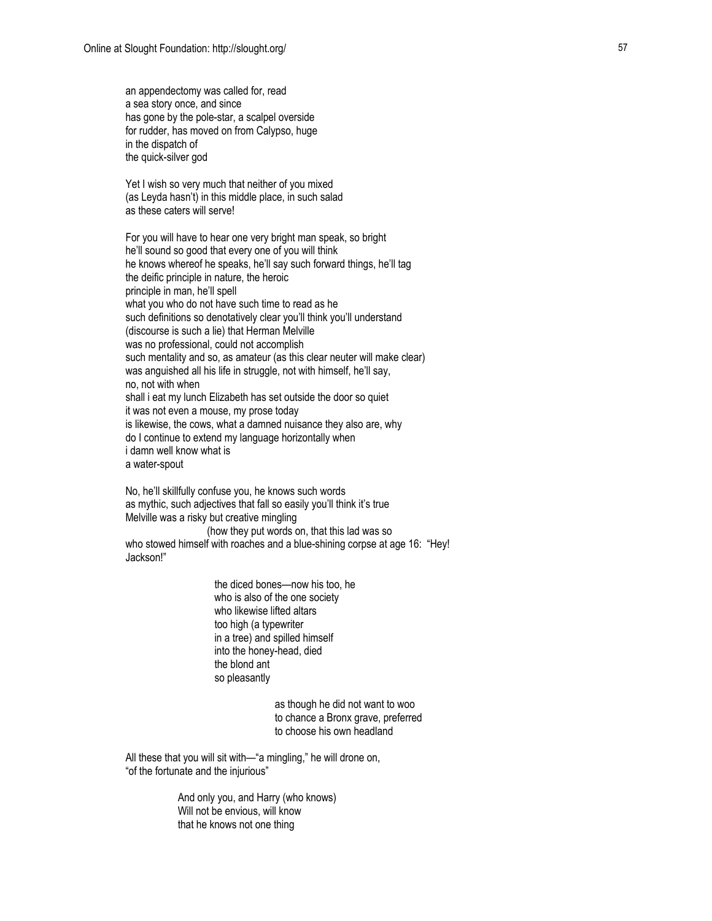an appendectomy was called for, read a sea story once, and since has gone by the pole-star, a scalpel overside for rudder, has moved on from Calypso, huge in the dispatch of the quick-silver god

 Yet I wish so very much that neither of you mixed (as Leyda hasn't) in this middle place, in such salad as these caters will serve!

 For you will have to hear one very bright man speak, so bright he'll sound so good that every one of you will think he knows whereof he speaks, he'll say such forward things, he'll tag the deific principle in nature, the heroic principle in man, he'll spell what you who do not have such time to read as he such definitions so denotatively clear you'll think you'll understand (discourse is such a lie) that Herman Melville was no professional, could not accomplish such mentality and so, as amateur (as this clear neuter will make clear) was anguished all his life in struggle, not with himself, he'll say, no, not with when shall i eat my lunch Elizabeth has set outside the door so quiet it was not even a mouse, my prose today is likewise, the cows, what a damned nuisance they also are, why do I continue to extend my language horizontally when i damn well know what is a water-spout

 No, he'll skillfully confuse you, he knows such words as mythic, such adjectives that fall so easily you'll think it's true Melville was a risky but creative mingling (how they put words on, that this lad was so

 who stowed himself with roaches and a blue-shining corpse at age 16: "Hey! Jackson!"

> the diced bones—now his too, he who is also of the one society who likewise lifted altars too high (a typewriter in a tree) and spilled himself into the honey-head, died the blond ant so pleasantly

> > as though he did not want to woo to chance a Bronx grave, preferred to choose his own headland

 All these that you will sit with—"a mingling," he will drone on, "of the fortunate and the injurious"

> And only you, and Harry (who knows) Will not be envious, will know that he knows not one thing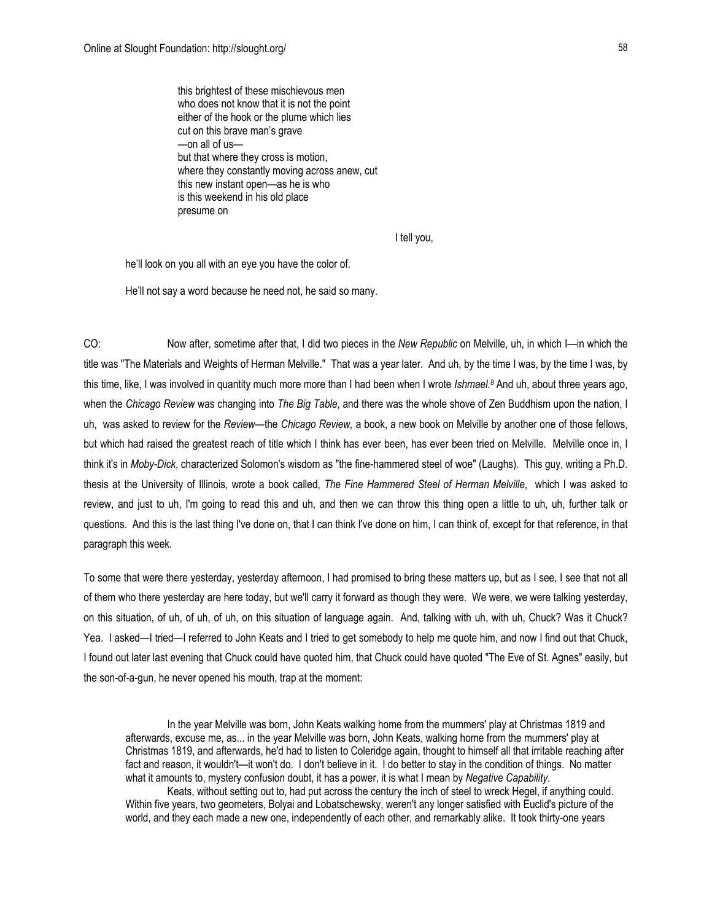this brightest of these mischievous men who does not know that it is not the point either of the hook or the plume which lies cut on this brave man's grave —on all of us but that where they cross is motion, where they constantly moving across anew, cut this new instant open—as he is who is this weekend in his old place presume on

I tell you,

he'll look on you all with an eye you have the color of.

He'll not say a word because he need not, he said so many.

CO: Now after, sometime after that, I did two pieces in the *New Republic* on Melville, uh, in which I—in which the title was "The Materials and Weights of Herman Melville." That was a year later. And uh, by the time I was, by the time I was, by this time, like, I was involved in quantity much more more than I had been when I wrote *Ishmael.8* And uh, about three years ago, when the *Chicago Review* was changing into *The Big Table*, and there was the whole shove of Zen Buddhism upon the nation, I uh, was asked to review for the *Review—*the *Chicago Review,* a book, a new book on Melville by another one of those fellows, but which had raised the greatest reach of title which I think has ever been, has ever been tried on Melville. Melville once in, I think it's in *Moby-Dick*, characterized Solomon's wisdom as "the fine-hammered steel of woe" (Laughs). This guy, writing a Ph.D. thesis at the University of Illinois, wrote a book called, *The Fine Hammered Steel of Herman Melville*, which I was asked to review, and just to uh, I'm going to read this and uh, and then we can throw this thing open a little to uh, uh, further talk or questions. And this is the last thing I've done on, that I can think I've done on him, I can think of, except for that reference, in that paragraph this week.

To some that were there yesterday, yesterday afternoon, I had promised to bring these matters up, but as I see, I see that not all of them who there yesterday are here today, but we'll carry it forward as though they were. We were, we were talking yesterday, on this situation, of uh, of uh, of uh, on this situation of language again. And, talking with uh, with uh, Chuck? Was it Chuck? Yea. I asked—I tried—I referred to John Keats and I tried to get somebody to help me quote him, and now I find out that Chuck, I found out later last evening that Chuck could have quoted him, that Chuck could have quoted "The Eve of St. Agnes" easily, but the son-of-a-gun, he never opened his mouth, trap at the moment:

In the year Melville was born, John Keats walking home from the mummers' play at Christmas 1819 and afterwards, excuse me, as... in the year Melville was born, John Keats, walking home from the mummers' play at Christmas 1819, and afterwards, he'd had to listen to Coleridge again, thought to himself all that irritable reaching after fact and reason, it wouldn't—it won't do. I don't believe in it. I do better to stay in the condition of things. No matter what it amounts to, mystery confusion doubt, it has a power, it is what I mean by *Negative Capability*.

Keats, without setting out to, had put across the century the inch of steel to wreck Hegel, if anything could. Within five years, two geometers, Bolyai and Lobatschewsky, weren't any longer satisfied with Euclid's picture of the world, and they each made a new one, independently of each other, and remarkably alike. It took thirty-one years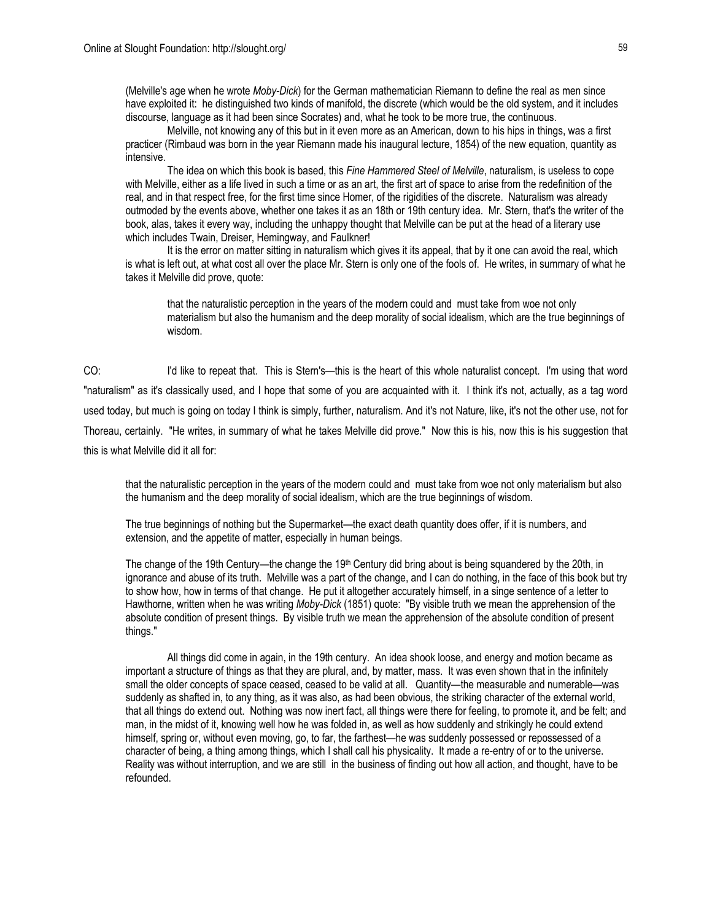(Melville's age when he wrote *Moby-Dick*) for the German mathematician Riemann to define the real as men since have exploited it: he distinguished two kinds of manifold, the discrete (which would be the old system, and it includes discourse, language as it had been since Socrates) and, what he took to be more true, the continuous.

Melville, not knowing any of this but in it even more as an American, down to his hips in things, was a first practicer (Rimbaud was born in the year Riemann made his inaugural lecture, 1854) of the new equation, quantity as intensive.

The idea on which this book is based, this *Fine Hammered Steel of Melville*, naturalism, is useless to cope with Melville, either as a life lived in such a time or as an art, the first art of space to arise from the redefinition of the real, and in that respect free, for the first time since Homer, of the rigidities of the discrete. Naturalism was already outmoded by the events above, whether one takes it as an 18th or 19th century idea. Mr. Stern, that's the writer of the book, alas, takes it every way, including the unhappy thought that Melville can be put at the head of a literary use which includes Twain, Dreiser, Hemingway, and Faulkner!

It is the error on matter sitting in naturalism which gives it its appeal, that by it one can avoid the real, which is what is left out, at what cost all over the place Mr. Stern is only one of the fools of. He writes, in summary of what he takes it Melville did prove, quote:

that the naturalistic perception in the years of the modern could and must take from woe not only materialism but also the humanism and the deep morality of social idealism, which are the true beginnings of wisdom.

CO: I'd like to repeat that. This is Stern's—this is the heart of this whole naturalist concept. I'm using that word "naturalism" as it's classically used, and I hope that some of you are acquainted with it. I think it's not, actually, as a tag word used today, but much is going on today I think is simply, further, naturalism. And it's not Nature, like, it's not the other use, not for Thoreau, certainly. "He writes, in summary of what he takes Melville did prove." Now this is his, now this is his suggestion that this is what Melville did it all for:

that the naturalistic perception in the years of the modern could and must take from woe not only materialism but also the humanism and the deep morality of social idealism, which are the true beginnings of wisdom.

The true beginnings of nothing but the Supermarket—the exact death quantity does offer, if it is numbers, and extension, and the appetite of matter, especially in human beings.

The change of the 19th Century—the change the 19<sup>th</sup> Century did bring about is being squandered by the 20th, in ignorance and abuse of its truth. Melville was a part of the change, and I can do nothing, in the face of this book but try to show how, how in terms of that change. He put it altogether accurately himself, in a singe sentence of a letter to Hawthorne, written when he was writing *Moby-Dick* (1851) quote: "By visible truth we mean the apprehension of the absolute condition of present things. By visible truth we mean the apprehension of the absolute condition of present things."

All things did come in again, in the 19th century. An idea shook loose, and energy and motion became as important a structure of things as that they are plural, and, by matter, mass. It was even shown that in the infinitely small the older concepts of space ceased, ceased to be valid at all. Quantity—the measurable and numerable—was suddenly as shafted in, to any thing, as it was also, as had been obvious, the striking character of the external world, that all things do extend out. Nothing was now inert fact, all things were there for feeling, to promote it, and be felt; and man, in the midst of it, knowing well how he was folded in, as well as how suddenly and strikingly he could extend himself, spring or, without even moving, go, to far, the farthest—he was suddenly possessed or repossessed of a character of being, a thing among things, which I shall call his physicality. It made a re-entry of or to the universe. Reality was without interruption, and we are still in the business of finding out how all action, and thought, have to be refounded.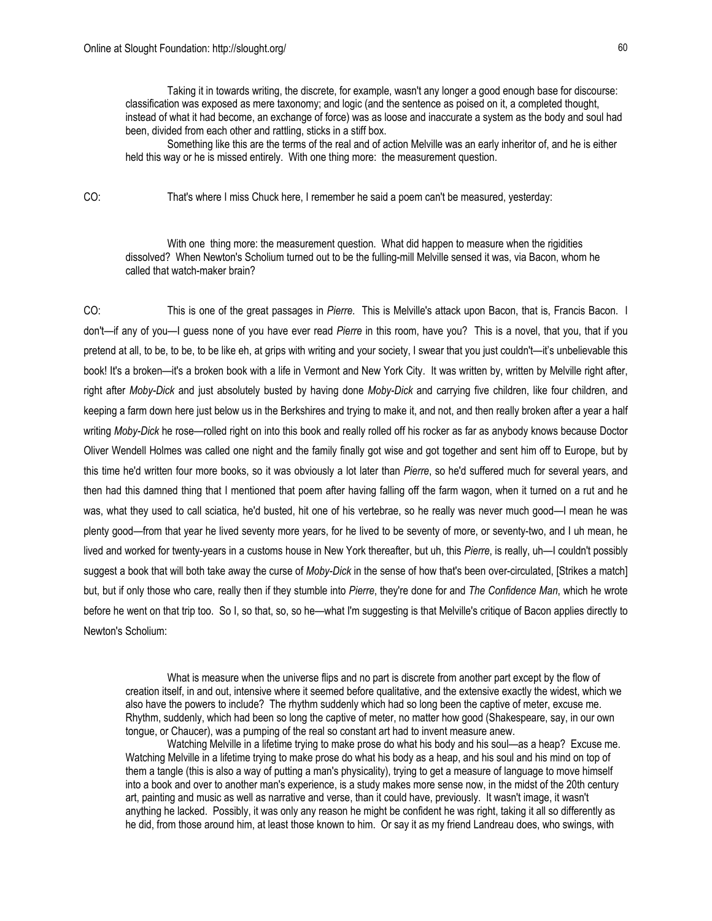Taking it in towards writing, the discrete, for example, wasn't any longer a good enough base for discourse: classification was exposed as mere taxonomy; and logic (and the sentence as poised on it, a completed thought, instead of what it had become, an exchange of force) was as loose and inaccurate a system as the body and soul had been, divided from each other and rattling, sticks in a stiff box.

Something like this are the terms of the real and of action Melville was an early inheritor of, and he is either held this way or he is missed entirely. With one thing more: the measurement question.

CO: That's where I miss Chuck here, I remember he said a poem can't be measured, yesterday:

With one thing more: the measurement question. What did happen to measure when the rigidities dissolved? When Newton's Scholium turned out to be the fulling-mill Melville sensed it was, via Bacon, whom he called that watch-maker brain?

CO: This is one of the great passages in *Pierre*. This is Melville's attack upon Bacon, that is, Francis Bacon. I don't—if any of you—I guess none of you have ever read *Pierre* in this room, have you? This is a novel, that you, that if you pretend at all, to be, to be, to be like eh, at grips with writing and your society, I swear that you just couldn't—it's unbelievable this book! It's a broken—it's a broken book with a life in Vermont and New York City. It was written by, written by Melville right after, right after *Moby-Dick* and just absolutely busted by having done *Moby-Dick* and carrying five children, like four children, and keeping a farm down here just below us in the Berkshires and trying to make it, and not, and then really broken after a year a half writing *Moby-Dick* he rose—rolled right on into this book and really rolled off his rocker as far as anybody knows because Doctor Oliver Wendell Holmes was called one night and the family finally got wise and got together and sent him off to Europe, but by this time he'd written four more books, so it was obviously a lot later than *Pierre*, so he'd suffered much for several years, and then had this damned thing that I mentioned that poem after having falling off the farm wagon, when it turned on a rut and he was, what they used to call sciatica, he'd busted, hit one of his vertebrae, so he really was never much good—I mean he was plenty good—from that year he lived seventy more years, for he lived to be seventy of more, or seventy-two, and I uh mean, he lived and worked for twenty-years in a customs house in New York thereafter, but uh, this *Pierre*, is really, uh—I couldn't possibly suggest a book that will both take away the curse of *Moby-Dick* in the sense of how that's been over-circulated, [Strikes a match] but, but if only those who care, really then if they stumble into *Pierre*, they're done for and *The Confidence Man*, which he wrote before he went on that trip too. So I, so that, so, so he—what I'm suggesting is that Melville's critique of Bacon applies directly to Newton's Scholium:

What is measure when the universe flips and no part is discrete from another part except by the flow of creation itself, in and out, intensive where it seemed before qualitative, and the extensive exactly the widest, which we also have the powers to include? The rhythm suddenly which had so long been the captive of meter, excuse me. Rhythm, suddenly, which had been so long the captive of meter, no matter how good (Shakespeare, say, in our own tongue, or Chaucer), was a pumping of the real so constant art had to invent measure anew.

Watching Melville in a lifetime trying to make prose do what his body and his soul—as a heap? Excuse me. Watching Melville in a lifetime trying to make prose do what his body as a heap, and his soul and his mind on top of them a tangle (this is also a way of putting a man's physicality), trying to get a measure of language to move himself into a book and over to another man's experience, is a study makes more sense now, in the midst of the 20th century art, painting and music as well as narrative and verse, than it could have, previously. It wasn't image, it wasn't anything he lacked. Possibly, it was only any reason he might be confident he was right, taking it all so differently as he did, from those around him, at least those known to him. Or say it as my friend Landreau does, who swings, with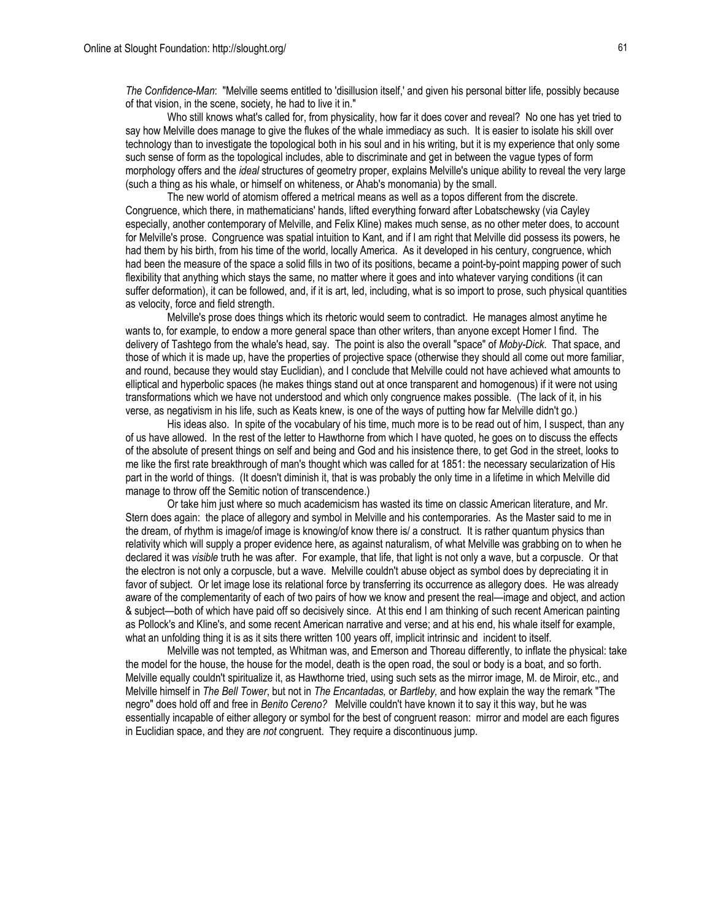*The Confidence-Man*: "Melville seems entitled to 'disillusion itself,' and given his personal bitter life, possibly because of that vision, in the scene, society, he had to live it in."

Who still knows what's called for, from physicality, how far it does cover and reveal? No one has yet tried to say how Melville does manage to give the flukes of the whale immediacy as such. It is easier to isolate his skill over technology than to investigate the topological both in his soul and in his writing, but it is my experience that only some such sense of form as the topological includes, able to discriminate and get in between the vague types of form morphology offers and the *ideal* structures of geometry proper, explains Melville's unique ability to reveal the very large (such a thing as his whale, or himself on whiteness, or Ahab's monomania) by the small.

The new world of atomism offered a metrical means as well as a topos different from the discrete. Congruence, which there, in mathematicians' hands, lifted everything forward after Lobatschewsky (via Cayley especially, another contemporary of Melville, and Felix Kline) makes much sense, as no other meter does, to account for Melville's prose. Congruence was spatial intuition to Kant, and if I am right that Melville did possess its powers, he had them by his birth, from his time of the world, locally America. As it developed in his century, congruence, which had been the measure of the space a solid fills in two of its positions, became a point-by-point mapping power of such flexibility that anything which stays the same, no matter where it goes and into whatever varying conditions (it can suffer deformation), it can be followed, and, if it is art, led, including, what is so import to prose, such physical quantities as velocity, force and field strength.

Melville's prose does things which its rhetoric would seem to contradict. He manages almost anytime he wants to, for example, to endow a more general space than other writers, than anyone except Homer I find. The delivery of Tashtego from the whale's head, say. The point is also the overall "space" of *Moby-Dick*. That space, and those of which it is made up, have the properties of projective space (otherwise they should all come out more familiar, and round, because they would stay Euclidian), and I conclude that Melville could not have achieved what amounts to elliptical and hyperbolic spaces (he makes things stand out at once transparent and homogenous) if it were not using transformations which we have not understood and which only congruence makes possible. (The lack of it, in his verse, as negativism in his life, such as Keats knew, is one of the ways of putting how far Melville didn't go.)

His ideas also. In spite of the vocabulary of his time, much more is to be read out of him, I suspect, than any of us have allowed. In the rest of the letter to Hawthorne from which I have quoted, he goes on to discuss the effects of the absolute of present things on self and being and God and his insistence there, to get God in the street, looks to me like the first rate breakthrough of man's thought which was called for at 1851: the necessary secularization of His part in the world of things. (It doesn't diminish it, that is was probably the only time in a lifetime in which Melville did manage to throw off the Semitic notion of transcendence.)

Or take him just where so much academicism has wasted its time on classic American literature, and Mr. Stern does again: the place of allegory and symbol in Melville and his contemporaries. As the Master said to me in the dream, of rhythm is image/of image is knowing/of know there is/ a construct. It is rather quantum physics than relativity which will supply a proper evidence here, as against naturalism, of what Melville was grabbing on to when he declared it was *visible* truth he was after. For example, that life, that light is not only a wave, but a corpuscle. Or that the electron is not only a corpuscle, but a wave. Melville couldn't abuse object as symbol does by depreciating it in favor of subject. Or let image lose its relational force by transferring its occurrence as allegory does. He was already aware of the complementarity of each of two pairs of how we know and present the real—image and object, and action & subject—both of which have paid off so decisively since. At this end I am thinking of such recent American painting as Pollock's and Kline's, and some recent American narrative and verse; and at his end, his whale itself for example, what an unfolding thing it is as it sits there written 100 years off, implicit intrinsic and incident to itself.

Melville was not tempted, as Whitman was, and Emerson and Thoreau differently, to inflate the physical: take the model for the house, the house for the model, death is the open road, the soul or body is a boat, and so forth. Melville equally couldn't spiritualize it, as Hawthorne tried, using such sets as the mirror image, M. de Miroir, etc., and Melville himself in *The Bell Tower*, but not in *The Encantadas,* or *Bartleby,* and how explain the way the remark "The negro" does hold off and free in *Benito Cereno?* Melville couldn't have known it to say it this way, but he was essentially incapable of either allegory or symbol for the best of congruent reason: mirror and model are each figures in Euclidian space, and they are *not* congruent. They require a discontinuous jump.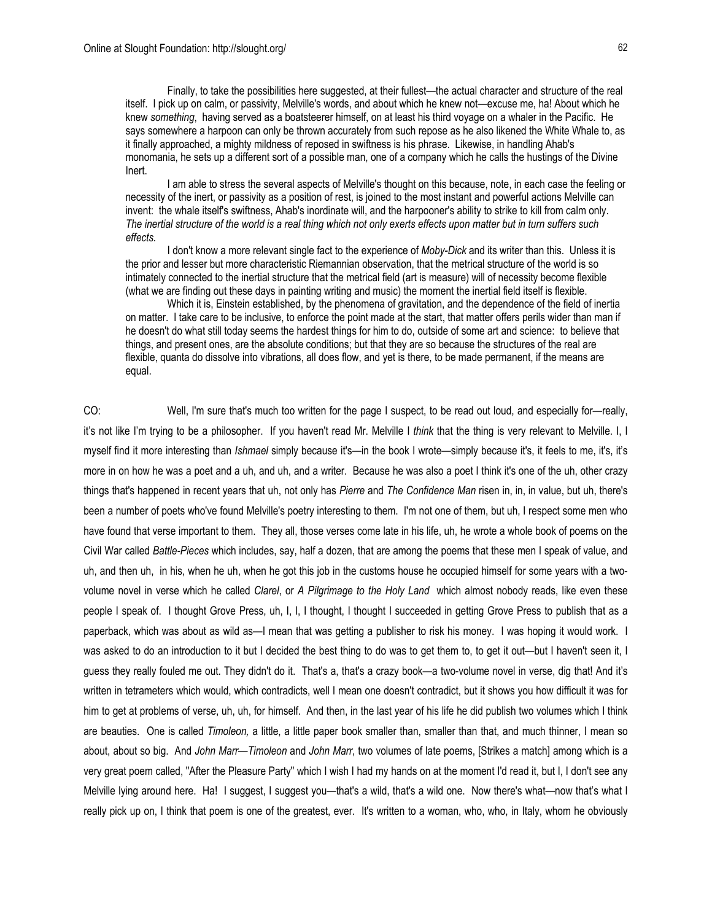Finally, to take the possibilities here suggested, at their fullest—the actual character and structure of the real itself. I pick up on calm, or passivity, Melville's words, and about which he knew not—excuse me, ha! About which he knew *something*, having served as a boatsteerer himself, on at least his third voyage on a whaler in the Pacific. He says somewhere a harpoon can only be thrown accurately from such repose as he also likened the White Whale to, as it finally approached, a mighty mildness of reposed in swiftness is his phrase. Likewise, in handling Ahab's monomania, he sets up a different sort of a possible man, one of a company which he calls the hustings of the Divine Inert.

I am able to stress the several aspects of Melville's thought on this because, note, in each case the feeling or necessity of the inert, or passivity as a position of rest, is joined to the most instant and powerful actions Melville can invent: the whale itself's swiftness, Ahab's inordinate will, and the harpooner's ability to strike to kill from calm only. *The inertial structure of the world is a real thing which not only exerts effects upon matter but in turn suffers such effects.*

I don't know a more relevant single fact to the experience of *Moby-Dick* and its writer than this. Unless it is the prior and lesser but more characteristic Riemannian observation, that the metrical structure of the world is so intimately connected to the inertial structure that the metrical field (art is measure) will of necessity become flexible (what we are finding out these days in painting writing and music) the moment the inertial field itself is flexible.

Which it is, Einstein established, by the phenomena of gravitation, and the dependence of the field of inertia on matter. I take care to be inclusive, to enforce the point made at the start, that matter offers perils wider than man if he doesn't do what still today seems the hardest things for him to do, outside of some art and science: to believe that things, and present ones, are the absolute conditions; but that they are so because the structures of the real are flexible, quanta do dissolve into vibrations, all does flow, and yet is there, to be made permanent, if the means are equal.

CO: Well, I'm sure that's much too written for the page I suspect, to be read out loud, and especially for—really, it's not like I'm trying to be a philosopher. If you haven't read Mr. Melville I *think* that the thing is very relevant to Melville. I, I myself find it more interesting than *Ishmael* simply because it's—in the book I wrote—simply because it's, it feels to me, it's, it's more in on how he was a poet and a uh, and uh, and a writer. Because he was also a poet I think it's one of the uh, other crazy things that's happened in recent years that uh, not only has *Pierre* and *The Confidence Man* risen in, in, in value, but uh, there's been a number of poets who've found Melville's poetry interesting to them. I'm not one of them, but uh, I respect some men who have found that verse important to them. They all, those verses come late in his life, uh, he wrote a whole book of poems on the Civil War called *Battle-Pieces* which includes, say, half a dozen, that are among the poems that these men I speak of value, and uh, and then uh, in his, when he uh, when he got this job in the customs house he occupied himself for some years with a twovolume novel in verse which he called *Clarel*, or *A Pilgrimage to the Holy Land* which almost nobody reads, like even these people I speak of. I thought Grove Press, uh, I, I, I thought, I thought I succeeded in getting Grove Press to publish that as a paperback, which was about as wild as—I mean that was getting a publisher to risk his money. I was hoping it would work. I was asked to do an introduction to it but I decided the best thing to do was to get them to, to get it out—but I haven't seen it, I guess they really fouled me out. They didn't do it. That's a, that's a crazy book—a two-volume novel in verse, dig that! And it's written in tetrameters which would, which contradicts, well I mean one doesn't contradict, but it shows you how difficult it was for him to get at problems of verse, uh, uh, for himself. And then, in the last year of his life he did publish two volumes which I think are beauties. One is called *Timoleon,* a little, a little paper book smaller than, smaller than that, and much thinner, I mean so about, about so big. And *John Marr*—*Timoleon* and *John Marr*, two volumes of late poems, [Strikes a match] among which is a very great poem called, "After the Pleasure Party" which I wish I had my hands on at the moment I'd read it, but I, I don't see any Melville lying around here. Ha! I suggest, I suggest you—that's a wild, that's a wild one. Now there's what—now that's what I really pick up on, I think that poem is one of the greatest, ever. It's written to a woman, who, who, in Italy, whom he obviously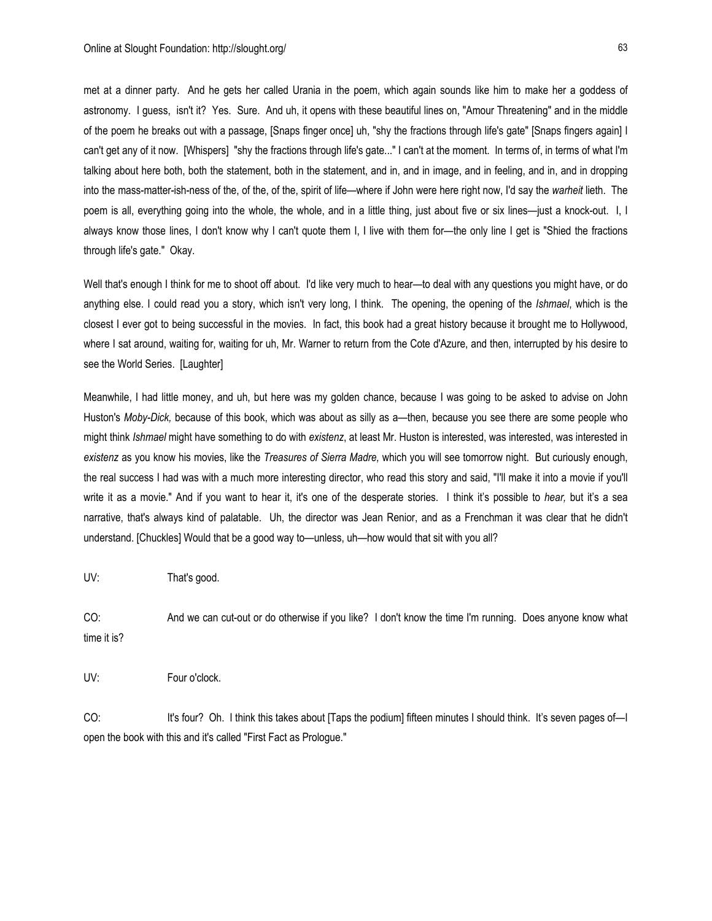met at a dinner party. And he gets her called Urania in the poem, which again sounds like him to make her a goddess of astronomy. I guess, isn't it? Yes. Sure. And uh, it opens with these beautiful lines on, "Amour Threatening" and in the middle of the poem he breaks out with a passage, [Snaps finger once] uh, "shy the fractions through life's gate" [Snaps fingers again] I can't get any of it now. [Whispers] "shy the fractions through life's gate..." I can't at the moment. In terms of, in terms of what I'm talking about here both, both the statement, both in the statement, and in, and in image, and in feeling, and in, and in dropping into the mass-matter-ish-ness of the, of the, of the, spirit of life—where if John were here right now, I'd say the *warheit* lieth. The poem is all, everything going into the whole, the whole, and in a little thing, just about five or six lines—just a knock-out. I, I always know those lines, I don't know why I can't quote them I, I live with them for—the only line I get is "Shied the fractions through life's gate." Okay.

Well that's enough I think for me to shoot off about. I'd like very much to hear—to deal with any questions you might have, or do anything else. I could read you a story, which isn't very long, I think. The opening, the opening of the *Ishmael*, which is the closest I ever got to being successful in the movies. In fact, this book had a great history because it brought me to Hollywood, where I sat around, waiting for, waiting for uh, Mr. Warner to return from the Cote d'Azure, and then, interrupted by his desire to see the World Series. [Laughter]

Meanwhile, I had little money, and uh, but here was my golden chance, because I was going to be asked to advise on John Huston's *Moby-Dick,* because of this book, which was about as silly as a—then, because you see there are some people who might think *Ishmael* might have something to do with *existenz*, at least Mr. Huston is interested, was interested, was interested in *existenz* as you know his movies, like the *Treasures of Sierra Madre,* which you will see tomorrow night. But curiously enough, the real success I had was with a much more interesting director, who read this story and said, "I'll make it into a movie if you'll write it as a movie." And if you want to hear it, it's one of the desperate stories. I think it's possible to *hear,* but it's a sea narrative, that's always kind of palatable. Uh, the director was Jean Renior, and as a Frenchman it was clear that he didn't understand. [Chuckles] Would that be a good way to—unless, uh—how would that sit with you all?

UV: That's good.

CO: And we can cut-out or do otherwise if you like? I don't know the time I'm running. Does anyone know what time it is?

UV: Four o'clock.

CO: It's four? Oh. I think this takes about [Taps the podium] fifteen minutes I should think. It's seven pages of—I open the book with this and it's called "First Fact as Prologue."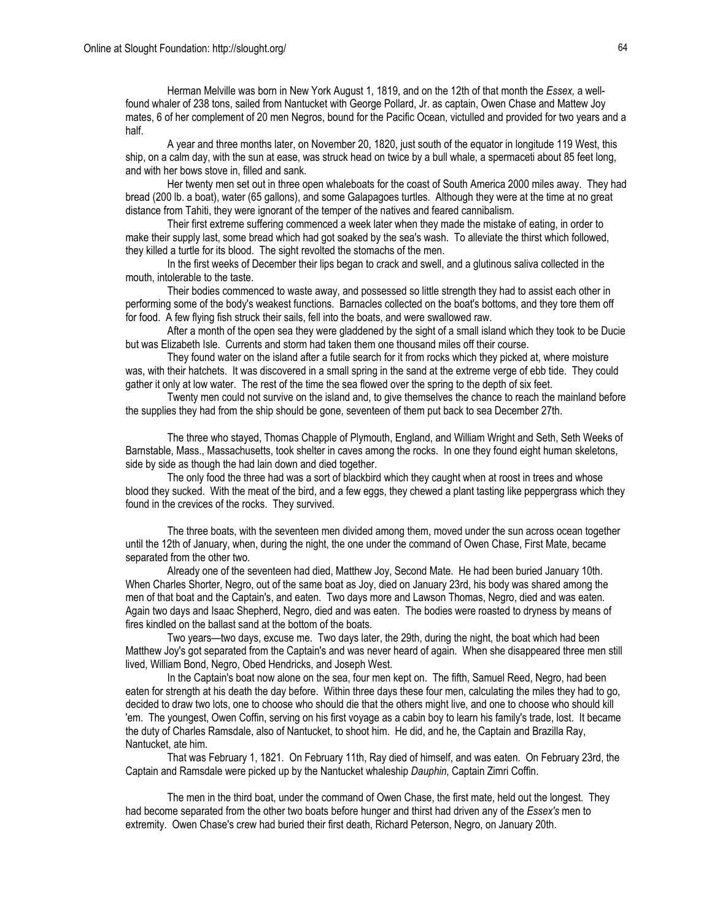Herman Melville was born in New York August 1, 1819, and on the 12th of that month the *Essex,* a wellfound whaler of 238 tons, sailed from Nantucket with George Pollard, Jr. as captain, Owen Chase and Mattew Joy mates, 6 of her complement of 20 men Negros, bound for the Pacific Ocean, victulled and provided for two years and a half.

A year and three months later, on November 20, 1820, just south of the equator in longitude 119 West, this ship, on a calm day, with the sun at ease, was struck head on twice by a bull whale, a spermaceti about 85 feet long, and with her bows stove in, filled and sank.

Her twenty men set out in three open whaleboats for the coast of South America 2000 miles away. They had bread (200 lb. a boat), water (65 gallons), and some Galapagoes turtles. Although they were at the time at no great distance from Tahiti, they were ignorant of the temper of the natives and feared cannibalism.

Their first extreme suffering commenced a week later when they made the mistake of eating, in order to make their supply last, some bread which had got soaked by the sea's wash. To alleviate the thirst which followed, they killed a turtle for its blood. The sight revolted the stomachs of the men.

In the first weeks of December their lips began to crack and swell, and a glutinous saliva collected in the mouth, intolerable to the taste.

Their bodies commenced to waste away, and possessed so little strength they had to assist each other in performing some of the body's weakest functions. Barnacles collected on the boat's bottoms, and they tore them off for food. A few flying fish struck their sails, fell into the boats, and were swallowed raw.

After a month of the open sea they were gladdened by the sight of a small island which they took to be Ducie but was Elizabeth Isle. Currents and storm had taken them one thousand miles off their course.

They found water on the island after a futile search for it from rocks which they picked at, where moisture was, with their hatchets. It was discovered in a small spring in the sand at the extreme verge of ebb tide. They could gather it only at low water. The rest of the time the sea flowed over the spring to the depth of six feet.

Twenty men could not survive on the island and, to give themselves the chance to reach the mainland before the supplies they had from the ship should be gone, seventeen of them put back to sea December 27th.

The three who stayed, Thomas Chapple of Plymouth, England, and William Wright and Seth, Seth Weeks of Barnstable, Mass., Massachusetts, took shelter in caves among the rocks. In one they found eight human skeletons, side by side as though the had lain down and died together.

The only food the three had was a sort of blackbird which they caught when at roost in trees and whose blood they sucked. With the meat of the bird, and a few eggs, they chewed a plant tasting like peppergrass which they found in the crevices of the rocks. They survived.

The three boats, with the seventeen men divided among them, moved under the sun across ocean together until the 12th of January, when, during the night, the one under the command of Owen Chase, First Mate, became separated from the other two.

Already one of the seventeen had died, Matthew Joy, Second Mate. He had been buried January 10th. When Charles Shorter, Negro, out of the same boat as Joy, died on January 23rd, his body was shared among the men of that boat and the Captain's, and eaten. Two days more and Lawson Thomas, Negro, died and was eaten. Again two days and Isaac Shepherd, Negro, died and was eaten. The bodies were roasted to dryness by means of fires kindled on the ballast sand at the bottom of the boats.

Two years—two days, excuse me. Two days later, the 29th, during the night, the boat which had been Matthew Joy's got separated from the Captain's and was never heard of again. When she disappeared three men still lived, William Bond, Negro, Obed Hendricks, and Joseph West.

In the Captain's boat now alone on the sea, four men kept on. The fifth, Samuel Reed, Negro, had been eaten for strength at his death the day before. Within three days these four men, calculating the miles they had to go, decided to draw two lots, one to choose who should die that the others might live, and one to choose who should kill 'em. The youngest, Owen Coffin, serving on his first voyage as a cabin boy to learn his family's trade, lost. It became the duty of Charles Ramsdale, also of Nantucket, to shoot him. He did, and he, the Captain and Brazilla Ray, Nantucket, ate him.

That was February 1, 1821. On February 11th, Ray died of himself, and was eaten. On February 23rd, the Captain and Ramsdale were picked up by the Nantucket whaleship *Dauphin*, Captain Zimri Coffin.

The men in the third boat, under the command of Owen Chase, the first mate, held out the longest. They had become separated from the other two boats before hunger and thirst had driven any of the *Essex's* men to extremity. Owen Chase's crew had buried their first death, Richard Peterson, Negro, on January 20th.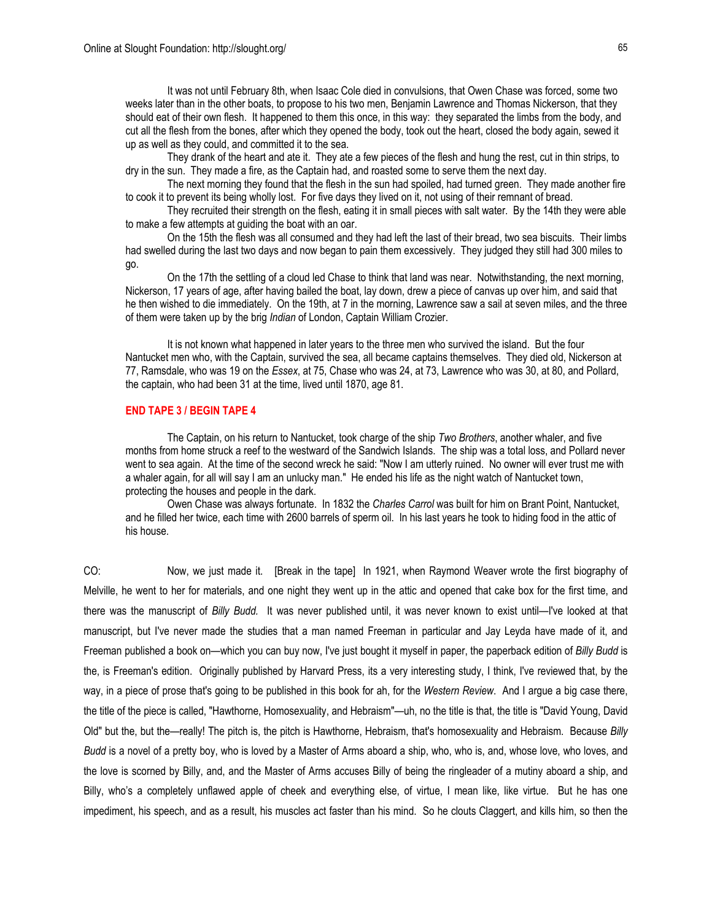It was not until February 8th, when Isaac Cole died in convulsions, that Owen Chase was forced, some two weeks later than in the other boats, to propose to his two men, Benjamin Lawrence and Thomas Nickerson, that they should eat of their own flesh. It happened to them this once, in this way: they separated the limbs from the body, and cut all the flesh from the bones, after which they opened the body, took out the heart, closed the body again, sewed it up as well as they could, and committed it to the sea.

They drank of the heart and ate it. They ate a few pieces of the flesh and hung the rest, cut in thin strips, to dry in the sun. They made a fire, as the Captain had, and roasted some to serve them the next day.

The next morning they found that the flesh in the sun had spoiled, had turned green. They made another fire to cook it to prevent its being wholly lost. For five days they lived on it, not using of their remnant of bread.

They recruited their strength on the flesh, eating it in small pieces with salt water. By the 14th they were able to make a few attempts at guiding the boat with an oar.

On the 15th the flesh was all consumed and they had left the last of their bread, two sea biscuits. Their limbs had swelled during the last two days and now began to pain them excessively. They judged they still had 300 miles to go.

On the 17th the settling of a cloud led Chase to think that land was near. Notwithstanding, the next morning, Nickerson, 17 years of age, after having bailed the boat, lay down, drew a piece of canvas up over him, and said that he then wished to die immediately. On the 19th, at 7 in the morning, Lawrence saw a sail at seven miles, and the three of them were taken up by the brig *Indian* of London, Captain William Crozier.

It is not known what happened in later years to the three men who survived the island. But the four Nantucket men who, with the Captain, survived the sea, all became captains themselves. They died old, Nickerson at 77, Ramsdale, who was 19 on the *Essex*, at 75, Chase who was 24, at 73, Lawrence who was 30, at 80, and Pollard, the captain, who had been 31 at the time, lived until 1870, age 81.

### **END TAPE 3 / BEGIN TAPE 4**

The Captain, on his return to Nantucket, took charge of the ship *Two Brothers*, another whaler, and five months from home struck a reef to the westward of the Sandwich Islands. The ship was a total loss, and Pollard never went to sea again. At the time of the second wreck he said: "Now I am utterly ruined. No owner will ever trust me with a whaler again, for all will say I am an unlucky man." He ended his life as the night watch of Nantucket town, protecting the houses and people in the dark.

Owen Chase was always fortunate. In 1832 the *Charles Carrol* was built for him on Brant Point, Nantucket, and he filled her twice, each time with 2600 barrels of sperm oil. In his last years he took to hiding food in the attic of his house.

CO: Now, we just made it. [Break in the tape] In 1921, when Raymond Weaver wrote the first biography of Melville, he went to her for materials, and one night they went up in the attic and opened that cake box for the first time, and there was the manuscript of *Billy Budd.* It was never published until, it was never known to exist until—I've looked at that manuscript, but I've never made the studies that a man named Freeman in particular and Jay Leyda have made of it, and Freeman published a book on—which you can buy now, I've just bought it myself in paper, the paperback edition of *Billy Budd* is the, is Freeman's edition. Originally published by Harvard Press, its a very interesting study, I think, I've reviewed that, by the way, in a piece of prose that's going to be published in this book for ah, for the *Western Review*. And I argue a big case there, the title of the piece is called, "Hawthorne, Homosexuality, and Hebraism"—uh, no the title is that, the title is "David Young, David Old" but the, but the—really! The pitch is, the pitch is Hawthorne, Hebraism, that's homosexuality and Hebraism. Because *Billy Budd* is a novel of a pretty boy, who is loved by a Master of Arms aboard a ship, who, who is, and, whose love, who loves, and the love is scorned by Billy, and, and the Master of Arms accuses Billy of being the ringleader of a mutiny aboard a ship, and Billy, who's a completely unflawed apple of cheek and everything else, of virtue, I mean like, like virtue. But he has one impediment, his speech, and as a result, his muscles act faster than his mind. So he clouts Claggert, and kills him, so then the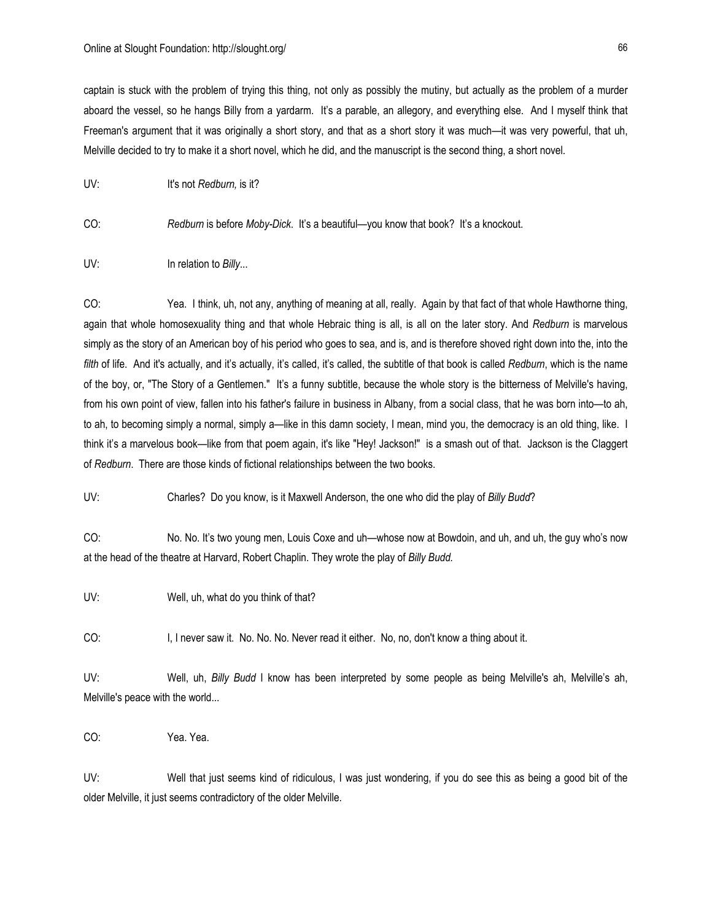captain is stuck with the problem of trying this thing, not only as possibly the mutiny, but actually as the problem of a murder aboard the vessel, so he hangs Billy from a yardarm. It's a parable, an allegory, and everything else. And I myself think that Freeman's argument that it was originally a short story, and that as a short story it was much—it was very powerful, that uh, Melville decided to try to make it a short novel, which he did, and the manuscript is the second thing, a short novel.

UV: It's not *Redburn*, is it?

CO: *Redburn* is before *Moby-Dick*. It's a beautiful—you know that book? It's a knockout.

UV: In relation to *Billy*...

CO: Yea. I think, uh, not any, anything of meaning at all, really. Again by that fact of that whole Hawthorne thing, again that whole homosexuality thing and that whole Hebraic thing is all, is all on the later story. And *Redburn* is marvelous simply as the story of an American boy of his period who goes to sea, and is, and is therefore shoved right down into the, into the *filth* of life. And it's actually, and it's actually, it's called, it's called, the subtitle of that book is called *Redburn*, which is the name of the boy, or, "The Story of a Gentlemen." It's a funny subtitle, because the whole story is the bitterness of Melville's having, from his own point of view, fallen into his father's failure in business in Albany, from a social class, that he was born into—to ah, to ah, to becoming simply a normal, simply a—like in this damn society, I mean, mind you, the democracy is an old thing, like. I think it's a marvelous book—like from that poem again, it's like "Hey! Jackson!" is a smash out of that. Jackson is the Claggert of *Redburn*. There are those kinds of fictional relationships between the two books.

UV: Charles? Do you know, is it Maxwell Anderson, the one who did the play of *Billy Budd*?

CO: No. No. It's two young men, Louis Coxe and uh—whose now at Bowdoin, and uh, and uh, the guy who's now at the head of the theatre at Harvard, Robert Chaplin. They wrote the play of *Billy Budd.* 

UV: Well, uh, what do you think of that?

CO: I, I never saw it. No. No. No. Never read it either. No, no, don't know a thing about it.

UV: Well, uh, *Billy Budd* I know has been interpreted by some people as being Melville's ah, Melville's ah, Melville's peace with the world...

CO: Yea. Yea.

UV: Well that just seems kind of ridiculous, I was just wondering, if you do see this as being a good bit of the older Melville, it just seems contradictory of the older Melville.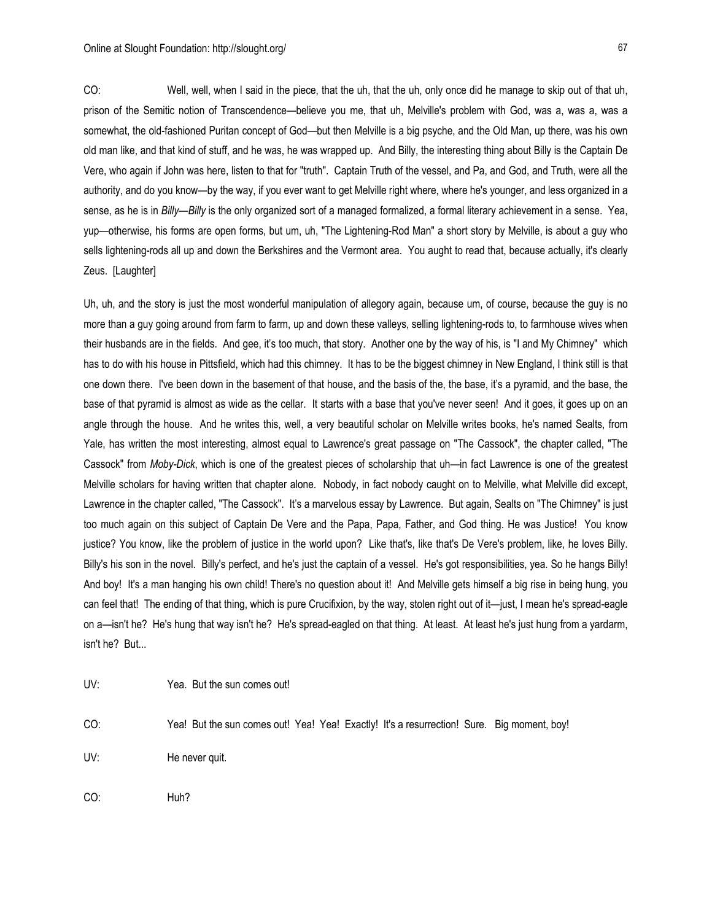CO: Well, well, when I said in the piece, that the uh, that the uh, only once did he manage to skip out of that uh, prison of the Semitic notion of Transcendence—believe you me, that uh, Melville's problem with God, was a, was a, was a somewhat, the old-fashioned Puritan concept of God—but then Melville is a big psyche, and the Old Man, up there, was his own old man like, and that kind of stuff, and he was, he was wrapped up. And Billy, the interesting thing about Billy is the Captain De Vere, who again if John was here, listen to that for "truth". Captain Truth of the vessel, and Pa, and God, and Truth, were all the authority, and do you know—by the way, if you ever want to get Melville right where, where he's younger, and less organized in a sense, as he is in *Billy*—*Billy* is the only organized sort of a managed formalized, a formal literary achievement in a sense. Yea, yup—otherwise, his forms are open forms, but um, uh, "The Lightening-Rod Man" a short story by Melville, is about a guy who sells lightening-rods all up and down the Berkshires and the Vermont area. You aught to read that, because actually, it's clearly Zeus. [Laughter]

Uh, uh, and the story is just the most wonderful manipulation of allegory again, because um, of course, because the guy is no more than a guy going around from farm to farm, up and down these valleys, selling lightening-rods to, to farmhouse wives when their husbands are in the fields. And gee, it's too much, that story. Another one by the way of his, is "I and My Chimney" which has to do with his house in Pittsfield, which had this chimney. It has to be the biggest chimney in New England, I think still is that one down there. I've been down in the basement of that house, and the basis of the, the base, it's a pyramid, and the base, the base of that pyramid is almost as wide as the cellar. It starts with a base that you've never seen! And it goes, it goes up on an angle through the house. And he writes this, well, a very beautiful scholar on Melville writes books, he's named Sealts, from Yale, has written the most interesting, almost equal to Lawrence's great passage on "The Cassock", the chapter called, "The Cassock" from *Moby-Dick*, which is one of the greatest pieces of scholarship that uh—in fact Lawrence is one of the greatest Melville scholars for having written that chapter alone. Nobody, in fact nobody caught on to Melville, what Melville did except, Lawrence in the chapter called, "The Cassock". It's a marvelous essay by Lawrence. But again, Sealts on "The Chimney" is just too much again on this subject of Captain De Vere and the Papa, Papa, Father, and God thing. He was Justice! You know justice? You know, like the problem of justice in the world upon? Like that's, like that's De Vere's problem, like, he loves Billy. Billy's his son in the novel. Billy's perfect, and he's just the captain of a vessel. He's got responsibilities, yea. So he hangs Billy! And boy! It's a man hanging his own child! There's no question about it! And Melville gets himself a big rise in being hung, you can feel that! The ending of that thing, which is pure Crucifixion, by the way, stolen right out of it—just, I mean he's spread-eagle on a—isn't he? He's hung that way isn't he? He's spread-eagled on that thing. At least. At least he's just hung from a yardarm, isn't he? But...

UV: Yea. But the sun comes out!

CO: Yea! But the sun comes out! Yea! Yea! Exactly! It's a resurrection! Sure. Big moment, boy!

UV: He never quit.

CO: Huh?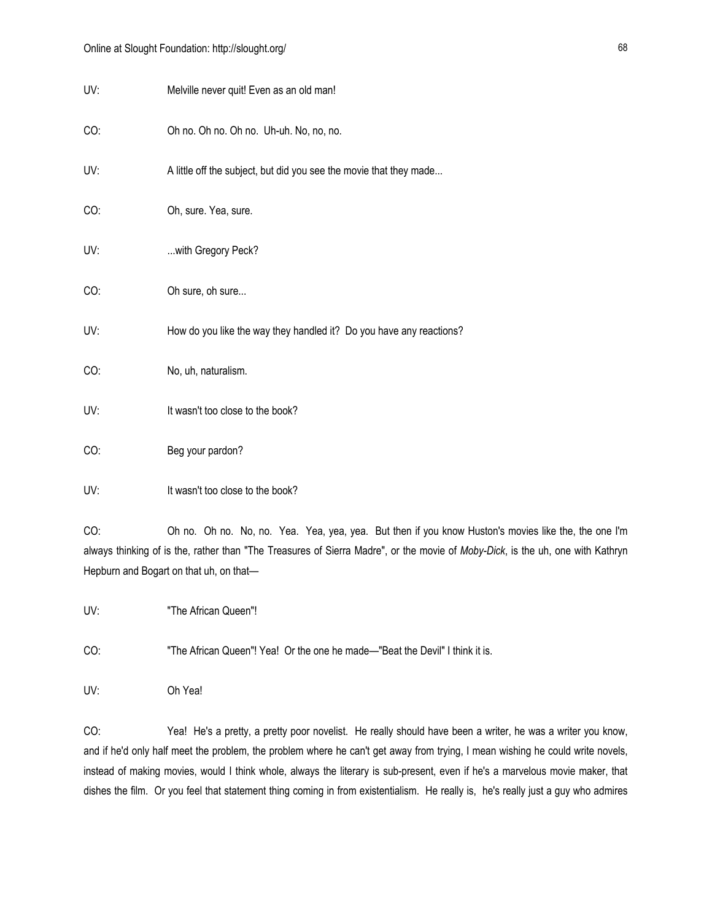| UV: | Melville never quit! Even as an old man!                            |
|-----|---------------------------------------------------------------------|
| CO: | Oh no. Oh no. Oh no. Uh-uh. No, no, no.                             |
| UV: | A little off the subject, but did you see the movie that they made  |
| CO: | Oh, sure. Yea, sure.                                                |
| UV: | with Gregory Peck?                                                  |
| CO: | Oh sure, oh sure                                                    |
| UV: | How do you like the way they handled it? Do you have any reactions? |
| CO: | No, uh, naturalism.                                                 |
| UV: | It wasn't too close to the book?                                    |
| CO: | Beg your pardon?                                                    |
| UV: | It wasn't too close to the book?                                    |

CO: Oh no. Oh no. No, no. Yea. Yea, yea, yea. But then if you know Huston's movies like the, the one I'm always thinking of is the, rather than "The Treasures of Sierra Madre", or the movie of *Moby-Dick*, is the uh, one with Kathryn Hepburn and Bogart on that uh, on that-

UV: "The African Queen"!

CO: "The African Queen"! Yea! Or the one he made—"Beat the Devil" I think it is.

UV: Oh Yea!

CO: Yea! He's a pretty, a pretty poor novelist. He really should have been a writer, he was a writer you know, and if he'd only half meet the problem, the problem where he can't get away from trying, I mean wishing he could write novels, instead of making movies, would I think whole, always the literary is sub-present, even if he's a marvelous movie maker, that dishes the film. Or you feel that statement thing coming in from existentialism. He really is, he's really just a guy who admires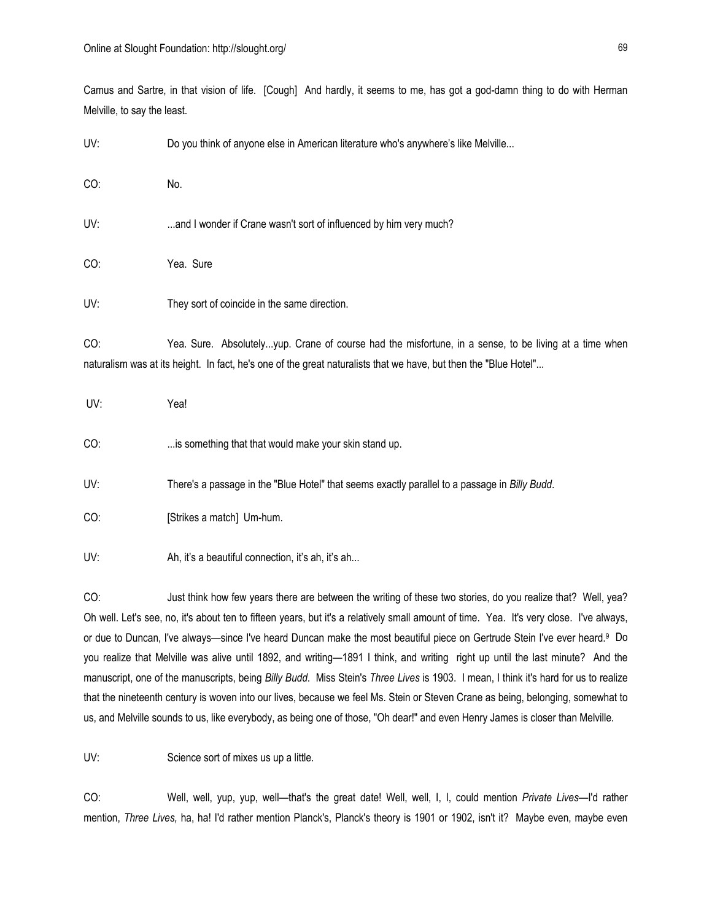Camus and Sartre, in that vision of life. [Cough] And hardly, it seems to me, has got a god-damn thing to do with Herman Melville, to say the least.

| UV:                                                                                                                                                                                                                              | Do you think of anyone else in American literature who's anywhere's like Melville             |
|----------------------------------------------------------------------------------------------------------------------------------------------------------------------------------------------------------------------------------|-----------------------------------------------------------------------------------------------|
| CO:                                                                                                                                                                                                                              | No.                                                                                           |
| UV:                                                                                                                                                                                                                              | and I wonder if Crane wasn't sort of influenced by him very much?                             |
| CO:                                                                                                                                                                                                                              | Yea. Sure                                                                                     |
| UV:                                                                                                                                                                                                                              | They sort of coincide in the same direction.                                                  |
| CO:<br>Yea. Sure. Absolutelyyup. Crane of course had the misfortune, in a sense, to be living at a time when<br>naturalism was at its height. In fact, he's one of the great naturalists that we have, but then the "Blue Hotel" |                                                                                               |
| UV:                                                                                                                                                                                                                              | Yea!                                                                                          |
| CO:                                                                                                                                                                                                                              | is something that that would make your skin stand up.                                         |
| UV:                                                                                                                                                                                                                              | There's a passage in the "Blue Hotel" that seems exactly parallel to a passage in Billy Budd. |
| CO:                                                                                                                                                                                                                              | [Strikes a match] Um-hum.                                                                     |
| UV:                                                                                                                                                                                                                              | Ah, it's a beautiful connection, it's ah, it's ah                                             |
|                                                                                                                                                                                                                                  |                                                                                               |

CO: Just think how few years there are between the writing of these two stories, do you realize that? Well, yea? Oh well. Let's see, no, it's about ten to fifteen years, but it's a relatively small amount of time. Yea. It's very close. I've always, or due to Duncan, I've always—since I've heard Duncan make the most beautiful piece on Gertrude Stein I've ever heard.9 Do you realize that Melville was alive until 1892, and writing—1891 I think, and writing right up until the last minute? And the manuscript, one of the manuscripts, being *Billy Budd*. Miss Stein's *Three Lives* is 1903. I mean, I think it's hard for us to realize that the nineteenth century is woven into our lives, because we feel Ms. Stein or Steven Crane as being, belonging, somewhat to us, and Melville sounds to us, like everybody, as being one of those, "Oh dear!" and even Henry James is closer than Melville.

UV: Science sort of mixes us up a little.

CO: Well, well, yup, yup, well—that's the great date! Well, well, I, I, could mention *Private Lives*—I'd rather mention, *Three Lives,* ha, ha! I'd rather mention Planck's, Planck's theory is 1901 or 1902, isn't it? Maybe even, maybe even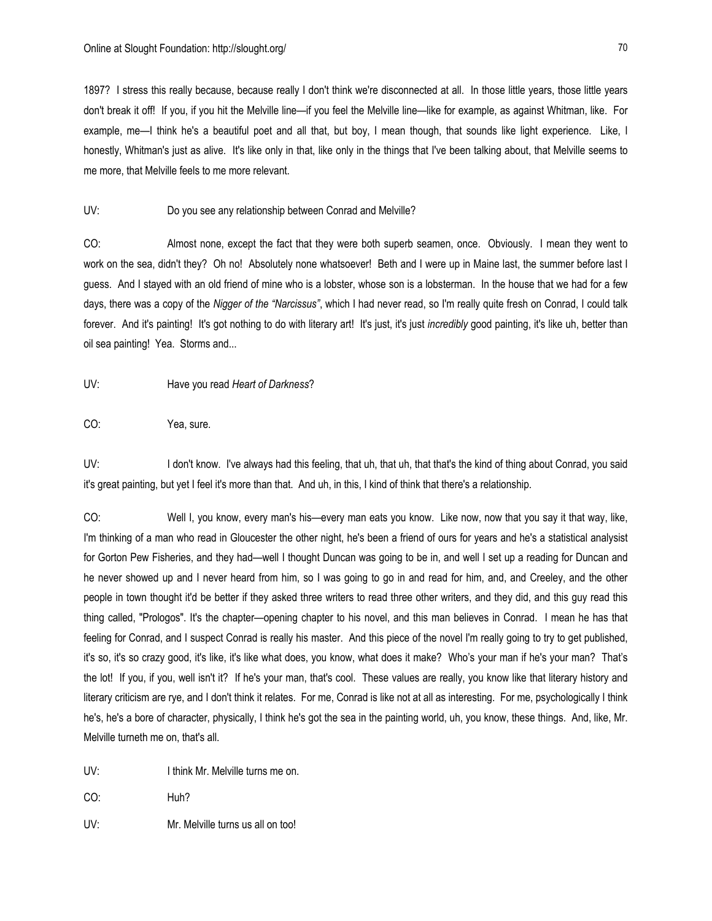1897? I stress this really because, because really I don't think we're disconnected at all. In those little years, those little years don't break it off! If you, if you hit the Melville line—if you feel the Melville line—like for example, as against Whitman, like. For example, me—I think he's a beautiful poet and all that, but boy, I mean though, that sounds like light experience. Like, I honestly, Whitman's just as alive. It's like only in that, like only in the things that I've been talking about, that Melville seems to me more, that Melville feels to me more relevant.

## UV: Do you see any relationship between Conrad and Melville?

CO: Almost none, except the fact that they were both superb seamen, once. Obviously. I mean they went to work on the sea, didn't they? Oh no! Absolutely none whatsoever! Beth and I were up in Maine last, the summer before last I guess. And I stayed with an old friend of mine who is a lobster, whose son is a lobsterman. In the house that we had for a few days, there was a copy of the *Nigger of the "Narcissus"*, which I had never read, so I'm really quite fresh on Conrad, I could talk forever. And it's painting! It's got nothing to do with literary art! It's just, it's just *incredibly* good painting, it's like uh, better than oil sea painting! Yea. Storms and...

### UV: Have you read *Heart of Darkness*?

CO: Yea, sure.

UV: I don't know. I've always had this feeling, that uh, that uh, that that's the kind of thing about Conrad, you said it's great painting, but yet I feel it's more than that. And uh, in this, I kind of think that there's a relationship.

CO: Well I, you know, every man's his—every man eats you know. Like now, now that you say it that way, like, I'm thinking of a man who read in Gloucester the other night, he's been a friend of ours for years and he's a statistical analysist for Gorton Pew Fisheries, and they had—well I thought Duncan was going to be in, and well I set up a reading for Duncan and he never showed up and I never heard from him, so I was going to go in and read for him, and, and Creeley, and the other people in town thought it'd be better if they asked three writers to read three other writers, and they did, and this guy read this thing called, "Prologos". It's the chapter—opening chapter to his novel, and this man believes in Conrad. I mean he has that feeling for Conrad, and I suspect Conrad is really his master. And this piece of the novel I'm really going to try to get published, it's so, it's so crazy good, it's like, it's like what does, you know, what does it make? Who's your man if he's your man? That's the lot! If you, if you, well isn't it? If he's your man, that's cool. These values are really, you know like that literary history and literary criticism are rye, and I don't think it relates. For me, Conrad is like not at all as interesting. For me, psychologically I think he's, he's a bore of character, physically, I think he's got the sea in the painting world, uh, you know, these things. And, like, Mr. Melville turneth me on, that's all.

UV: I think Mr. Melville turns me on.

CO: Huh?

UV: Mr. Melville turns us all on too!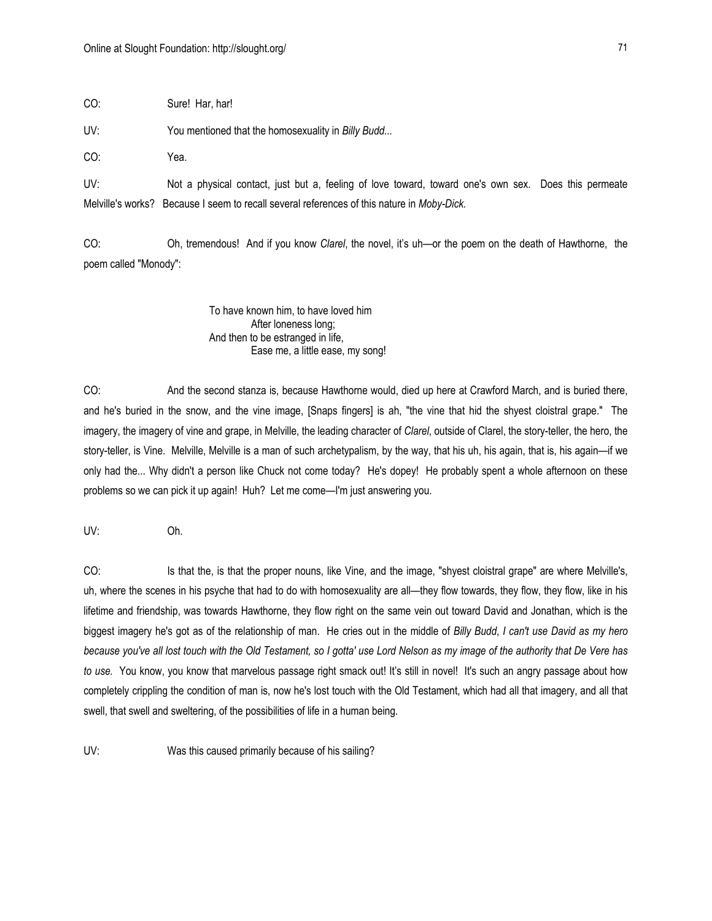CO: Sure! Har, har!

UV: You mentioned that the homosexuality in *Billy Budd...* 

CO: Yea.

UV: Not a physical contact, just but a, feeling of love toward, toward one's own sex. Does this permeate Melville's works? Because I seem to recall several references of this nature in *Moby-Dick.* 

CO: Oh, tremendous! And if you know *Clarel*, the novel, it's uh—or the poem on the death of Hawthorne, the poem called "Monody":

> To have known him, to have loved him After loneness long; And then to be estranged in life, Ease me, a little ease, my song!

CO: And the second stanza is, because Hawthorne would, died up here at Crawford March, and is buried there, and he's buried in the snow, and the vine image, [Snaps fingers] is ah, "the vine that hid the shyest cloistral grape." The imagery, the imagery of vine and grape, in Melville, the leading character of *Clarel*, outside of Clarel, the story-teller, the hero, the story-teller, is Vine. Melville, Melville is a man of such archetypalism, by the way, that his uh, his again, that is, his again—if we only had the... Why didn't a person like Chuck not come today? He's dopey! He probably spent a whole afternoon on these problems so we can pick it up again! Huh? Let me come—I'm just answering you.

UV: Oh.

CO: Is that the, is that the proper nouns, like Vine, and the image, "shyest cloistral grape" are where Melville's, uh, where the scenes in his psyche that had to do with homosexuality are all—they flow towards, they flow, they flow, like in his lifetime and friendship, was towards Hawthorne, they flow right on the same vein out toward David and Jonathan, which is the biggest imagery he's got as of the relationship of man. He cries out in the middle of *Billy Budd*, *I can't use David as my hero because you've all lost touch with the Old Testament, so I gotta' use Lord Nelson as my image of the authority that De Vere has to use.* You know, you know that marvelous passage right smack out! It's still in novel! It's such an angry passage about how completely crippling the condition of man is, now he's lost touch with the Old Testament, which had all that imagery, and all that swell, that swell and sweltering, of the possibilities of life in a human being.

UV: Was this caused primarily because of his sailing?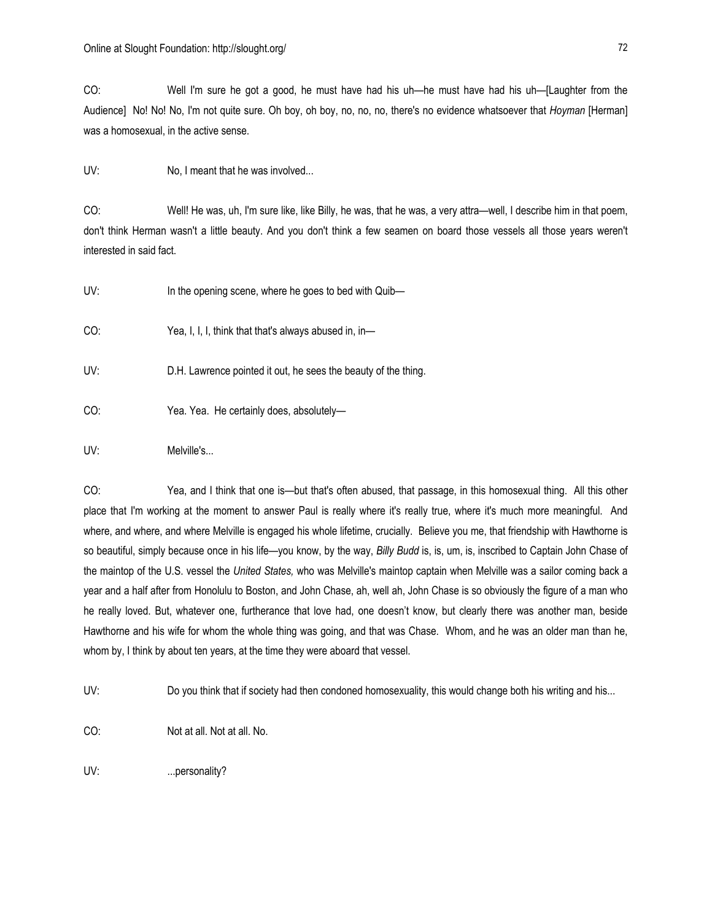CO: Well I'm sure he got a good, he must have had his uh—he must have had his uh—[Laughter from the Audience] No! No! No, I'm not quite sure. Oh boy, oh boy, no, no, no, there's no evidence whatsoever that *Hoyman* [Herman] was a homosexual, in the active sense.

UV: No, I meant that he was involved...

CO: Well! He was, uh, I'm sure like, like Billy, he was, that he was, a very attra—well, I describe him in that poem, don't think Herman wasn't a little beauty. And you don't think a few seamen on board those vessels all those years weren't interested in said fact.

| UV: | In the opening scene, where he goes to bed with Quib-          |
|-----|----------------------------------------------------------------|
| CO: | Yea, I, I, I, think that that's always abused in, in-          |
| UV: | D.H. Lawrence pointed it out, he sees the beauty of the thing. |
| CO: | Yea. Yea. He certainly does, absolutely-                       |

UV: Melville's...

CO: Yea, and I think that one is—but that's often abused, that passage, in this homosexual thing. All this other place that I'm working at the moment to answer Paul is really where it's really true, where it's much more meaningful. And where, and where, and where Melville is engaged his whole lifetime, crucially. Believe you me, that friendship with Hawthorne is so beautiful, simply because once in his life—you know, by the way, *Billy Budd* is, is, um, is, inscribed to Captain John Chase of the maintop of the U.S. vessel the *United States,* who was Melville's maintop captain when Melville was a sailor coming back a year and a half after from Honolulu to Boston, and John Chase, ah, well ah, John Chase is so obviously the figure of a man who he really loved. But, whatever one, furtherance that love had, one doesn't know, but clearly there was another man, beside Hawthorne and his wife for whom the whole thing was going, and that was Chase. Whom, and he was an older man than he, whom by, I think by about ten years, at the time they were aboard that vessel.

UV: Do you think that if society had then condoned homosexuality, this would change both his writing and his...

CO: Not at all. Not at all. No.

UV: ...personality?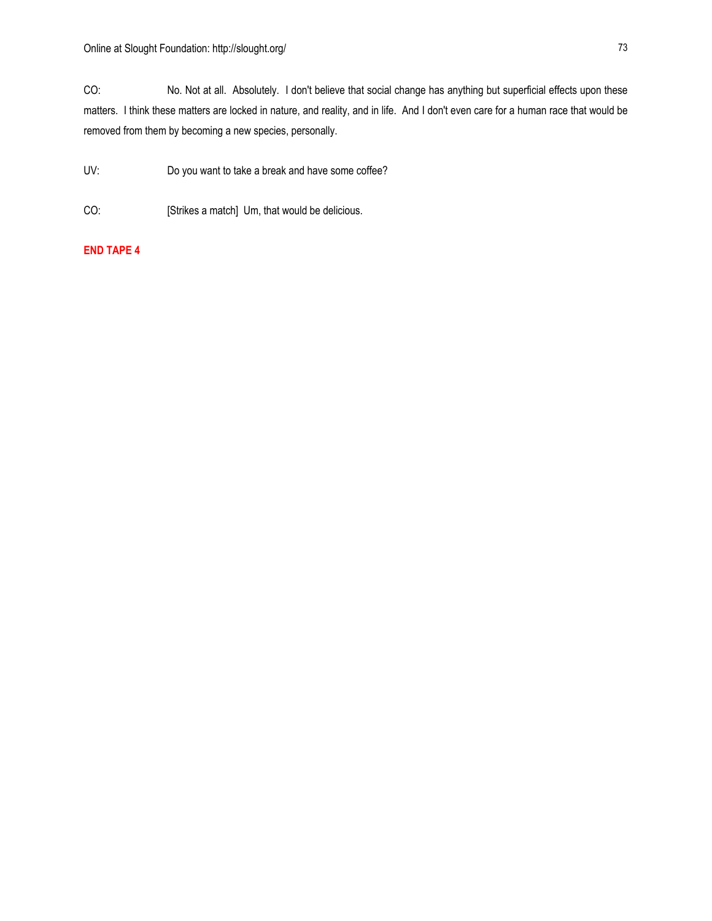CO: No. Not at all. Absolutely. I don't believe that social change has anything but superficial effects upon these matters. I think these matters are locked in nature, and reality, and in life. And I don't even care for a human race that would be removed from them by becoming a new species, personally.

UV: Do you want to take a break and have some coffee?

CO: [Strikes a match] Um, that would be delicious.

## **END TAPE 4**